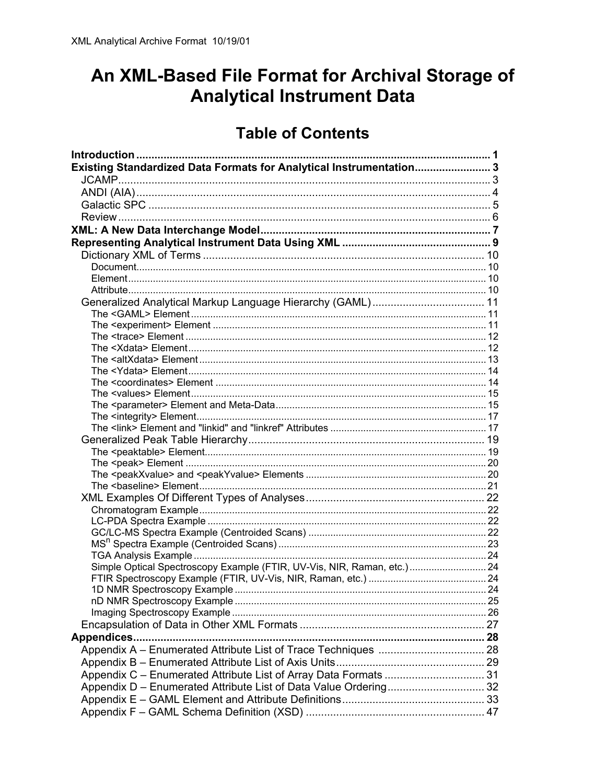# An XML-Based File Format for Archival Storage of **Analytical Instrument Data**

# **Table of Contents**

| Existing Standardized Data Formats for Analytical Instrumentation 3     |  |
|-------------------------------------------------------------------------|--|
|                                                                         |  |
|                                                                         |  |
|                                                                         |  |
|                                                                         |  |
|                                                                         |  |
|                                                                         |  |
|                                                                         |  |
|                                                                         |  |
|                                                                         |  |
|                                                                         |  |
|                                                                         |  |
|                                                                         |  |
|                                                                         |  |
|                                                                         |  |
|                                                                         |  |
|                                                                         |  |
|                                                                         |  |
|                                                                         |  |
|                                                                         |  |
|                                                                         |  |
|                                                                         |  |
|                                                                         |  |
|                                                                         |  |
|                                                                         |  |
|                                                                         |  |
|                                                                         |  |
|                                                                         |  |
|                                                                         |  |
|                                                                         |  |
|                                                                         |  |
|                                                                         |  |
|                                                                         |  |
| Simple Optical Spectroscopy Example (FTIR, UV-Vis, NIR, Raman, etc.) 24 |  |
|                                                                         |  |
|                                                                         |  |
|                                                                         |  |
|                                                                         |  |
|                                                                         |  |
|                                                                         |  |
|                                                                         |  |
|                                                                         |  |
|                                                                         |  |
| Appendix C - Enumerated Attribute List of Array Data Formats  31        |  |
|                                                                         |  |
|                                                                         |  |
|                                                                         |  |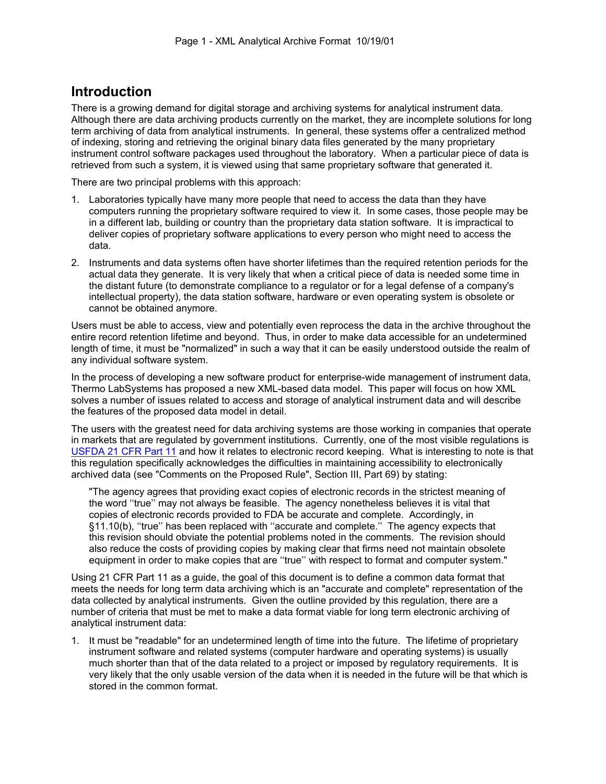# **Introduction**

There is a growing demand for digital storage and archiving systems for analytical instrument data. Although there are data archiving products currently on the market, they are incomplete solutions for long term archiving of data from analytical instruments. In general, these systems offer a centralized method of indexing, storing and retrieving the original binary data files generated by the many proprietary instrument control software packages used throughout the laboratory. When a particular piece of data is retrieved from such a system, it is viewed using that same proprietary software that generated it.

There are two principal problems with this approach:

- 1. Laboratories typically have many more people that need to access the data than they have computers running the proprietary software required to view it. In some cases, those people may be in a different lab, building or country than the proprietary data station software. It is impractical to deliver copies of proprietary software applications to every person who might need to access the data.
- 2. Instruments and data systems often have shorter lifetimes than the required retention periods for the actual data they generate. It is very likely that when a critical piece of data is needed some time in the distant future (to demonstrate compliance to a regulator or for a legal defense of a company's intellectual property), the data station software, hardware or even operating system is obsolete or cannot be obtained anymore.

Users must be able to access, view and potentially even reprocess the data in the archive throughout the entire record retention lifetime and beyond. Thus, in order to make data accessible for an undetermined length of time, it must be "normalized" in such a way that it can be easily understood outside the realm of any individual software system.

In the process of developing a new software product for enterprise-wide management of instrument data, Thermo LabSystems has proposed a new XML-based data model. This paper will focus on how XML solves a number of issues related to access and storage of analytical instrument data and will describe the features of the proposed data model in detail.

The users with the greatest need for data archiving systems are those working in companies that operate in markets that are regulated by government institutions. Currently, one of the most visible regulations is USFDA 21 CFR Part 11 and how it relates to electronic record keeping. What is interesting to note is that this regulation specifically acknowledges the difficulties in maintaining accessibility to electronically archived data (see "Comments on the Proposed Rule", Section III, Part 69) by stating:

"The agency agrees that providing exact copies of electronic records in the strictest meaning of the word ''true'' may not always be feasible. The agency nonetheless believes it is vital that copies of electronic records provided to FDA be accurate and complete. Accordingly, in §11.10(b), ''true'' has been replaced with ''accurate and complete.'' The agency expects that this revision should obviate the potential problems noted in the comments. The revision should also reduce the costs of providing copies by making clear that firms need not maintain obsolete equipment in order to make copies that are ''true'' with respect to format and computer system."

Using 21 CFR Part 11 as a guide, the goal of this document is to define a common data format that meets the needs for long term data archiving which is an "accurate and complete" representation of the data collected by analytical instruments. Given the outline provided by this regulation, there are a number of criteria that must be met to make a data format viable for long term electronic archiving of analytical instrument data:

1. It must be "readable" for an undetermined length of time into the future. The lifetime of proprietary instrument software and related systems (computer hardware and operating systems) is usually much shorter than that of the data related to a project or imposed by regulatory requirements. It is very likely that the only usable version of the data when it is needed in the future will be that which is stored in the common format.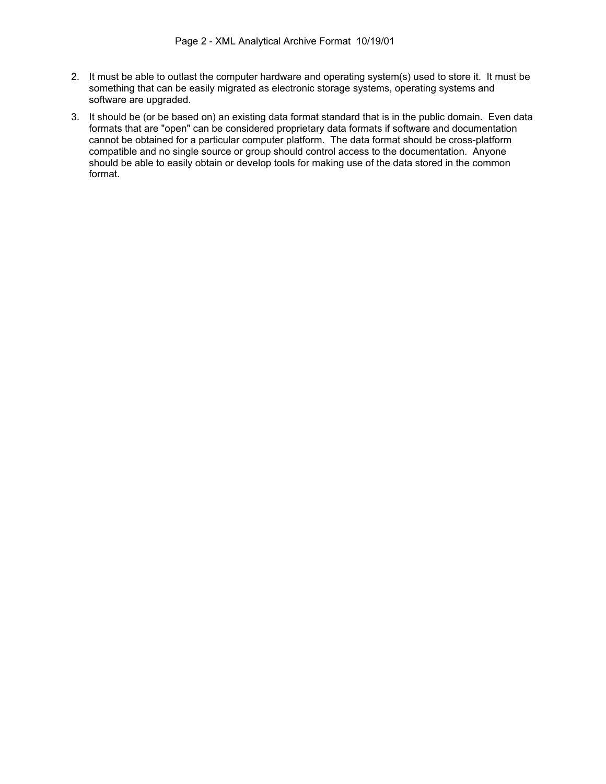- 2. It must be able to outlast the computer hardware and operating system(s) used to store it. It must be something that can be easily migrated as electronic storage systems, operating systems and software are upgraded.
- 3. It should be (or be based on) an existing data format standard that is in the public domain. Even data formats that are "open" can be considered proprietary data formats if software and documentation cannot be obtained for a particular computer platform. The data format should be cross-platform compatible and no single source or group should control access to the documentation. Anyone should be able to easily obtain or develop tools for making use of the data stored in the common format.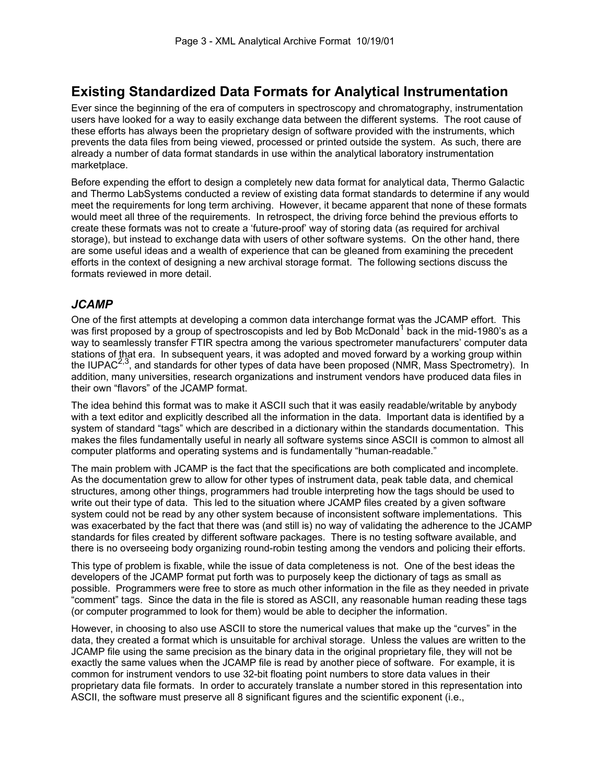# **Existing Standardized Data Formats for Analytical Instrumentation**

Ever since the beginning of the era of computers in spectroscopy and chromatography, instrumentation users have looked for a way to easily exchange data between the different systems. The root cause of these efforts has always been the proprietary design of software provided with the instruments, which prevents the data files from being viewed, processed or printed outside the system. As such, there are already a number of data format standards in use within the analytical laboratory instrumentation marketplace.

Before expending the effort to design a completely new data format for analytical data, Thermo Galactic and Thermo LabSystems conducted a review of existing data format standards to determine if any would meet the requirements for long term archiving. However, it became apparent that none of these formats would meet all three of the requirements. In retrospect, the driving force behind the previous efforts to create these formats was not to create a 'future-proof' way of storing data (as required for archival storage), but instead to exchange data with users of other software systems. On the other hand, there are some useful ideas and a wealth of experience that can be gleaned from examining the precedent efforts in the context of designing a new archival storage format. The following sections discuss the formats reviewed in more detail.

# *JCAMP*

One of the first attempts at developing a common data interchange format was the JCAMP effort. This was first proposed by a group of spectroscopists and led by Bob McDonald<sup>1</sup> back in the mid-1980's as a way to seamlessly transfer FTIR spectra among the various spectrometer manufacturers' computer data stations of that era. In subsequent years, it was adopted and moved forward by a working group within the IUPAC<sup>2,3</sup>, and standards for other types of data have been proposed (NMR, Mass Spectrometry). In  $\sigma$ , and standards for other types of data have been proposed (NMR, Mass Spectrometry). In addition, many universities, research organizations and instrument vendors have produced data files in their own "flavors" of the JCAMP format.

The idea behind this format was to make it ASCII such that it was easily readable/writable by anybody with a text editor and explicitly described all the information in the data. Important data is identified by a system of standard "tags" which are described in a dictionary within the standards documentation. This makes the files fundamentally useful in nearly all software systems since ASCII is common to almost all computer platforms and operating systems and is fundamentally "human-readable."

The main problem with JCAMP is the fact that the specifications are both complicated and incomplete. As the documentation grew to allow for other types of instrument data, peak table data, and chemical structures, among other things, programmers had trouble interpreting how the tags should be used to write out their type of data. This led to the situation where JCAMP files created by a given software system could not be read by any other system because of inconsistent software implementations. This was exacerbated by the fact that there was (and still is) no way of validating the adherence to the JCAMP standards for files created by different software packages. There is no testing software available, and there is no overseeing body organizing round-robin testing among the vendors and policing their efforts.

This type of problem is fixable, while the issue of data completeness is not. One of the best ideas the developers of the JCAMP format put forth was to purposely keep the dictionary of tags as small as possible. Programmers were free to store as much other information in the file as they needed in private "comment" tags. Since the data in the file is stored as ASCII, any reasonable human reading these tags (or computer programmed to look for them) would be able to decipher the information.

However, in choosing to also use ASCII to store the numerical values that make up the "curves" in the data, they created a format which is unsuitable for archival storage. Unless the values are written to the JCAMP file using the same precision as the binary data in the original proprietary file, they will not be exactly the same values when the JCAMP file is read by another piece of software. For example, it is common for instrument vendors to use 32-bit floating point numbers to store data values in their proprietary data file formats. In order to accurately translate a number stored in this representation into ASCII, the software must preserve all 8 significant figures and the scientific exponent (i.e.,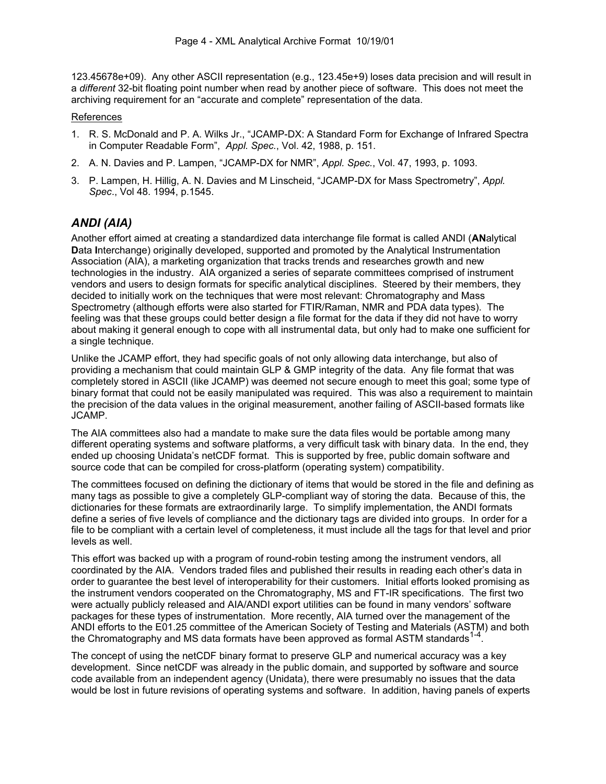123.45678e+09). Any other ASCII representation (e.g., 123.45e+9) loses data precision and will result in a *different* 32-bit floating point number when read by another piece of software. This does not meet the archiving requirement for an "accurate and complete" representation of the data.

#### References

- 1. R. S. McDonald and P. A. Wilks Jr., "JCAMP-DX: A Standard Form for Exchange of Infrared Spectra in Computer Readable Form", *Appl. Spec.*, Vol. 42, 1988, p. 151.
- 2. A. N. Davies and P. Lampen, "JCAMP-DX for NMR", *Appl. Spec.*, Vol. 47, 1993, p. 1093.
- 3. P. Lampen, H. Hillig, A. N. Davies and M Linscheid, "JCAMP-DX for Mass Spectrometry", *Appl. Spec*., Vol 48. 1994, p.1545.

# *ANDI (AIA)*

Another effort aimed at creating a standardized data interchange file format is called ANDI (**AN**alytical **D**ata **I**nterchange) originally developed, supported and promoted by the Analytical Instrumentation Association (AIA), a marketing organization that tracks trends and researches growth and new technologies in the industry. AIA organized a series of separate committees comprised of instrument vendors and users to design formats for specific analytical disciplines. Steered by their members, they decided to initially work on the techniques that were most relevant: Chromatography and Mass Spectrometry (although efforts were also started for FTIR/Raman, NMR and PDA data types). The feeling was that these groups could better design a file format for the data if they did not have to worry about making it general enough to cope with all instrumental data, but only had to make one sufficient for a single technique.

Unlike the JCAMP effort, they had specific goals of not only allowing data interchange, but also of providing a mechanism that could maintain GLP & GMP integrity of the data. Any file format that was completely stored in ASCII (like JCAMP) was deemed not secure enough to meet this goal; some type of binary format that could not be easily manipulated was required. This was also a requirement to maintain the precision of the data values in the original measurement, another failing of ASCII-based formats like JCAMP.

The AIA committees also had a mandate to make sure the data files would be portable among many different operating systems and software platforms, a very difficult task with binary data. In the end, they ended up choosing Unidata's netCDF format. This is supported by free, public domain software and source code that can be compiled for cross-platform (operating system) compatibility.

The committees focused on defining the dictionary of items that would be stored in the file and defining as many tags as possible to give a completely GLP-compliant way of storing the data. Because of this, the dictionaries for these formats are extraordinarily large. To simplify implementation, the ANDI formats define a series of five levels of compliance and the dictionary tags are divided into groups. In order for a file to be compliant with a certain level of completeness, it must include all the tags for that level and prior levels as well.

This effort was backed up with a program of round-robin testing among the instrument vendors, all coordinated by the AIA. Vendors traded files and published their results in reading each other's data in order to guarantee the best level of interoperability for their customers. Initial efforts looked promising as the instrument vendors cooperated on the Chromatography, MS and FT-IR specifications. The first two were actually publicly released and AIA/ANDI export utilities can be found in many vendors' software packages for these types of instrumentation. More recently, AIA turned over the management of the ANDI efforts to the E01.25 committee of the American Society of Testing and Materials (ASTM) and both the Chromatography and MS data formats have been approved as formal ASTM standards $^1$ 

The concept of using the netCDF binary format to preserve GLP and numerical accuracy was a key development. Since netCDF was already in the public domain, and supported by software and source code available from an independent agency (Unidata), there were presumably no issues that the data would be lost in future revisions of operating systems and software. In addition, having panels of experts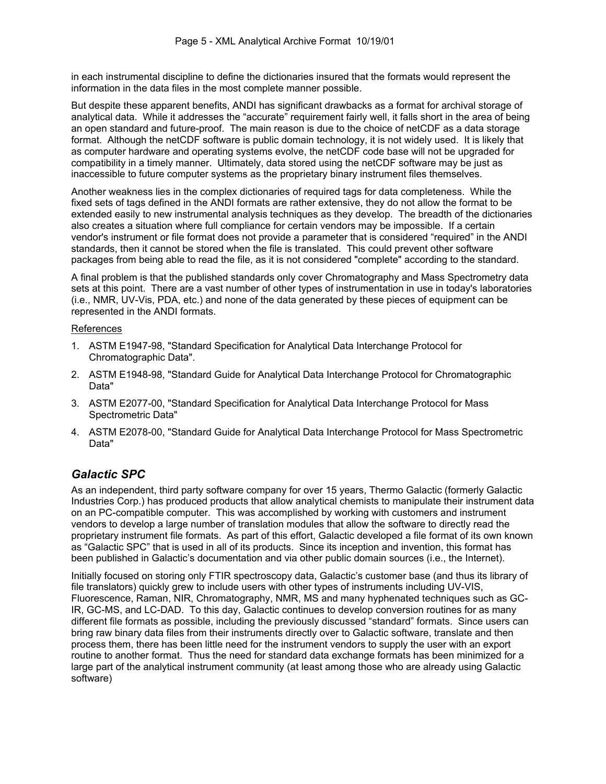in each instrumental discipline to define the dictionaries insured that the formats would represent the information in the data files in the most complete manner possible.

But despite these apparent benefits, ANDI has significant drawbacks as a format for archival storage of analytical data. While it addresses the "accurate" requirement fairly well, it falls short in the area of being an open standard and future-proof. The main reason is due to the choice of netCDF as a data storage format. Although the netCDF software is public domain technology, it is not widely used. It is likely that as computer hardware and operating systems evolve, the netCDF code base will not be upgraded for compatibility in a timely manner. Ultimately, data stored using the netCDF software may be just as inaccessible to future computer systems as the proprietary binary instrument files themselves.

Another weakness lies in the complex dictionaries of required tags for data completeness. While the fixed sets of tags defined in the ANDI formats are rather extensive, they do not allow the format to be extended easily to new instrumental analysis techniques as they develop. The breadth of the dictionaries also creates a situation where full compliance for certain vendors may be impossible. If a certain vendor's instrument or file format does not provide a parameter that is considered "required" in the ANDI standards, then it cannot be stored when the file is translated. This could prevent other software packages from being able to read the file, as it is not considered "complete" according to the standard.

A final problem is that the published standards only cover Chromatography and Mass Spectrometry data sets at this point. There are a vast number of other types of instrumentation in use in today's laboratories (i.e., NMR, UV-Vis, PDA, etc.) and none of the data generated by these pieces of equipment can be represented in the ANDI formats.

#### References

- 1. ASTM E1947-98, "Standard Specification for Analytical Data Interchange Protocol for Chromatographic Data".
- 2. ASTM E1948-98, "Standard Guide for Analytical Data Interchange Protocol for Chromatographic Data"
- 3. ASTM E2077-00, "Standard Specification for Analytical Data Interchange Protocol for Mass Spectrometric Data"
- 4. ASTM E2078-00, "Standard Guide for Analytical Data Interchange Protocol for Mass Spectrometric Data"

### *Galactic SPC*

As an independent, third party software company for over 15 years, Thermo Galactic (formerly Galactic Industries Corp.) has produced products that allow analytical chemists to manipulate their instrument data on an PC-compatible computer. This was accomplished by working with customers and instrument vendors to develop a large number of translation modules that allow the software to directly read the proprietary instrument file formats. As part of this effort, Galactic developed a file format of its own known as "Galactic SPC" that is used in all of its products. Since its inception and invention, this format has been published in Galactic's documentation and via other public domain sources (i.e., the Internet).

Initially focused on storing only FTIR spectroscopy data, Galactic's customer base (and thus its library of file translators) quickly grew to include users with other types of instruments including UV-VIS, Fluorescence, Raman, NIR, Chromatography, NMR, MS and many hyphenated techniques such as GC-IR, GC-MS, and LC-DAD. To this day, Galactic continues to develop conversion routines for as many different file formats as possible, including the previously discussed "standard" formats. Since users can bring raw binary data files from their instruments directly over to Galactic software, translate and then process them, there has been little need for the instrument vendors to supply the user with an export routine to another format. Thus the need for standard data exchange formats has been minimized for a large part of the analytical instrument community (at least among those who are already using Galactic software)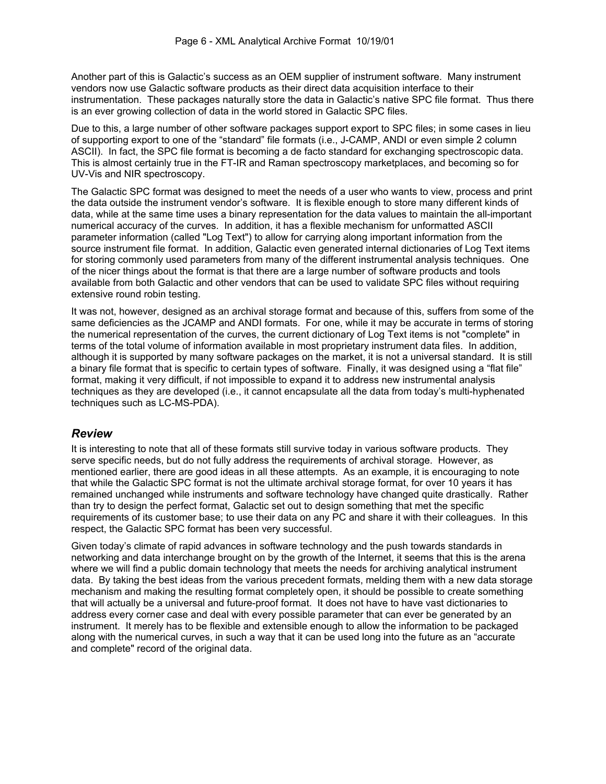Another part of this is Galactic's success as an OEM supplier of instrument software. Many instrument vendors now use Galactic software products as their direct data acquisition interface to their instrumentation. These packages naturally store the data in Galactic's native SPC file format. Thus there is an ever growing collection of data in the world stored in Galactic SPC files.

Due to this, a large number of other software packages support export to SPC files; in some cases in lieu of supporting export to one of the "standard" file formats (i.e., J-CAMP, ANDI or even simple 2 column ASCII). In fact, the SPC file format is becoming a de facto standard for exchanging spectroscopic data. This is almost certainly true in the FT-IR and Raman spectroscopy marketplaces, and becoming so for UV-Vis and NIR spectroscopy.

The Galactic SPC format was designed to meet the needs of a user who wants to view, process and print the data outside the instrument vendor's software. It is flexible enough to store many different kinds of data, while at the same time uses a binary representation for the data values to maintain the all-important numerical accuracy of the curves. In addition, it has a flexible mechanism for unformatted ASCII parameter information (called "Log Text") to allow for carrying along important information from the source instrument file format. In addition, Galactic even generated internal dictionaries of Log Text items for storing commonly used parameters from many of the different instrumental analysis techniques. One of the nicer things about the format is that there are a large number of software products and tools available from both Galactic and other vendors that can be used to validate SPC files without requiring extensive round robin testing.

It was not, however, designed as an archival storage format and because of this, suffers from some of the same deficiencies as the JCAMP and ANDI formats. For one, while it may be accurate in terms of storing the numerical representation of the curves, the current dictionary of Log Text items is not "complete" in terms of the total volume of information available in most proprietary instrument data files. In addition, although it is supported by many software packages on the market, it is not a universal standard. It is still a binary file format that is specific to certain types of software. Finally, it was designed using a "flat file" format, making it very difficult, if not impossible to expand it to address new instrumental analysis techniques as they are developed (i.e., it cannot encapsulate all the data from today's multi-hyphenated techniques such as LC-MS-PDA).

### *Review*

It is interesting to note that all of these formats still survive today in various software products. They serve specific needs, but do not fully address the requirements of archival storage. However, as mentioned earlier, there are good ideas in all these attempts. As an example, it is encouraging to note that while the Galactic SPC format is not the ultimate archival storage format, for over 10 years it has remained unchanged while instruments and software technology have changed quite drastically. Rather than try to design the perfect format, Galactic set out to design something that met the specific requirements of its customer base; to use their data on any PC and share it with their colleagues. In this respect, the Galactic SPC format has been very successful.

Given today's climate of rapid advances in software technology and the push towards standards in networking and data interchange brought on by the growth of the Internet, it seems that this is the arena where we will find a public domain technology that meets the needs for archiving analytical instrument data. By taking the best ideas from the various precedent formats, melding them with a new data storage mechanism and making the resulting format completely open, it should be possible to create something that will actually be a universal and future-proof format. It does not have to have vast dictionaries to address every corner case and deal with every possible parameter that can ever be generated by an instrument. It merely has to be flexible and extensible enough to allow the information to be packaged along with the numerical curves, in such a way that it can be used long into the future as an "accurate and complete" record of the original data.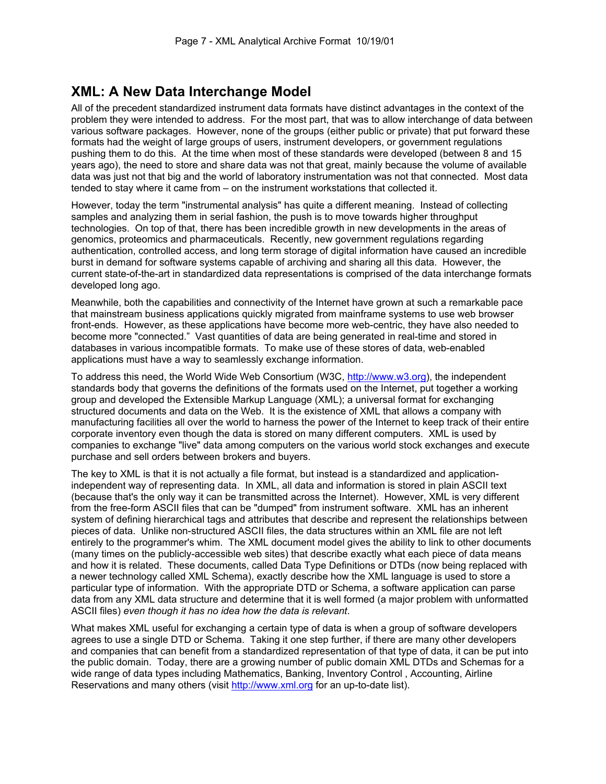# **XML: A New Data Interchange Model**

All of the precedent standardized instrument data formats have distinct advantages in the context of the problem they were intended to address. For the most part, that was to allow interchange of data between various software packages. However, none of the groups (either public or private) that put forward these formats had the weight of large groups of users, instrument developers, or government regulations pushing them to do this. At the time when most of these standards were developed (between 8 and 15 years ago), the need to store and share data was not that great, mainly because the volume of available data was just not that big and the world of laboratory instrumentation was not that connected. Most data tended to stay where it came from – on the instrument workstations that collected it.

However, today the term "instrumental analysis" has quite a different meaning. Instead of collecting samples and analyzing them in serial fashion, the push is to move towards higher throughput technologies. On top of that, there has been incredible growth in new developments in the areas of genomics, proteomics and pharmaceuticals. Recently, new government regulations regarding authentication, controlled access, and long term storage of digital information have caused an incredible burst in demand for software systems capable of archiving and sharing all this data. However, the current state-of-the-art in standardized data representations is comprised of the data interchange formats developed long ago.

Meanwhile, both the capabilities and connectivity of the Internet have grown at such a remarkable pace that mainstream business applications quickly migrated from mainframe systems to use web browser front-ends. However, as these applications have become more web-centric, they have also needed to become more "connected." Vast quantities of data are being generated in real-time and stored in databases in various incompatible formats. To make use of these stores of data, web-enabled applications must have a way to seamlessly exchange information.

To address this need, the World Wide Web Consortium (W3C, http://www.w3.org), the independent standards body that governs the definitions of the formats used on the Internet, put together a working group and developed the Extensible Markup Language (XML); a universal format for exchanging structured documents and data on the Web. It is the existence of XML that allows a company with manufacturing facilities all over the world to harness the power of the Internet to keep track of their entire corporate inventory even though the data is stored on many different computers. XML is used by companies to exchange "live" data among computers on the various world stock exchanges and execute purchase and sell orders between brokers and buyers.

The key to XML is that it is not actually a file format, but instead is a standardized and applicationindependent way of representing data. In XML, all data and information is stored in plain ASCII text (because that's the only way it can be transmitted across the Internet). However, XML is very different from the free-form ASCII files that can be "dumped" from instrument software. XML has an inherent system of defining hierarchical tags and attributes that describe and represent the relationships between pieces of data. Unlike non-structured ASCII files, the data structures within an XML file are not left entirely to the programmer's whim. The XML document model gives the ability to link to other documents (many times on the publicly-accessible web sites) that describe exactly what each piece of data means and how it is related. These documents, called Data Type Definitions or DTDs (now being replaced with a newer technology called XML Schema), exactly describe how the XML language is used to store a particular type of information. With the appropriate DTD or Schema, a software application can parse data from any XML data structure and determine that it is well formed (a major problem with unformatted ASCII files) *even though it has no idea how the data is relevant*.

What makes XML useful for exchanging a certain type of data is when a group of software developers agrees to use a single DTD or Schema. Taking it one step further, if there are many other developers and companies that can benefit from a standardized representation of that type of data, it can be put into the public domain. Today, there are a growing number of public domain XML DTDs and Schemas for a wide range of data types including Mathematics, Banking, Inventory Control , Accounting, Airline Reservations and many others (visit http://www.xml.org for an up-to-date list).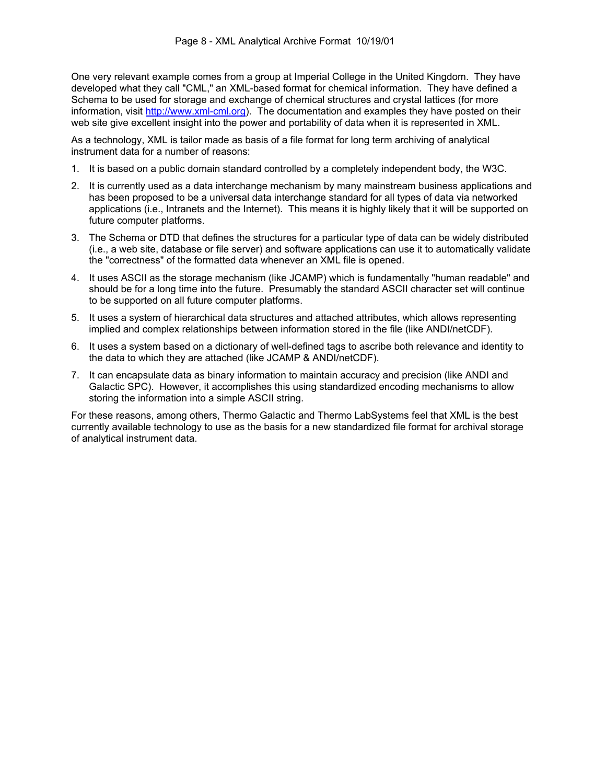One very relevant example comes from a group at Imperial College in the United Kingdom. They have developed what they call "CML," an XML-based format for chemical information. They have defined a Schema to be used for storage and exchange of chemical structures and crystal lattices (for more information, visit http://www.xml-cml.org). The documentation and examples they have posted on their web site give excellent insight into the power and portability of data when it is represented in XML.

As a technology, XML is tailor made as basis of a file format for long term archiving of analytical instrument data for a number of reasons:

- 1. It is based on a public domain standard controlled by a completely independent body, the W3C.
- 2. It is currently used as a data interchange mechanism by many mainstream business applications and has been proposed to be a universal data interchange standard for all types of data via networked applications (i.e., Intranets and the Internet). This means it is highly likely that it will be supported on future computer platforms.
- 3. The Schema or DTD that defines the structures for a particular type of data can be widely distributed (i.e., a web site, database or file server) and software applications can use it to automatically validate the "correctness" of the formatted data whenever an XML file is opened.
- 4. It uses ASCII as the storage mechanism (like JCAMP) which is fundamentally "human readable" and should be for a long time into the future. Presumably the standard ASCII character set will continue to be supported on all future computer platforms.
- 5. It uses a system of hierarchical data structures and attached attributes, which allows representing implied and complex relationships between information stored in the file (like ANDI/netCDF).
- 6. It uses a system based on a dictionary of well-defined tags to ascribe both relevance and identity to the data to which they are attached (like JCAMP & ANDI/netCDF).
- 7. It can encapsulate data as binary information to maintain accuracy and precision (like ANDI and Galactic SPC). However, it accomplishes this using standardized encoding mechanisms to allow storing the information into a simple ASCII string.

For these reasons, among others, Thermo Galactic and Thermo LabSystems feel that XML is the best currently available technology to use as the basis for a new standardized file format for archival storage of analytical instrument data.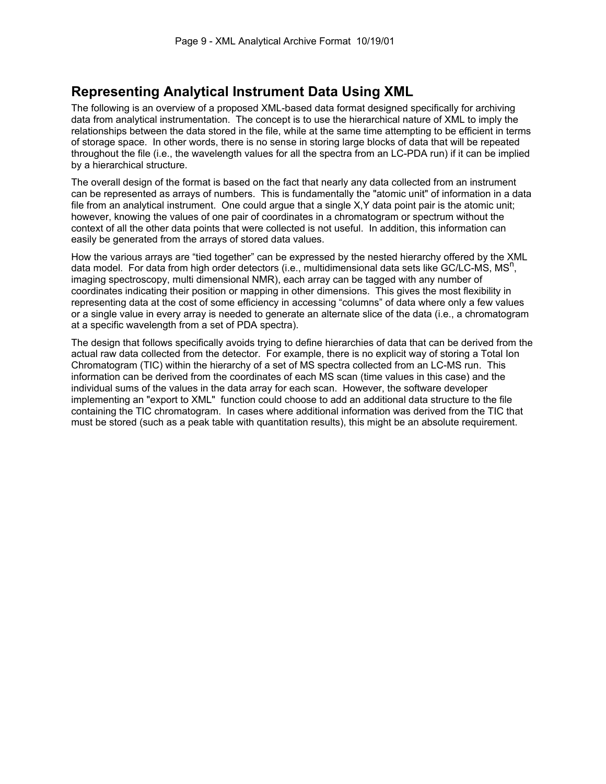# **Representing Analytical Instrument Data Using XML**

The following is an overview of a proposed XML-based data format designed specifically for archiving data from analytical instrumentation. The concept is to use the hierarchical nature of XML to imply the relationships between the data stored in the file, while at the same time attempting to be efficient in terms of storage space. In other words, there is no sense in storing large blocks of data that will be repeated throughout the file (i.e., the wavelength values for all the spectra from an LC-PDA run) if it can be implied by a hierarchical structure.

The overall design of the format is based on the fact that nearly any data collected from an instrument can be represented as arrays of numbers. This is fundamentally the "atomic unit" of information in a data file from an analytical instrument. One could argue that a single X,Y data point pair is the atomic unit; however, knowing the values of one pair of coordinates in a chromatogram or spectrum without the context of all the other data points that were collected is not useful. In addition, this information can easily be generated from the arrays of stored data values.

How the various arrays are "tied together" can be expressed by the nested hierarchy offered by the XML data model. For data from high order detectors (i.e., multidimensional data sets like GC/LC-MS, MS<sup>n</sup>, imaging spectroscopy, multi dimensional NMR), each array can be tagged with any number of coordinates indicating their position or mapping in other dimensions. This gives the most flexibility in representing data at the cost of some efficiency in accessing "columns" of data where only a few values or a single value in every array is needed to generate an alternate slice of the data (i.e., a chromatogram at a specific wavelength from a set of PDA spectra).

The design that follows specifically avoids trying to define hierarchies of data that can be derived from the actual raw data collected from the detector. For example, there is no explicit way of storing a Total Ion Chromatogram (TIC) within the hierarchy of a set of MS spectra collected from an LC-MS run. This information can be derived from the coordinates of each MS scan (time values in this case) and the individual sums of the values in the data array for each scan. However, the software developer implementing an "export to XML" function could choose to add an additional data structure to the file containing the TIC chromatogram. In cases where additional information was derived from the TIC that must be stored (such as a peak table with quantitation results), this might be an absolute requirement.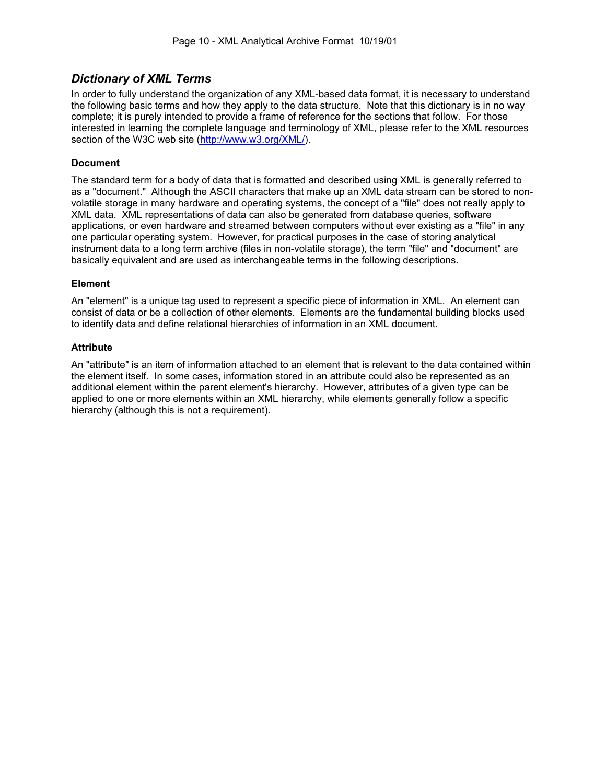# *Dictionary of XML Terms*

In order to fully understand the organization of any XML-based data format, it is necessary to understand the following basic terms and how they apply to the data structure. Note that this dictionary is in no way complete; it is purely intended to provide a frame of reference for the sections that follow. For those interested in learning the complete language and terminology of XML, please refer to the XML resources section of the W3C web site (http://www.w3.org/XML/).

#### **Document**

The standard term for a body of data that is formatted and described using XML is generally referred to as a "document." Although the ASCII characters that make up an XML data stream can be stored to nonvolatile storage in many hardware and operating systems, the concept of a "file" does not really apply to XML data. XML representations of data can also be generated from database queries, software applications, or even hardware and streamed between computers without ever existing as a "file" in any one particular operating system. However, for practical purposes in the case of storing analytical instrument data to a long term archive (files in non-volatile storage), the term "file" and "document" are basically equivalent and are used as interchangeable terms in the following descriptions.

#### **Element**

An "element" is a unique tag used to represent a specific piece of information in XML. An element can consist of data or be a collection of other elements. Elements are the fundamental building blocks used to identify data and define relational hierarchies of information in an XML document.

#### **Attribute**

An "attribute" is an item of information attached to an element that is relevant to the data contained within the element itself. In some cases, information stored in an attribute could also be represented as an additional element within the parent element's hierarchy. However, attributes of a given type can be applied to one or more elements within an XML hierarchy, while elements generally follow a specific hierarchy (although this is not a requirement).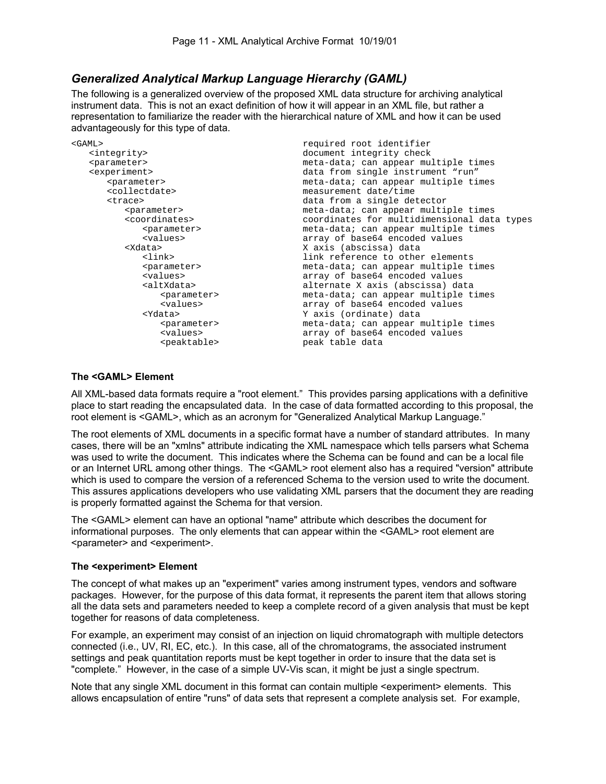# *Generalized Analytical Markup Language Hierarchy (GAML)*

The following is a generalized overview of the proposed XML data structure for archiving analytical instrument data. This is not an exact definition of how it will appear in an XML file, but rather a representation to familiarize the reader with the hierarchical nature of XML and how it can be used advantageously for this type of data.

| required root identifier                    |
|---------------------------------------------|
| document integrity check                    |
| meta-data; can appear multiple times        |
| data from single instrument "run"           |
| meta-data; can appear multiple times        |
| measurement date/time                       |
| data from a single detector                 |
| meta-data; can appear multiple times        |
| coordinates for multidimensional data types |
| meta-data; can appear multiple times        |
| array of base64 encoded values              |
| X axis (abscissa) data                      |
| link reference to other elements            |
| meta-data; can appear multiple times        |
| array of base64 encoded values              |
| alternate X axis (abscissa) data            |
| meta-data; can appear multiple times        |
| array of base64 encoded values              |
| Y axis (ordinate) data                      |
| meta-data; can appear multiple times        |
| array of base64 encoded values              |
| peak table data                             |
|                                             |

#### **The <GAML> Element**

All XML-based data formats require a "root element." This provides parsing applications with a definitive place to start reading the encapsulated data. In the case of data formatted according to this proposal, the root element is <GAML>, which as an acronym for "Generalized Analytical Markup Language."

The root elements of XML documents in a specific format have a number of standard attributes. In many cases, there will be an "xmlns" attribute indicating the XML namespace which tells parsers what Schema was used to write the document. This indicates where the Schema can be found and can be a local file or an Internet URL among other things. The <GAML> root element also has a required "version" attribute which is used to compare the version of a referenced Schema to the version used to write the document. This assures applications developers who use validating XML parsers that the document they are reading is properly formatted against the Schema for that version.

The <GAML> element can have an optional "name" attribute which describes the document for informational purposes. The only elements that can appear within the <GAML> root element are <parameter> and <experiment>.

#### **The <experiment> Element**

The concept of what makes up an "experiment" varies among instrument types, vendors and software packages. However, for the purpose of this data format, it represents the parent item that allows storing all the data sets and parameters needed to keep a complete record of a given analysis that must be kept together for reasons of data completeness.

For example, an experiment may consist of an injection on liquid chromatograph with multiple detectors connected (i.e., UV, RI, EC, etc.). In this case, all of the chromatograms, the associated instrument settings and peak quantitation reports must be kept together in order to insure that the data set is "complete." However, in the case of a simple UV-Vis scan, it might be just a single spectrum.

Note that any single XML document in this format can contain multiple <experiment> elements. This allows encapsulation of entire "runs" of data sets that represent a complete analysis set. For example,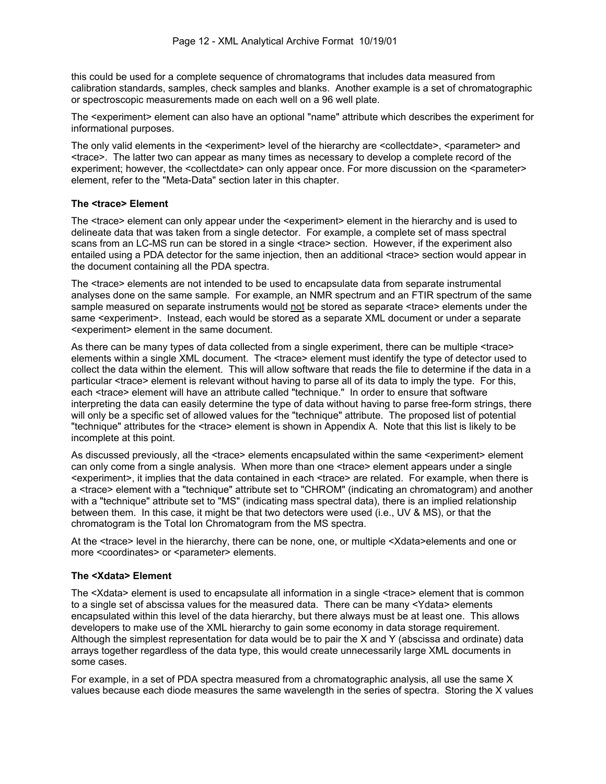this could be used for a complete sequence of chromatograms that includes data measured from calibration standards, samples, check samples and blanks. Another example is a set of chromatographic or spectroscopic measurements made on each well on a 96 well plate.

The <experiment> element can also have an optional "name" attribute which describes the experiment for informational purposes.

The only valid elements in the <experiment> level of the hierarchy are <collectdate>, <parameter> and <trace>. The latter two can appear as many times as necessary to develop a complete record of the experiment; however, the <collectdate> can only appear once. For more discussion on the <parameter> element, refer to the "Meta-Data" section later in this chapter.

#### **The <trace> Element**

The <trace> element can only appear under the <experiment> element in the hierarchy and is used to delineate data that was taken from a single detector. For example, a complete set of mass spectral scans from an LC-MS run can be stored in a single <trace> section. However, if the experiment also entailed using a PDA detector for the same injection, then an additional <trace> section would appear in the document containing all the PDA spectra.

The <trace> elements are not intended to be used to encapsulate data from separate instrumental analyses done on the same sample. For example, an NMR spectrum and an FTIR spectrum of the same sample measured on separate instruments would not be stored as separate <trace> elements under the same <experiment>. Instead, each would be stored as a separate XML document or under a separate <experiment> element in the same document.

As there can be many types of data collected from a single experiment, there can be multiple <trace> elements within a single XML document. The <trace> element must identify the type of detector used to collect the data within the element. This will allow software that reads the file to determine if the data in a particular <trace> element is relevant without having to parse all of its data to imply the type. For this, each <trace> element will have an attribute called "technique." In order to ensure that software interpreting the data can easily determine the type of data without having to parse free-form strings, there will only be a specific set of allowed values for the "technique" attribute. The proposed list of potential "technique" attributes for the <trace> element is shown in Appendix A. Note that this list is likely to be incomplete at this point.

As discussed previously, all the <trace> elements encapsulated within the same <experiment> element can only come from a single analysis. When more than one <trace> element appears under a single <experiment>, it implies that the data contained in each <trace> are related. For example, when there is a <trace> element with a "technique" attribute set to "CHROM" (indicating an chromatogram) and another with a "technique" attribute set to "MS" (indicating mass spectral data), there is an implied relationship between them. In this case, it might be that two detectors were used (i.e., UV & MS), or that the chromatogram is the Total Ion Chromatogram from the MS spectra.

At the <trace> level in the hierarchy, there can be none, one, or multiple <Xdata>elements and one or more <coordinates> or <parameter> elements.

#### **The <Xdata> Element**

The <Xdata> element is used to encapsulate all information in a single <trace> element that is common to a single set of abscissa values for the measured data. There can be many <Ydata> elements encapsulated within this level of the data hierarchy, but there always must be at least one. This allows developers to make use of the XML hierarchy to gain some economy in data storage requirement. Although the simplest representation for data would be to pair the X and Y (abscissa and ordinate) data arrays together regardless of the data type, this would create unnecessarily large XML documents in some cases.

For example, in a set of PDA spectra measured from a chromatographic analysis, all use the same X values because each diode measures the same wavelength in the series of spectra. Storing the X values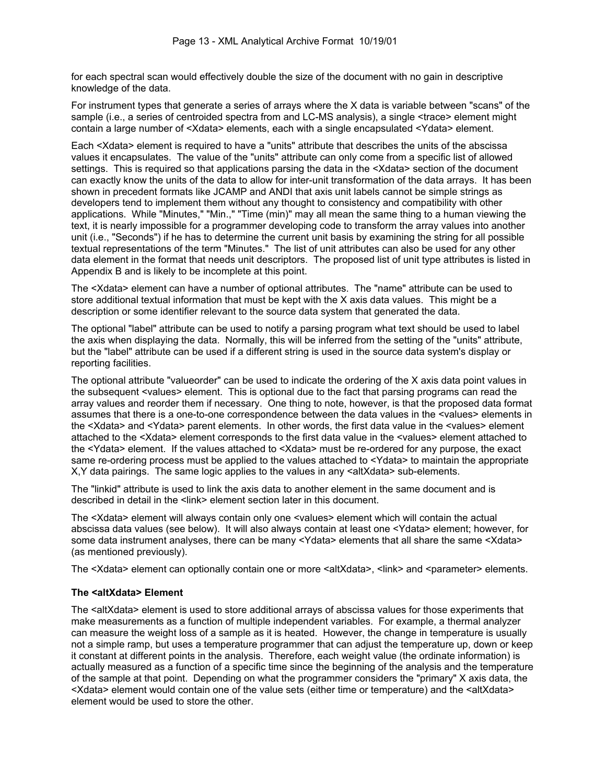for each spectral scan would effectively double the size of the document with no gain in descriptive knowledge of the data.

For instrument types that generate a series of arrays where the X data is variable between "scans" of the sample (i.e., a series of centroided spectra from and LC-MS analysis), a single <trace> element might contain a large number of <Xdata> elements, each with a single encapsulated <Ydata> element.

Each <Xdata> element is required to have a "units" attribute that describes the units of the abscissa values it encapsulates. The value of the "units" attribute can only come from a specific list of allowed settings. This is required so that applications parsing the data in the <Xdata> section of the document can exactly know the units of the data to allow for inter-unit transformation of the data arrays. It has been shown in precedent formats like JCAMP and ANDI that axis unit labels cannot be simple strings as developers tend to implement them without any thought to consistency and compatibility with other applications. While "Minutes," "Min.," "Time (min)" may all mean the same thing to a human viewing the text, it is nearly impossible for a programmer developing code to transform the array values into another unit (i.e., "Seconds") if he has to determine the current unit basis by examining the string for all possible textual representations of the term "Minutes." The list of unit attributes can also be used for any other data element in the format that needs unit descriptors. The proposed list of unit type attributes is listed in Appendix B and is likely to be incomplete at this point.

The <Xdata> element can have a number of optional attributes. The "name" attribute can be used to store additional textual information that must be kept with the X axis data values. This might be a description or some identifier relevant to the source data system that generated the data.

The optional "label" attribute can be used to notify a parsing program what text should be used to label the axis when displaying the data. Normally, this will be inferred from the setting of the "units" attribute, but the "label" attribute can be used if a different string is used in the source data system's display or reporting facilities.

The optional attribute "valueorder" can be used to indicate the ordering of the X axis data point values in the subsequent <values> element. This is optional due to the fact that parsing programs can read the array values and reorder them if necessary. One thing to note, however, is that the proposed data format assumes that there is a one-to-one correspondence between the data values in the <values> elements in the <Xdata> and <Ydata> parent elements. In other words, the first data value in the <values> element attached to the <Xdata> element corresponds to the first data value in the <values> element attached to the <Ydata> element. If the values attached to <Xdata> must be re-ordered for any purpose, the exact same re-ordering process must be applied to the values attached to <Ydata> to maintain the appropriate X,Y data pairings. The same logic applies to the values in any <altXdata> sub-elements.

The "linkid" attribute is used to link the axis data to another element in the same document and is described in detail in the <link> element section later in this document.

The <Xdata> element will always contain only one <values> element which will contain the actual abscissa data values (see below). It will also always contain at least one <Ydata> element; however, for some data instrument analyses, there can be many <Ydata> elements that all share the same <Xdata> (as mentioned previously).

The <Xdata> element can optionally contain one or more <altXdata>, <link> and <parameter> elements.

#### **The <altXdata> Element**

The <altXdata> element is used to store additional arrays of abscissa values for those experiments that make measurements as a function of multiple independent variables. For example, a thermal analyzer can measure the weight loss of a sample as it is heated. However, the change in temperature is usually not a simple ramp, but uses a temperature programmer that can adjust the temperature up, down or keep it constant at different points in the analysis. Therefore, each weight value (the ordinate information) is actually measured as a function of a specific time since the beginning of the analysis and the temperature of the sample at that point. Depending on what the programmer considers the "primary" X axis data, the <Xdata> element would contain one of the value sets (either time or temperature) and the <altXdata> element would be used to store the other.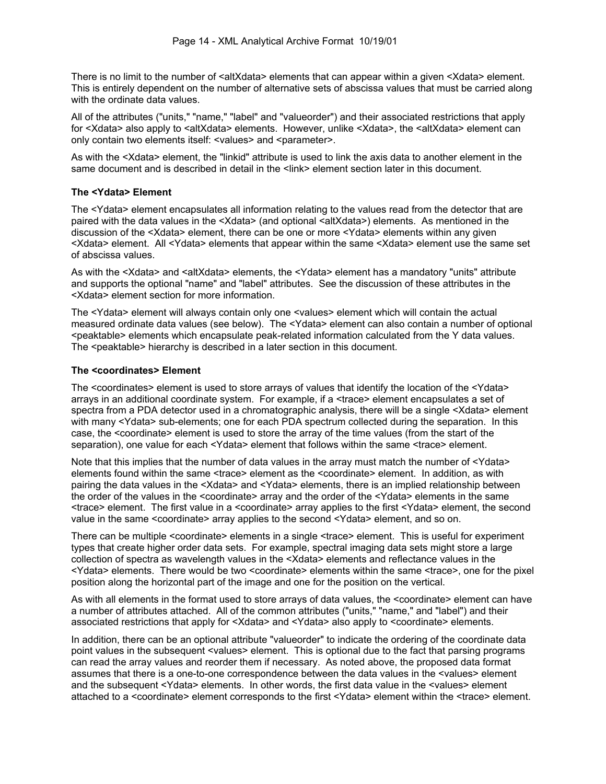There is no limit to the number of <altXdata> elements that can appear within a given <Xdata> element. This is entirely dependent on the number of alternative sets of abscissa values that must be carried along with the ordinate data values.

All of the attributes ("units," "name," "label" and "valueorder") and their associated restrictions that apply for <Xdata> also apply to <altXdata> elements. However, unlike <Xdata>, the <altXdata> element can only contain two elements itself: <values> and <parameter>.

As with the <Xdata> element, the "linkid" attribute is used to link the axis data to another element in the same document and is described in detail in the <link> element section later in this document.

#### **The <Ydata> Element**

The <Ydata> element encapsulates all information relating to the values read from the detector that are paired with the data values in the <Xdata> (and optional <altXdata>) elements. As mentioned in the discussion of the <Xdata> element, there can be one or more <Ydata> elements within any given <Xdata> element. All <Ydata> elements that appear within the same <Xdata> element use the same set of abscissa values.

As with the <Xdata> and <altXdata> elements, the <Ydata> element has a mandatory "units" attribute and supports the optional "name" and "label" attributes. See the discussion of these attributes in the <Xdata> element section for more information.

The <Ydata> element will always contain only one <values> element which will contain the actual measured ordinate data values (see below). The <Ydata> element can also contain a number of optional <peaktable> elements which encapsulate peak-related information calculated from the Y data values. The <peaktable> hierarchy is described in a later section in this document.

#### **The <coordinates> Element**

The <coordinates> element is used to store arrays of values that identify the location of the <Ydata> arrays in an additional coordinate system. For example, if a <trace> element encapsulates a set of spectra from a PDA detector used in a chromatographic analysis, there will be a single <Xdata> element with many <Ydata> sub-elements; one for each PDA spectrum collected during the separation. In this case, the <coordinate> element is used to store the array of the time values (from the start of the separation), one value for each <Ydata> element that follows within the same <trace> element.

Note that this implies that the number of data values in the array must match the number of <Ydata> elements found within the same <trace> element as the <coordinate> element. In addition, as with pairing the data values in the <Xdata> and <Ydata> elements, there is an implied relationship between the order of the values in the <coordinate> array and the order of the <Ydata> elements in the same <trace> element. The first value in a <coordinate> array applies to the first <Ydata> element, the second value in the same <coordinate> array applies to the second <Ydata> element, and so on.

There can be multiple <coordinate> elements in a single <trace> element. This is useful for experiment types that create higher order data sets. For example, spectral imaging data sets might store a large collection of spectra as wavelength values in the <Xdata> elements and reflectance values in the <Ydata> elements. There would be two <coordinate> elements within the same <trace>, one for the pixel position along the horizontal part of the image and one for the position on the vertical.

As with all elements in the format used to store arrays of data values, the <coordinate> element can have a number of attributes attached. All of the common attributes ("units," "name," and "label") and their associated restrictions that apply for <Xdata> and <Ydata> also apply to <coordinate> elements.

In addition, there can be an optional attribute "valueorder" to indicate the ordering of the coordinate data point values in the subsequent <values> element. This is optional due to the fact that parsing programs can read the array values and reorder them if necessary. As noted above, the proposed data format assumes that there is a one-to-one correspondence between the data values in the <values> element and the subsequent <Ydata> elements. In other words, the first data value in the <values> element attached to a <coordinate> element corresponds to the first <Ydata> element within the <trace> element.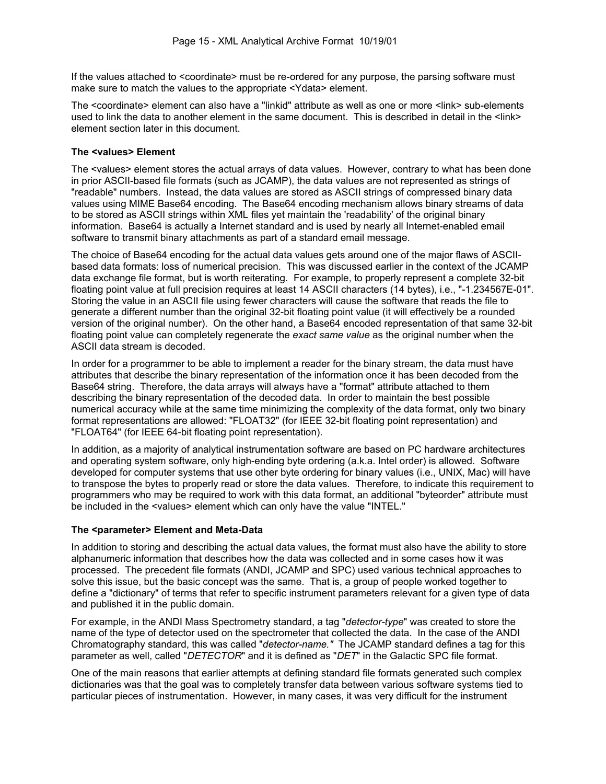If the values attached to <coordinate> must be re-ordered for any purpose, the parsing software must make sure to match the values to the appropriate <Ydata> element.

The <coordinate> element can also have a "linkid" attribute as well as one or more <link> sub-elements used to link the data to another element in the same document. This is described in detail in the <link> element section later in this document.

#### **The <values> Element**

The <values> element stores the actual arrays of data values. However, contrary to what has been done in prior ASCII-based file formats (such as JCAMP), the data values are not represented as strings of "readable" numbers. Instead, the data values are stored as ASCII strings of compressed binary data values using MIME Base64 encoding. The Base64 encoding mechanism allows binary streams of data to be stored as ASCII strings within XML files yet maintain the 'readability' of the original binary information. Base64 is actually a Internet standard and is used by nearly all Internet-enabled email software to transmit binary attachments as part of a standard email message.

The choice of Base64 encoding for the actual data values gets around one of the major flaws of ASCIIbased data formats: loss of numerical precision. This was discussed earlier in the context of the JCAMP data exchange file format, but is worth reiterating. For example, to properly represent a complete 32-bit floating point value at full precision requires at least 14 ASCII characters (14 bytes), i.e., "-1.234567E-01". Storing the value in an ASCII file using fewer characters will cause the software that reads the file to generate a different number than the original 32-bit floating point value (it will effectively be a rounded version of the original number). On the other hand, a Base64 encoded representation of that same 32-bit floating point value can completely regenerate the *exact same value* as the original number when the ASCII data stream is decoded.

In order for a programmer to be able to implement a reader for the binary stream, the data must have attributes that describe the binary representation of the information once it has been decoded from the Base64 string. Therefore, the data arrays will always have a "format" attribute attached to them describing the binary representation of the decoded data. In order to maintain the best possible numerical accuracy while at the same time minimizing the complexity of the data format, only two binary format representations are allowed: "FLOAT32" (for IEEE 32-bit floating point representation) and "FLOAT64" (for IEEE 64-bit floating point representation).

In addition, as a majority of analytical instrumentation software are based on PC hardware architectures and operating system software, only high-ending byte ordering (a.k.a. Intel order) is allowed. Software developed for computer systems that use other byte ordering for binary values (i.e., UNIX, Mac) will have to transpose the bytes to properly read or store the data values. Therefore, to indicate this requirement to programmers who may be required to work with this data format, an additional "byteorder" attribute must be included in the <values> element which can only have the value "INTEL."

#### **The <parameter> Element and Meta-Data**

In addition to storing and describing the actual data values, the format must also have the ability to store alphanumeric information that describes how the data was collected and in some cases how it was processed. The precedent file formats (ANDI, JCAMP and SPC) used various technical approaches to solve this issue, but the basic concept was the same. That is, a group of people worked together to define a "dictionary" of terms that refer to specific instrument parameters relevant for a given type of data and published it in the public domain.

For example, in the ANDI Mass Spectrometry standard, a tag "*detector-type*" was created to store the name of the type of detector used on the spectrometer that collected the data. In the case of the ANDI Chromatography standard, this was called "*detector-name."* The JCAMP standard defines a tag for this parameter as well, called "*DETECTOR*" and it is defined as "*DET*" in the Galactic SPC file format.

One of the main reasons that earlier attempts at defining standard file formats generated such complex dictionaries was that the goal was to completely transfer data between various software systems tied to particular pieces of instrumentation. However, in many cases, it was very difficult for the instrument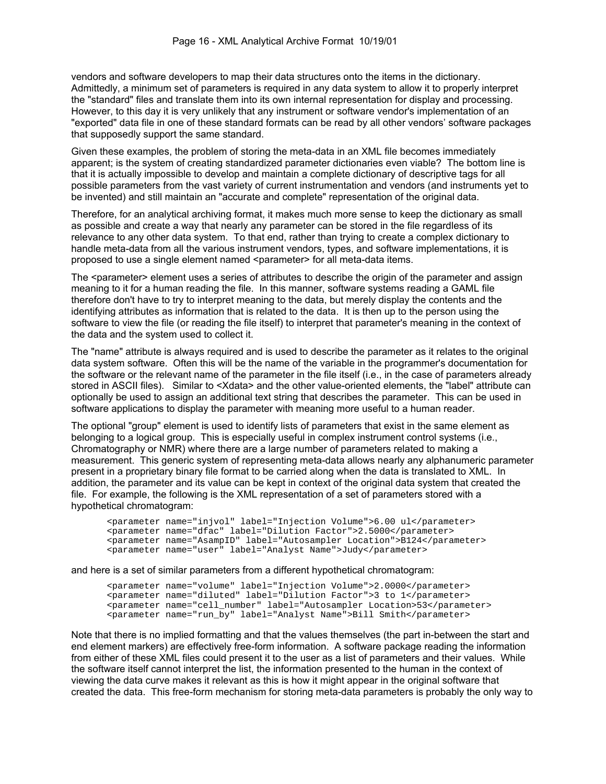vendors and software developers to map their data structures onto the items in the dictionary. Admittedly, a minimum set of parameters is required in any data system to allow it to properly interpret the "standard" files and translate them into its own internal representation for display and processing. However, to this day it is very unlikely that any instrument or software vendor's implementation of an "exported" data file in one of these standard formats can be read by all other vendors' software packages that supposedly support the same standard.

Given these examples, the problem of storing the meta-data in an XML file becomes immediately apparent; is the system of creating standardized parameter dictionaries even viable? The bottom line is that it is actually impossible to develop and maintain a complete dictionary of descriptive tags for all possible parameters from the vast variety of current instrumentation and vendors (and instruments yet to be invented) and still maintain an "accurate and complete" representation of the original data.

Therefore, for an analytical archiving format, it makes much more sense to keep the dictionary as small as possible and create a way that nearly any parameter can be stored in the file regardless of its relevance to any other data system. To that end, rather than trying to create a complex dictionary to handle meta-data from all the various instrument vendors, types, and software implementations, it is proposed to use a single element named <parameter> for all meta-data items.

The <parameter> element uses a series of attributes to describe the origin of the parameter and assign meaning to it for a human reading the file. In this manner, software systems reading a GAML file therefore don't have to try to interpret meaning to the data, but merely display the contents and the identifying attributes as information that is related to the data. It is then up to the person using the software to view the file (or reading the file itself) to interpret that parameter's meaning in the context of the data and the system used to collect it.

The "name" attribute is always required and is used to describe the parameter as it relates to the original data system software. Often this will be the name of the variable in the programmer's documentation for the software or the relevant name of the parameter in the file itself (i.e., in the case of parameters already stored in ASCII files). Similar to <Xdata> and the other value-oriented elements, the "label" attribute can optionally be used to assign an additional text string that describes the parameter. This can be used in software applications to display the parameter with meaning more useful to a human reader.

The optional "group" element is used to identify lists of parameters that exist in the same element as belonging to a logical group. This is especially useful in complex instrument control systems (i.e., Chromatography or NMR) where there are a large number of parameters related to making a measurement. This generic system of representing meta-data allows nearly any alphanumeric parameter present in a proprietary binary file format to be carried along when the data is translated to XML. In addition, the parameter and its value can be kept in context of the original data system that created the file. For example, the following is the XML representation of a set of parameters stored with a hypothetical chromatogram:

```
 <parameter name="injvol" label="Injection Volume">6.00 ul</parameter> 
 <parameter name="dfac" label="Dilution Factor">2.5000</parameter> 
 <parameter name="AsampID" label="Autosampler Location">B124</parameter> 
 <parameter name="user" label="Analyst Name">Judy</parameter>
```
and here is a set of similar parameters from a different hypothetical chromatogram:

```
 <parameter name="volume" label="Injection Volume">2.0000</parameter> 
 <parameter name="diluted" label="Dilution Factor">3 to 1</parameter> 
 <parameter name="cell_number" label="Autosampler Location>53</parameter> 
 <parameter name="run_by" label="Analyst Name">Bill Smith</parameter>
```
Note that there is no implied formatting and that the values themselves (the part in-between the start and end element markers) are effectively free-form information. A software package reading the information from either of these XML files could present it to the user as a list of parameters and their values. While the software itself cannot interpret the list, the information presented to the human in the context of viewing the data curve makes it relevant as this is how it might appear in the original software that created the data. This free-form mechanism for storing meta-data parameters is probably the only way to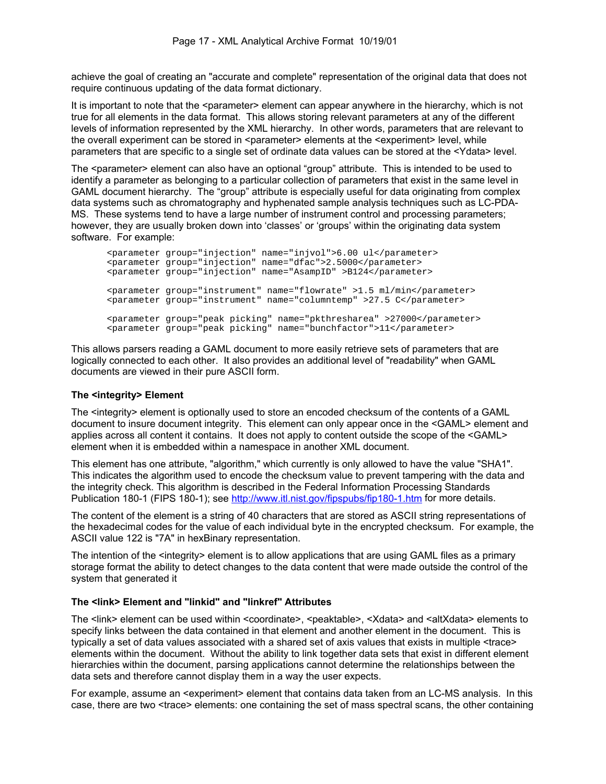achieve the goal of creating an "accurate and complete" representation of the original data that does not require continuous updating of the data format dictionary.

It is important to note that the <parameter> element can appear anywhere in the hierarchy, which is not true for all elements in the data format. This allows storing relevant parameters at any of the different levels of information represented by the XML hierarchy. In other words, parameters that are relevant to the overall experiment can be stored in <parameter> elements at the <experiment> level, while parameters that are specific to a single set of ordinate data values can be stored at the <Ydata> level.

The <parameter> element can also have an optional "group" attribute. This is intended to be used to identify a parameter as belonging to a particular collection of parameters that exist in the same level in GAML document hierarchy. The "group" attribute is especially useful for data originating from complex data systems such as chromatography and hyphenated sample analysis techniques such as LC-PDA-MS. These systems tend to have a large number of instrument control and processing parameters; however, they are usually broken down into 'classes' or 'groups' within the originating data system software. For example:

 <parameter group="injection" name="injvol">6.00 ul</parameter> <parameter group="injection" name="dfac">2.5000</parameter> <parameter group="injection" name="AsampID" >B124</parameter> <parameter group="instrument" name="flowrate" >1.5 ml/min</parameter> <parameter group="instrument" name="columntemp" >27.5 C</parameter> <parameter group="peak picking" name="pkthresharea" >27000</parameter> <parameter group="peak picking" name="bunchfactor">11</parameter>

This allows parsers reading a GAML document to more easily retrieve sets of parameters that are logically connected to each other. It also provides an additional level of "readability" when GAML documents are viewed in their pure ASCII form.

#### **The <integrity> Element**

The <integrity> element is optionally used to store an encoded checksum of the contents of a GAML document to insure document integrity. This element can only appear once in the <GAML> element and applies across all content it contains. It does not apply to content outside the scope of the <GAML> element when it is embedded within a namespace in another XML document.

This element has one attribute, "algorithm," which currently is only allowed to have the value "SHA1". This indicates the algorithm used to encode the checksum value to prevent tampering with the data and the integrity check. This algorithm is described in the Federal Information Processing Standards Publication 180-1 (FIPS 180-1); see http://www.itl.nist.gov/fipspubs/fip180-1.htm for more details.

The content of the element is a string of 40 characters that are stored as ASCII string representations of the hexadecimal codes for the value of each individual byte in the encrypted checksum. For example, the ASCII value 122 is "7A" in hexBinary representation.

The intention of the <integrity> element is to allow applications that are using GAML files as a primary storage format the ability to detect changes to the data content that were made outside the control of the system that generated it

#### **The <link> Element and "linkid" and "linkref" Attributes**

The <link> element can be used within <coordinate>, <peaktable>, < $X$ data> and <altXdata> elements to specify links between the data contained in that element and another element in the document. This is typically a set of data values associated with a shared set of axis values that exists in multiple <trace> elements within the document. Without the ability to link together data sets that exist in different element hierarchies within the document, parsing applications cannot determine the relationships between the data sets and therefore cannot display them in a way the user expects.

For example, assume an <experiment> element that contains data taken from an LC-MS analysis. In this case, there are two <trace> elements: one containing the set of mass spectral scans, the other containing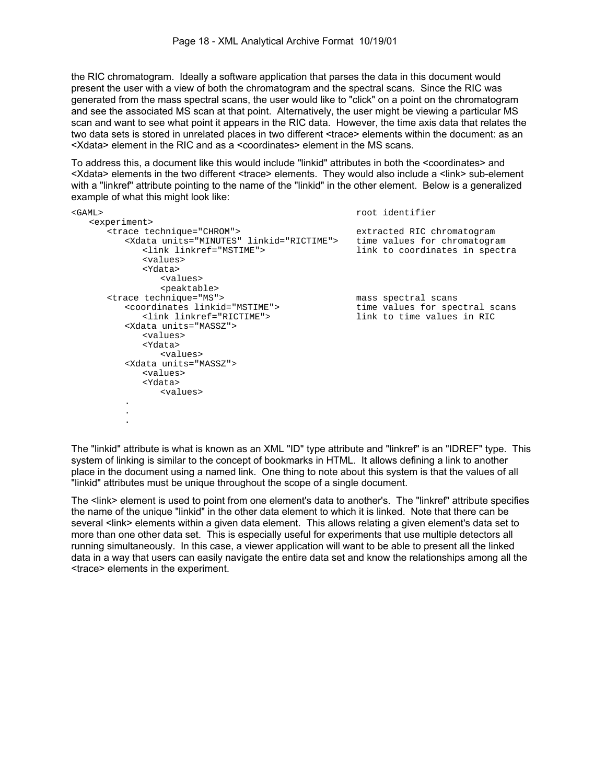the RIC chromatogram. Ideally a software application that parses the data in this document would present the user with a view of both the chromatogram and the spectral scans. Since the RIC was generated from the mass spectral scans, the user would like to "click" on a point on the chromatogram and see the associated MS scan at that point. Alternatively, the user might be viewing a particular MS scan and want to see what point it appears in the RIC data. However, the time axis data that relates the two data sets is stored in unrelated places in two different <trace> elements within the document: as an <Xdata> element in the RIC and as a <coordinates> element in the MS scans.

To address this, a document like this would include "linkid" attributes in both the <coordinates> and <Xdata> elements in the two different <trace> elements. They would also include a <link> sub-element with a "linkref" attribute pointing to the name of the "linkid" in the other element. Below is a generalized example of what this might look like:

| $<$ GAML $>$                                     | root identifier                |
|--------------------------------------------------|--------------------------------|
| <experiment></experiment>                        |                                |
| <trace technique="CHROM"></trace>                | extracted RIC chromatogram     |
| <xdata linkid="RICTIME" units="MINUTES"></xdata> | time values for chromatogram   |
| <link linkref="MSTIME"/>                         | link to coordinates in spectra |
| <values></values>                                |                                |
| <ydata></ydata>                                  |                                |
| <values></values>                                |                                |
| <peaktable></peaktable>                          |                                |
| <trace technique="MS"></trace>                   | mass spectral scans            |
| <coordinates linkid="MSTIME"></coordinates>      | time values for spectral scans |
| <link linkref="RICTIME"/>                        | link to time values in RIC     |
| <xdata units="MASSZ"></xdata>                    |                                |
| <values></values>                                |                                |
| <ydata></ydata>                                  |                                |
| <values></values>                                |                                |
| <xdata units="MASSZ"></xdata>                    |                                |
| <values></values>                                |                                |
| <ydata></ydata>                                  |                                |
| <values></values>                                |                                |
| $\ddot{\phantom{0}}$                             |                                |
|                                                  |                                |
|                                                  |                                |

The "linkid" attribute is what is known as an XML "ID" type attribute and "linkref" is an "IDREF" type. This system of linking is similar to the concept of bookmarks in HTML. It allows defining a link to another place in the document using a named link. One thing to note about this system is that the values of all "linkid" attributes must be unique throughout the scope of a single document.

The <link> element is used to point from one element's data to another's. The "linkref" attribute specifies the name of the unique "linkid" in the other data element to which it is linked. Note that there can be several <link> elements within a given data element. This allows relating a given element's data set to more than one other data set. This is especially useful for experiments that use multiple detectors all running simultaneously. In this case, a viewer application will want to be able to present all the linked data in a way that users can easily navigate the entire data set and know the relationships among all the <trace> elements in the experiment.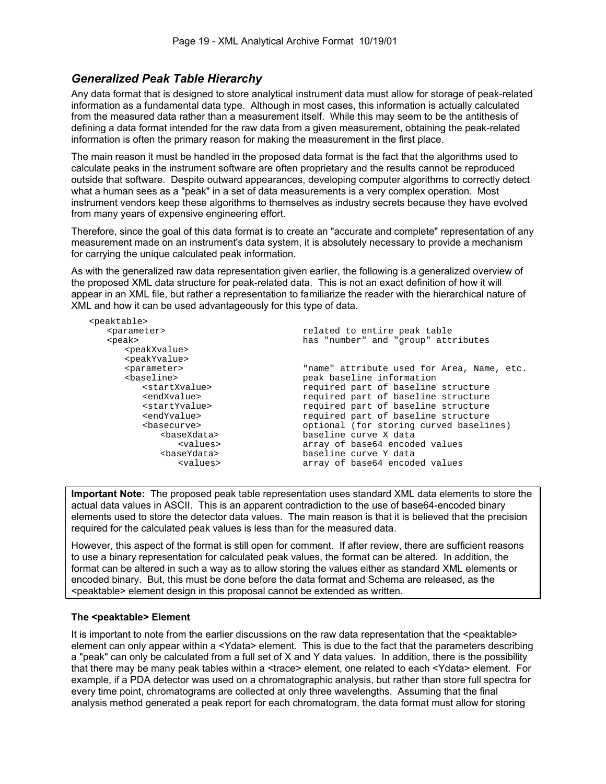# *Generalized Peak Table Hierarchy*

Any data format that is designed to store analytical instrument data must allow for storage of peak-related information as a fundamental data type. Although in most cases, this information is actually calculated from the measured data rather than a measurement itself. While this may seem to be the antithesis of defining a data format intended for the raw data from a given measurement, obtaining the peak-related information is often the primary reason for making the measurement in the first place.

The main reason it must be handled in the proposed data format is the fact that the algorithms used to calculate peaks in the instrument software are often proprietary and the results cannot be reproduced outside that software. Despite outward appearances, developing computer algorithms to correctly detect what a human sees as a "peak" in a set of data measurements is a very complex operation. Most instrument vendors keep these algorithms to themselves as industry secrets because they have evolved from many years of expensive engineering effort.

Therefore, since the goal of this data format is to create an "accurate and complete" representation of any measurement made on an instrument's data system, it is absolutely necessary to provide a mechanism for carrying the unique calculated peak information.

As with the generalized raw data representation given earlier, the following is a generalized overview of the proposed XML data structure for peak-related data. This is not an exact definition of how it will appear in an XML file, but rather a representation to familiarize the reader with the hierarchical nature of XML and how it can be used advantageously for this type of data.

| <peaktable></peaktable>     |                                            |
|-----------------------------|--------------------------------------------|
| <parameter></parameter>     | related to entire peak table               |
| <peak></peak>               | has "number" and "group" attributes        |
| <peakxvalue></peakxvalue>   |                                            |
| <peakyvalue></peakyvalue>   |                                            |
| <parameter></parameter>     | "name" attribute used for Area, Name, etc. |
| <baseline></baseline>       | peak baseline information                  |
| <startxvalue></startxvalue> | required part of baseline structure        |
| <endxvalue></endxvalue>     | required part of baseline structure        |
| <startyvalue></startyvalue> | required part of baseline structure        |
| <endyvalue></endyvalue>     | required part of baseline structure        |
| <basecurve></basecurve>     | optional (for storing curved baselines)    |
| <basexdata></basexdata>     | baseline curve X data                      |
| <values></values>           | array of base64 encoded values             |
| <baseydata></baseydata>     | baseline curve Y data                      |
| <values></values>           | array of base64 encoded values             |
|                             |                                            |

**Important Note:** The proposed peak table representation uses standard XML data elements to store the actual data values in ASCII. This is an apparent contradiction to the use of base64-encoded binary elements used to store the detector data values. The main reason is that it is believed that the precision required for the calculated peak values is less than for the measured data.

However, this aspect of the format is still open for comment. If after review, there are sufficient reasons to use a binary representation for calculated peak values, the format can be altered. In addition, the format can be altered in such a way as to allow storing the values either as standard XML elements or encoded binary. But, this must be done before the data format and Schema are released, as the <peaktable> element design in this proposal cannot be extended as written.

#### **The <peaktable> Element**

It is important to note from the earlier discussions on the raw data representation that the <peaktable> element can only appear within a <Ydata> element. This is due to the fact that the parameters describing a "peak" can only be calculated from a full set of X and Y data values. In addition, there is the possibility that there may be many peak tables within a <trace> element, one related to each <Ydata> element. For example, if a PDA detector was used on a chromatographic analysis, but rather than store full spectra for every time point, chromatograms are collected at only three wavelengths. Assuming that the final analysis method generated a peak report for each chromatogram, the data format must allow for storing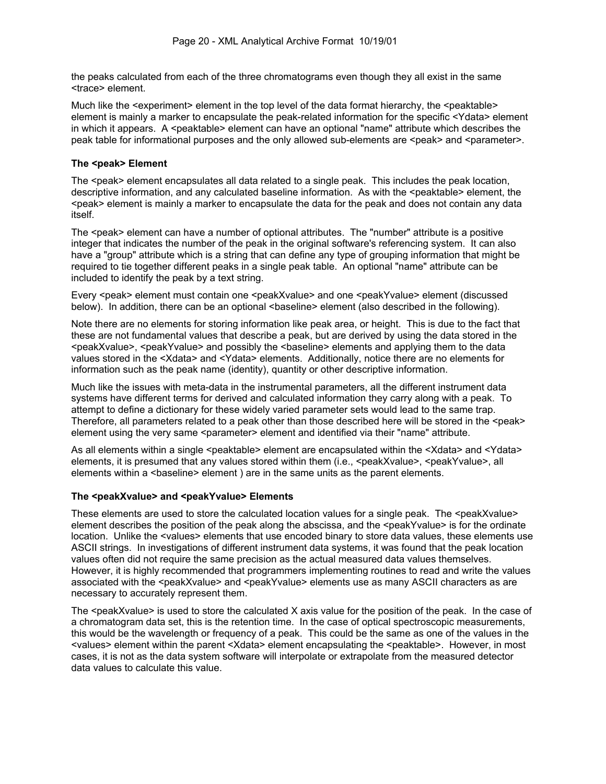the peaks calculated from each of the three chromatograms even though they all exist in the same <trace> element.

Much like the <experiment> element in the top level of the data format hierarchy, the <peaktable> element is mainly a marker to encapsulate the peak-related information for the specific <Ydata> element in which it appears. A  $\epsilon$  seaktable  $\epsilon$  element can have an optional "name" attribute which describes the peak table for informational purposes and the only allowed sub-elements are <peak> and <parameter>.

#### **The <peak> Element**

The <peak> element encapsulates all data related to a single peak. This includes the peak location, descriptive information, and any calculated baseline information. As with the <peaktable> element, the <peak> element is mainly a marker to encapsulate the data for the peak and does not contain any data itself.

The <peak> element can have a number of optional attributes. The "number" attribute is a positive integer that indicates the number of the peak in the original software's referencing system. It can also have a "group" attribute which is a string that can define any type of grouping information that might be required to tie together different peaks in a single peak table. An optional "name" attribute can be included to identify the peak by a text string.

Every <peak> element must contain one <peakXvalue> and one <peakYvalue> element (discussed below). In addition, there can be an optional <br/>baseline> element (also described in the following).

Note there are no elements for storing information like peak area, or height. This is due to the fact that these are not fundamental values that describe a peak, but are derived by using the data stored in the <peakXvalue>, <peakYvalue> and possibly the <baseline> elements and applying them to the data values stored in the <Xdata> and <Ydata> elements. Additionally, notice there are no elements for information such as the peak name (identity), quantity or other descriptive information.

Much like the issues with meta-data in the instrumental parameters, all the different instrument data systems have different terms for derived and calculated information they carry along with a peak. To attempt to define a dictionary for these widely varied parameter sets would lead to the same trap. Therefore, all parameters related to a peak other than those described here will be stored in the <peak> element using the very same <parameter> element and identified via their "name" attribute.

As all elements within a single <peaktable> element are encapsulated within the <Xdata> and <Ydata> elements, it is presumed that any values stored within them (i.e.,  $\leq$  peakXvalue>,  $\leq$  peakYvalue>, all elements within a <br />baseline> element ) are in the same units as the parent elements.

#### **The <peakXvalue> and <peakYvalue> Elements**

These elements are used to store the calculated location values for a single peak. The <peakXvalue> element describes the position of the peak along the abscissa, and the <peakYvalue> is for the ordinate location. Unlike the <values> elements that use encoded binary to store data values, these elements use ASCII strings. In investigations of different instrument data systems, it was found that the peak location values often did not require the same precision as the actual measured data values themselves. However, it is highly recommended that programmers implementing routines to read and write the values associated with the <peakXvalue> and <peakYvalue> elements use as many ASCII characters as are necessary to accurately represent them.

The <peakXvalue> is used to store the calculated X axis value for the position of the peak. In the case of a chromatogram data set, this is the retention time. In the case of optical spectroscopic measurements, this would be the wavelength or frequency of a peak. This could be the same as one of the values in the <values> element within the parent <Xdata> element encapsulating the <peaktable>. However, in most cases, it is not as the data system software will interpolate or extrapolate from the measured detector data values to calculate this value.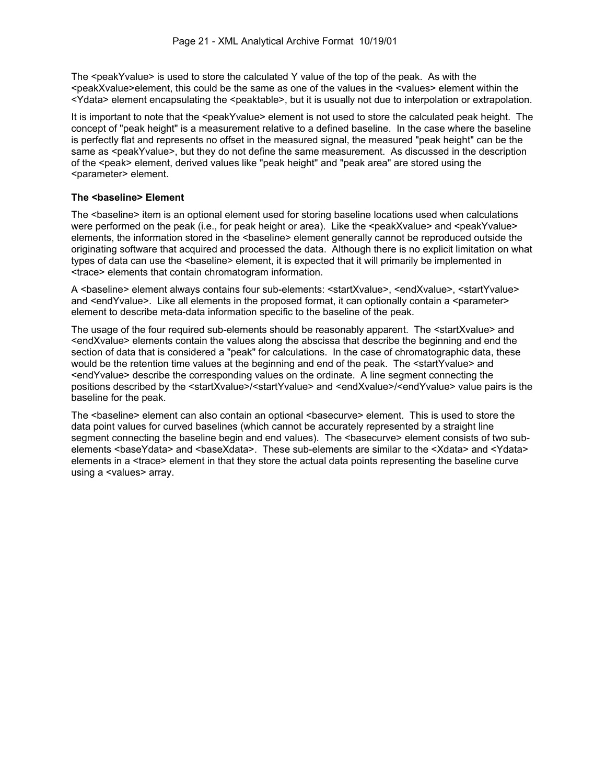The <peakYvalue> is used to store the calculated Y value of the top of the peak. As with the  $\epsilon$  speakXvalue>element, this could be the same as one of the values in the  $\epsilon$ values> element within the <Ydata> element encapsulating the <peaktable>, but it is usually not due to interpolation or extrapolation.

It is important to note that the <peakYvalue> element is not used to store the calculated peak height. The concept of "peak height" is a measurement relative to a defined baseline. In the case where the baseline is perfectly flat and represents no offset in the measured signal, the measured "peak height" can be the same as <peakYvalue>, but they do not define the same measurement. As discussed in the description of the <peak> element, derived values like "peak height" and "peak area" are stored using the <parameter> element.

#### **The <baseline> Element**

The <baseline> item is an optional element used for storing baseline locations used when calculations were performed on the peak (i.e., for peak height or area). Like the <peakXvalue> and <peakYvalue> elements, the information stored in the <br >>baseline> element generally cannot be reproduced outside the originating software that acquired and processed the data. Although there is no explicit limitation on what types of data can use the <br />baseline> element, it is expected that it will primarily be implemented in <trace> elements that contain chromatogram information.

A <br/>baseline> element always contains four sub-elements: <startXvalue>, <endXvalue>, <startYvalue> and <endYvalue>. Like all elements in the proposed format, it can optionally contain a <parameter> element to describe meta-data information specific to the baseline of the peak.

The usage of the four required sub-elements should be reasonably apparent. The <startXvalue> and <endXvalue> elements contain the values along the abscissa that describe the beginning and end the section of data that is considered a "peak" for calculations. In the case of chromatographic data, these would be the retention time values at the beginning and end of the peak. The <startYvalue> and <endYvalue> describe the corresponding values on the ordinate. A line segment connecting the positions described by the <startXvalue>/<startYvalue> and <endXvalue>/<endYvalue> value pairs is the baseline for the peak.

The <baseline> element can also contain an optional <br/>sbasecurve> element. This is used to store the data point values for curved baselines (which cannot be accurately represented by a straight line segment connecting the baseline begin and end values). The <br/>basecurve> element consists of two subelements <br />aseYdata> and <br />saseXdata>. These sub-elements are similar to the <Xdata> and <Ydata> elements in a <trace> element in that they store the actual data points representing the baseline curve using a <values> array.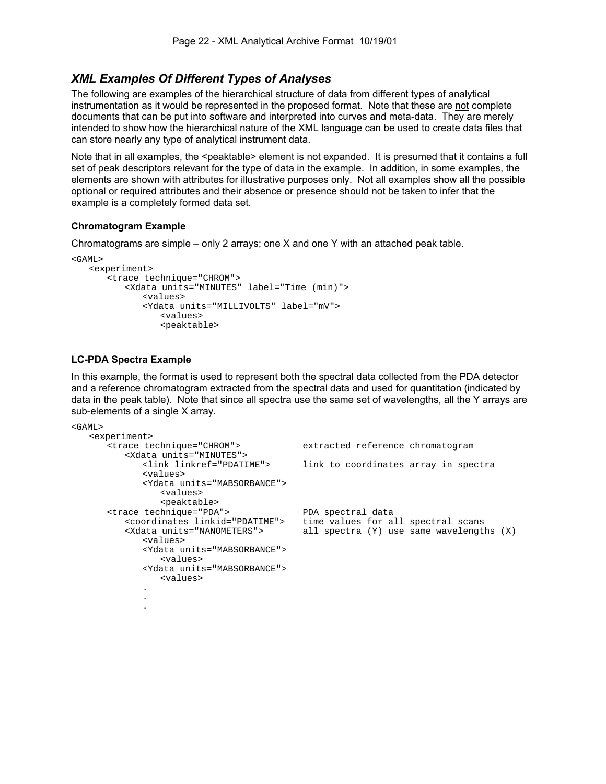## *XML Examples Of Different Types of Analyses*

The following are examples of the hierarchical structure of data from different types of analytical instrumentation as it would be represented in the proposed format. Note that these are not complete documents that can be put into software and interpreted into curves and meta-data. They are merely intended to show how the hierarchical nature of the XML language can be used to create data files that can store nearly any type of analytical instrument data.

Note that in all examples, the <peaktable> element is not expanded. It is presumed that it contains a full set of peak descriptors relevant for the type of data in the example. In addition, in some examples, the elements are shown with attributes for illustrative purposes only. Not all examples show all the possible optional or required attributes and their absence or presence should not be taken to infer that the example is a completely formed data set.

#### **Chromatogram Example**

Chromatograms are simple – only 2 arrays; one X and one Y with an attached peak table.

```
<GAML> 
    <experiment> 
       <trace technique="CHROM"> 
            <Xdata units="MINUTES" label="Time_(min)"> 
                <values> 
               <Ydata units="MILLIVOLTS" label="mV"> 
                   <values> 
                   <peaktable>
```
#### **LC-PDA Spectra Example**

In this example, the format is used to represent both the spectral data collected from the PDA detector and a reference chromatogram extracted from the spectral data and used for quantitation (indicated by data in the peak table). Note that since all spectra use the same set of wavelengths, all the Y arrays are sub-elements of a single X array.

```
<GAML> 
   <experiment><br><trace technique="CHROM">
                                        extracted reference chromatogram
          <Xdata units="MINUTES"> 
              <link linkref="PDATIME"> link to coordinates array in spectra 
              <values> 
              <Ydata units="MABSORBANCE"> 
                 <values> 
                 <peaktable> 
       <trace technique="PDA"> PDA spectral data 
          <coordinates linkid="PDATIME"> time values for all spectral scans 
          <Xdata units="NANOMETERS"> all spectra (Y) use same wavelengths (X) 
             <values> 
             <Ydata units="MABSORBANCE"> 
                 <values> 
              <Ydata units="MABSORBANCE"> 
                 <values> 
 . 
 . 
 .
```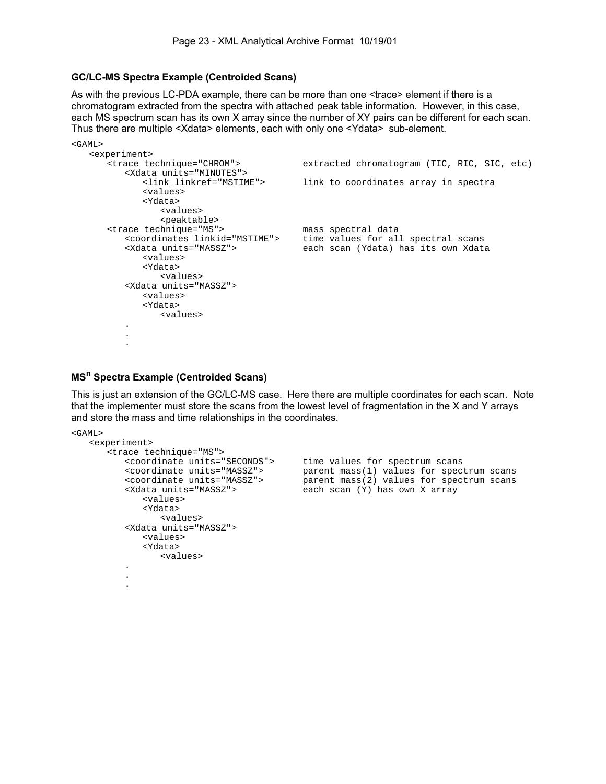#### **GC/LC-MS Spectra Example (Centroided Scans)**

As with the previous LC-PDA example, there can be more than one <trace> element if there is a chromatogram extracted from the spectra with attached peak table information. However, in this case, each MS spectrum scan has its own X array since the number of XY pairs can be different for each scan. Thus there are multiple <Xdata> elements, each with only one <Ydata> sub-element.

```
<GAML> 
    <experiment> 
       <trace technique="CHROM"> extracted chromatogram (TIC, RIC, SIC, etc) 
          <Xdata units="MINUTES"> 
             <link linkref="MSTIME"> link to coordinates array in spectra 
             <values> 
             <Ydata> 
                <values> 
      <peaktable><br><trace technique="MS">
 <trace technique="MS"> mass spectral data 
 <coordinates linkid="MSTIME"> time values for all spectral scans 
 <Xdata units="MASSZ"> each scan (Ydata) has its own Xdata 
             <values> 
             <Ydata> 
                <values> 
          <Xdata units="MASSZ"> 
             <values> 
             <Ydata> 
                <values> 
 . 
 . 
 .
```
# **MSn Spectra Example (Centroided Scans)**

This is just an extension of the GC/LC-MS case. Here there are multiple coordinates for each scan. Note that the implementer must store the scans from the lowest level of fragmentation in the X and Y arrays and store the mass and time relationships in the coordinates.

 $<$ GAML $>$ 

```
 <experiment> 
      <trace technique="MS"> 
 <coordinate units="SECONDS"> time values for spectrum scans 
 <coordinate units="MASSZ"> parent mass(1) values for spectrum scans 
 <coordinate units="MASSZ"> parent mass(2) values for spectrum scans 
 <Xdata units="MASSZ"> each scan (Y) has own X array 
            <values> 
            <Ydata> 
               <values> 
         <Xdata units="MASSZ"> 
            <values> 
            <Ydata> 
               <values> 
 . 
 . 
 .
```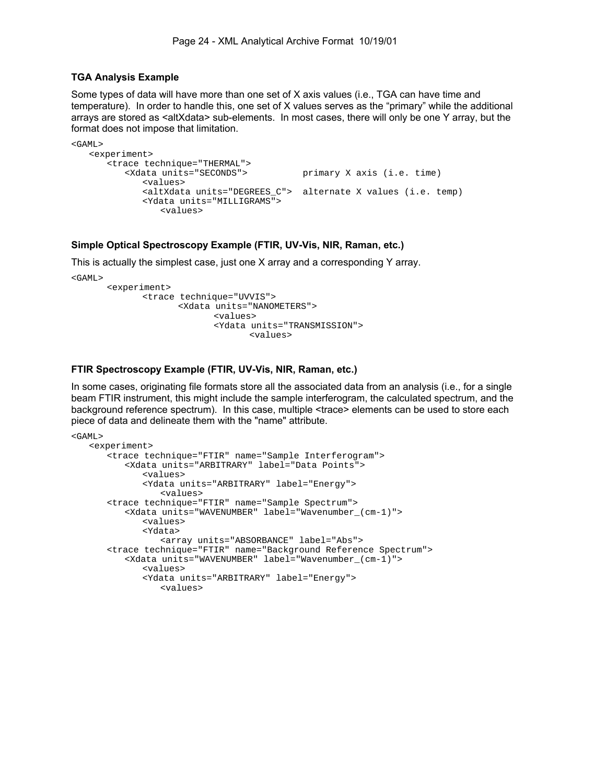#### **TGA Analysis Example**

Some types of data will have more than one set of X axis values (i.e., TGA can have time and temperature). In order to handle this, one set of X values serves as the "primary" while the additional arrays are stored as <altXdata> sub-elements. In most cases, there will only be one Y array, but the format does not impose that limitation.

```
<GAML> 
    <experiment> 
        <trace technique="THERMAL"> 
                                            primary X axis (i.e. time)
               <values> 
               <altXdata units="DEGREES_C"> alternate X values (i.e. temp) 
               <Ydata units="MILLIGRAMS"> 
                  <values>
```
#### **Simple Optical Spectroscopy Example (FTIR, UV-Vis, NIR, Raman, etc.)**

This is actually the simplest case, just one X array and a corresponding Y array.

```
<GAML>
```

```
 <experiment> 
        <trace technique="UVVIS"> 
                <Xdata units="NANOMETERS"> 
                       <values> 
                       <Ydata units="TRANSMISSION"> 
                               <values>
```
#### **FTIR Spectroscopy Example (FTIR, UV-Vis, NIR, Raman, etc.)**

In some cases, originating file formats store all the associated data from an analysis (i.e., for a single beam FTIR instrument, this might include the sample interferogram, the calculated spectrum, and the background reference spectrum). In this case, multiple <trace> elements can be used to store each piece of data and delineate them with the "name" attribute.

```
<GAML> 
    <experiment> 
        <trace technique="FTIR" name="Sample Interferogram"> 
           <Xdata units="ARBITRARY" label="Data Points"> 
               <values> 
               <Ydata units="ARBITRARY" label="Energy"> 
                  <values> 
        <trace technique="FTIR" name="Sample Spectrum"> 
           <Xdata units="WAVENUMBER" label="Wavenumber_(cm-1)"> 
               <values> 
               <Ydata> 
                  <array units="ABSORBANCE" label="Abs"> 
        <trace technique="FTIR" name="Background Reference Spectrum"> 
           <Xdata units="WAVENUMBER" label="Wavenumber_(cm-1)"> 
               <values> 
               <Ydata units="ARBITRARY" label="Energy"> 
                  <values>
```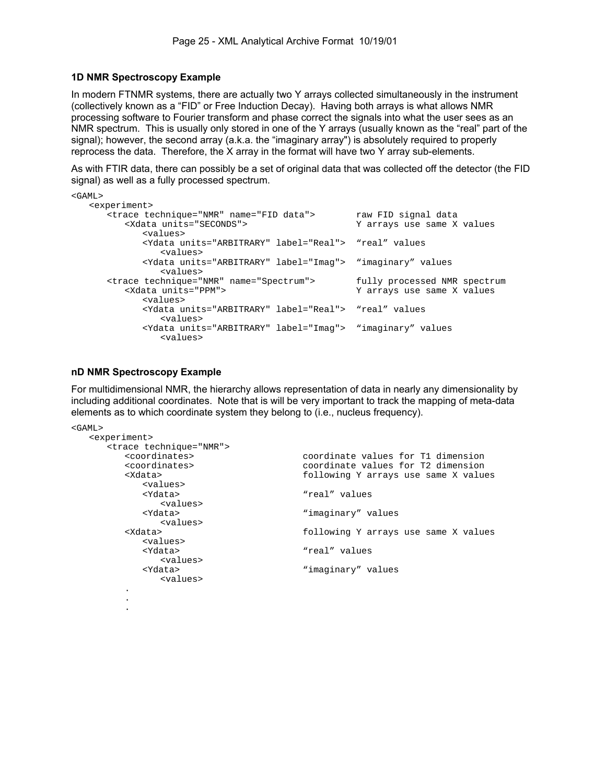#### **1D NMR Spectroscopy Example**

In modern FTNMR systems, there are actually two Y arrays collected simultaneously in the instrument (collectively known as a "FID" or Free Induction Decay). Having both arrays is what allows NMR processing software to Fourier transform and phase correct the signals into what the user sees as an NMR spectrum. This is usually only stored in one of the Y arrays (usually known as the "real" part of the signal); however, the second array (a.k.a. the "imaginary array") is absolutely required to properly reprocess the data. Therefore, the X array in the format will have two Y array sub-elements.

As with FTIR data, there can possibly be a set of original data that was collected off the detector (the FID signal) as well as a fully processed spectrum.

| $<$ GAML>                                                                                             |                                                            |
|-------------------------------------------------------------------------------------------------------|------------------------------------------------------------|
| <experiment></experiment>                                                                             |                                                            |
| <trace name="FID data" technique="NMR"><br/><xdata units="SECONDS"></xdata></trace>                   | raw FID signal data<br>Y arrays use same X values          |
| <values></values>                                                                                     |                                                            |
| <ydata label="Real" units="ARBITRARY"> "real" values<br/><values></values></ydata>                    |                                                            |
| <ydata label="Imag" units="ARBITRARY"> "imaginary" values<br/><values></values></ydata>               |                                                            |
| <trace name="Spectrum" technique="NMR"><br/><xdata units="PPM"><br/><values></values></xdata></trace> | fully processed NMR spectrum<br>Y arrays use same X values |
| <ydata label="Real" units="ARBITRARY"> "real" values<br/><values></values></ydata>                    |                                                            |
| <ydata label="Imaq" units="ARBITRARY"> "imaqinary" values<br/><values></values></ydata>               |                                                            |

#### **nD NMR Spectroscopy Example**

For multidimensional NMR, the hierarchy allows representation of data in nearly any dimensionality by including additional coordinates. Note that is will be very important to track the mapping of meta-data elements as to which coordinate system they belong to (i.e., nucleus frequency).

```
<GAML> 
   <experiment> 
      <trace technique="NMR"> 
         <coordinates> coordinate values for T1 dimension 
          <coordinates> coordinate values for T2 dimension 
                                       following Y arrays use same X values
            <values><br><Ydata>
                                       "real" values
            <values><br><Ydata>
                                       "imaginary" values
         <values><br><Xdata>
                                       following Y arrays use same X values
             <values> 
             <Ydata> "real" values 
            <values><br><Ydata>
                                        "imaginary" values
                <values> 
 . 
 . 
 .
```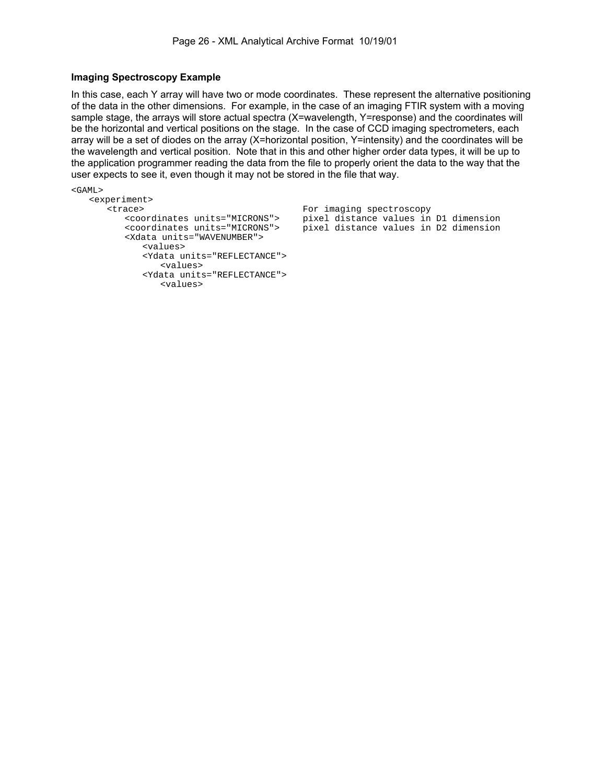#### **Imaging Spectroscopy Example**

In this case, each Y array will have two or mode coordinates. These represent the alternative positioning of the data in the other dimensions. For example, in the case of an imaging FTIR system with a moving sample stage, the arrays will store actual spectra (X=wavelength, Y=response) and the coordinates will be the horizontal and vertical positions on the stage. In the case of CCD imaging spectrometers, each array will be a set of diodes on the array (X=horizontal position, Y=intensity) and the coordinates will be the wavelength and vertical position. Note that in this and other higher order data types, it will be up to the application programmer reading the data from the file to properly orient the data to the way that the user expects to see it, even though it may not be stored in the file that way.

```
<GAML> 
    <experiment> 
       <trace> For imaging spectroscopy 
          <coordinates units="MICRONS"> pixel distance values in D1 dimension 
                                         pixel distance values in D2 dimension
          <Xdata units="WAVENUMBER"> 
             <values> 
             <Ydata units="REFLECTANCE"> 
                 <values> 
             <Ydata units="REFLECTANCE"> 
                 <values>
```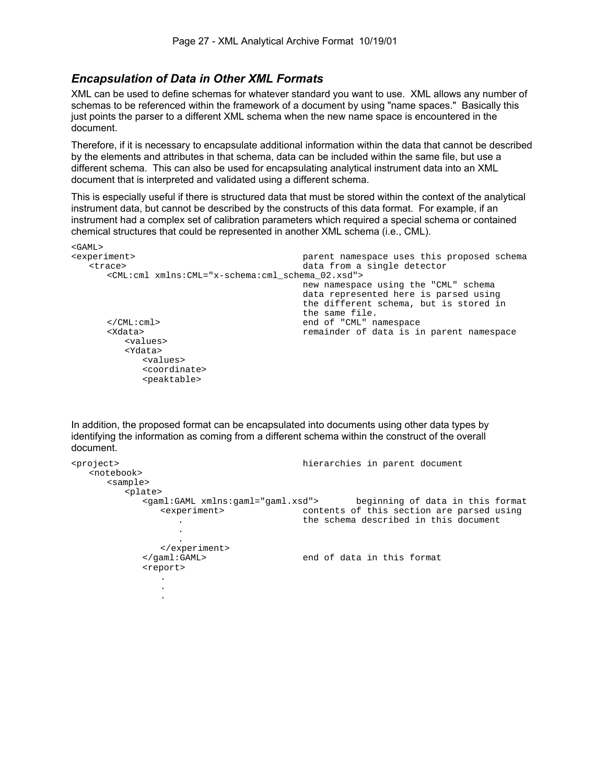### *Encapsulation of Data in Other XML Formats*

XML can be used to define schemas for whatever standard you want to use. XML allows any number of schemas to be referenced within the framework of a document by using "name spaces." Basically this just points the parser to a different XML schema when the new name space is encountered in the document.

Therefore, if it is necessary to encapsulate additional information within the data that cannot be described by the elements and attributes in that schema, data can be included within the same file, but use a different schema. This can also be used for encapsulating analytical instrument data into an XML document that is interpreted and validated using a different schema.

This is especially useful if there is structured data that must be stored within the context of the analytical instrument data, but cannot be described by the constructs of this data format. For example, if an instrument had a complex set of calibration parameters which required a special schema or contained chemical structures that could be represented in another XML schema (i.e., CML).

```
<GAML><br><experiment>
   <experiment> parent namespace uses this proposed schema 
                                         data from a single detector
       <CML:cml xmlns:CML="x-schema:cml_schema_02.xsd"> 
                                          new namespace using the "CML" schema 
                                          data represented here is parsed using 
                                          the different schema, but is stored in 
      the same file.<br>
s/CML:cml> and of "CML" n
       </CML:cml> end of "CML" namespace 
                                        remainder of data is in parent namespace
          <values> 
          <Ydata> 
             <values> 
             <coordinate> 
             <peaktable>
```
In addition, the proposed format can be encapsulated into documents using other data types by identifying the information as coming from a different schema within the construct of the overall document.

```
<project> hierarchies in parent document 
   <notebook> 
     <sample> 
       <plate> 
          <gaml:GAML xmlns:gaml="gaml.xsd"> beginning of data in this format 
            <experiment> contents of this section are parsed using 
              . the schema described in this document 
 . 
 . 
            </experiment> 
          </gaml:GAML> end of data in this format 
          <report> 
 . 
 . 
 .
```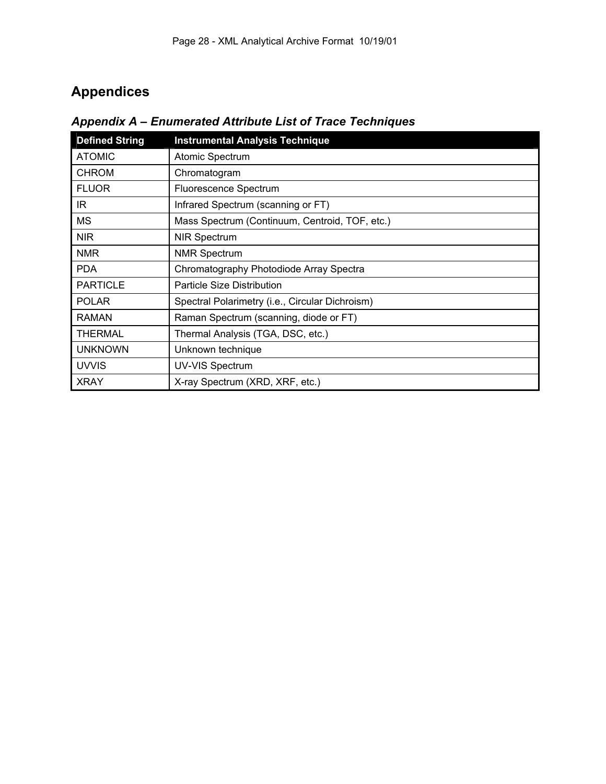# **Appendices**

| <b>Defined String</b> | <b>Instrumental Analysis Technique</b>          |
|-----------------------|-------------------------------------------------|
| <b>ATOMIC</b>         | Atomic Spectrum                                 |
| <b>CHROM</b>          | Chromatogram                                    |
| <b>FLUOR</b>          | Fluorescence Spectrum                           |
| IR.                   | Infrared Spectrum (scanning or FT)              |
| МS                    | Mass Spectrum (Continuum, Centroid, TOF, etc.)  |
| <b>NIR</b>            | <b>NIR Spectrum</b>                             |
| <b>NMR</b>            | <b>NMR Spectrum</b>                             |
| <b>PDA</b>            | Chromatography Photodiode Array Spectra         |
| <b>PARTICLE</b>       | <b>Particle Size Distribution</b>               |
| <b>POLAR</b>          | Spectral Polarimetry (i.e., Circular Dichroism) |
| <b>RAMAN</b>          | Raman Spectrum (scanning, diode or FT)          |
| <b>THERMAL</b>        | Thermal Analysis (TGA, DSC, etc.)               |
| <b>UNKNOWN</b>        | Unknown technique                               |
| <b>UVVIS</b>          | <b>UV-VIS Spectrum</b>                          |
| <b>XRAY</b>           | X-ray Spectrum (XRD, XRF, etc.)                 |

*Appendix A – Enumerated Attribute List of Trace Techniques*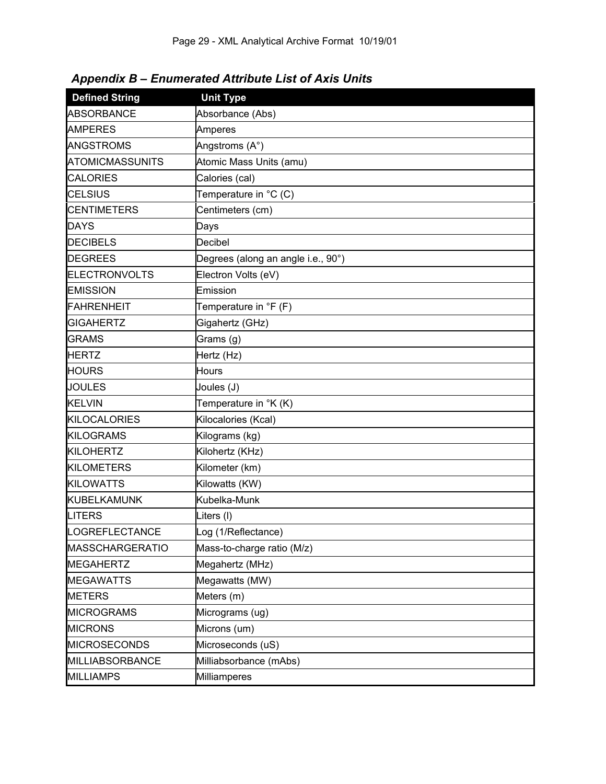|  | <b>Appendix B - Enumerated Attribute List of Axis Units</b> |
|--|-------------------------------------------------------------|
|--|-------------------------------------------------------------|

| <b>Defined String</b>  | <b>Unit Type</b>                   |
|------------------------|------------------------------------|
| <b>ABSORBANCE</b>      | Absorbance (Abs)                   |
| <b>AMPERES</b>         | Amperes                            |
| <b>ANGSTROMS</b>       | Angstroms (A°)                     |
| <b>ATOMICMASSUNITS</b> | Atomic Mass Units (amu)            |
| <b>CALORIES</b>        | Calories (cal)                     |
| <b>CELSIUS</b>         | Temperature in °C (C)              |
| <b>CENTIMETERS</b>     | Centimeters (cm)                   |
| <b>DAYS</b>            | Days                               |
| <b>DECIBELS</b>        | Decibel                            |
| <b>DEGREES</b>         | Degrees (along an angle i.e., 90°) |
| <b>ELECTRONVOLTS</b>   | Electron Volts (eV)                |
| <b>EMISSION</b>        | Emission                           |
| <b>FAHRENHEIT</b>      | Temperature in ${}^{\circ}$ F (F)  |
| <b>GIGAHERTZ</b>       | Gigahertz (GHz)                    |
| <b>GRAMS</b>           | Grams (g)                          |
| <b>HERTZ</b>           | Hertz (Hz)                         |
| <b>HOURS</b>           | <b>Hours</b>                       |
| <b>JOULES</b>          | Joules (J)                         |
| <b>KELVIN</b>          | Temperature in °K (K)              |
| <b>KILOCALORIES</b>    | Kilocalories (Kcal)                |
| <b>KILOGRAMS</b>       | Kilograms (kg)                     |
| <b>KILOHERTZ</b>       | Kilohertz (KHz)                    |
| <b>KILOMETERS</b>      | Kilometer (km)                     |
| <b>KILOWATTS</b>       | Kilowatts (KW)                     |
| <b>KUBELKAMUNK</b>     | Kubelka-Munk                       |
| LITERS                 | Liters (I)                         |
| LOGREFLECTANCE         | Log (1/Reflectance)                |
| <b>MASSCHARGERATIO</b> | Mass-to-charge ratio (M/z)         |
| <b>MEGAHERTZ</b>       | Megahertz (MHz)                    |
| <b>MEGAWATTS</b>       | Megawatts (MW)                     |
| <b>METERS</b>          | Meters (m)                         |
| <b>MICROGRAMS</b>      | Micrograms (ug)                    |
| <b>MICRONS</b>         | Microns (um)                       |
| <b>MICROSECONDS</b>    | Microseconds (uS)                  |
| MILLIABSORBANCE        | Milliabsorbance (mAbs)             |
| <b>MILLIAMPS</b>       | Milliamperes                       |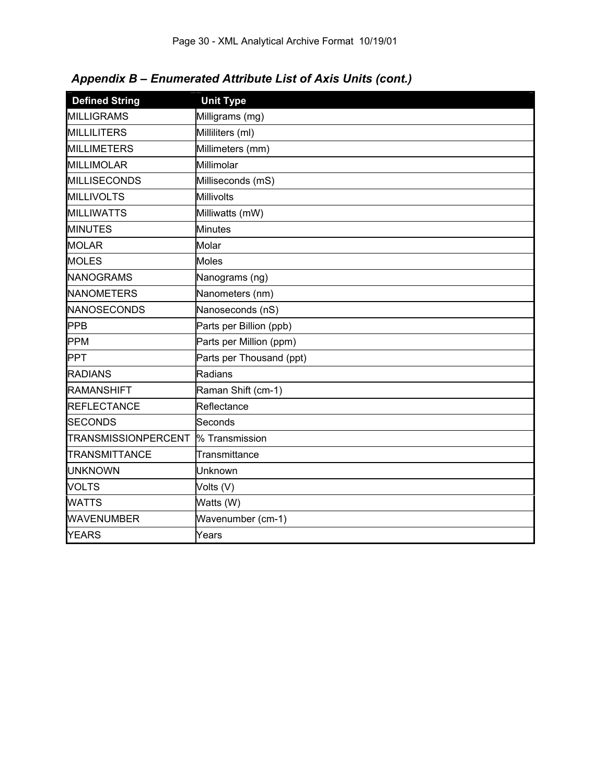| Appendix B - Enumerated Attribute List of Axis Units (cont.) |  |  |  |  |  |
|--------------------------------------------------------------|--|--|--|--|--|
|--------------------------------------------------------------|--|--|--|--|--|

| <b>Defined String</b>      | <b>Unit Type</b>         |
|----------------------------|--------------------------|
| <b>MILLIGRAMS</b>          | Milligrams (mg)          |
| <b>MILLILITERS</b>         | Milliliters (ml)         |
| <b>MILLIMETERS</b>         | Millimeters (mm)         |
| <b>MILLIMOLAR</b>          | Millimolar               |
| <b>MILLISECONDS</b>        | Milliseconds (mS)        |
| <b>MILLIVOLTS</b>          | Millivolts               |
| <b>MILLIWATTS</b>          | Milliwatts (mW)          |
| <b>MINUTES</b>             | Minutes                  |
| <b>MOLAR</b>               | Molar                    |
| <b>MOLES</b>               | Moles                    |
| <b>NANOGRAMS</b>           | Nanograms (ng)           |
| <b>NANOMETERS</b>          | Nanometers (nm)          |
| <b>NANOSECONDS</b>         | Nanoseconds (nS)         |
| <b>PPB</b>                 | Parts per Billion (ppb)  |
| <b>PPM</b>                 | Parts per Million (ppm)  |
| <b>PPT</b>                 | Parts per Thousand (ppt) |
| <b>RADIANS</b>             | Radians                  |
| <b>RAMANSHIFT</b>          | Raman Shift (cm-1)       |
| <b>REFLECTANCE</b>         | Reflectance              |
| <b>SECONDS</b>             | Seconds                  |
| <b>TRANSMISSIONPERCENT</b> | % Transmission           |
| <b>TRANSMITTANCE</b>       | Transmittance            |
| <b>UNKNOWN</b>             | Unknown                  |
| <b>VOLTS</b>               | Volts (V)                |
| <b>WATTS</b>               | Watts (W)                |
| <b>WAVENUMBER</b>          | Wavenumber (cm-1)        |
| <b>YEARS</b>               | Years                    |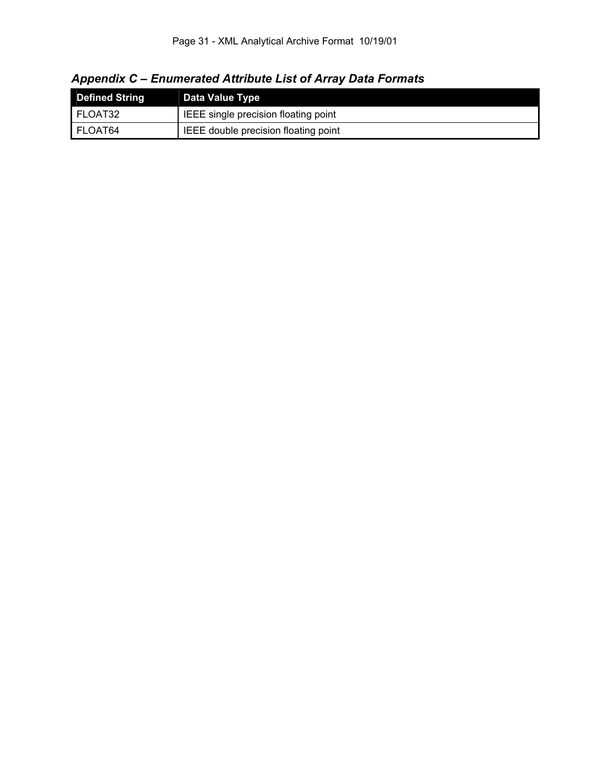*Appendix C – Enumerated Attribute List of Array Data Formats* 

| <b>Defined String</b> | Data Value Type                      |
|-----------------------|--------------------------------------|
| FLOAT32               | IEEE single precision floating point |
| FLOAT64               | IEEE double precision floating point |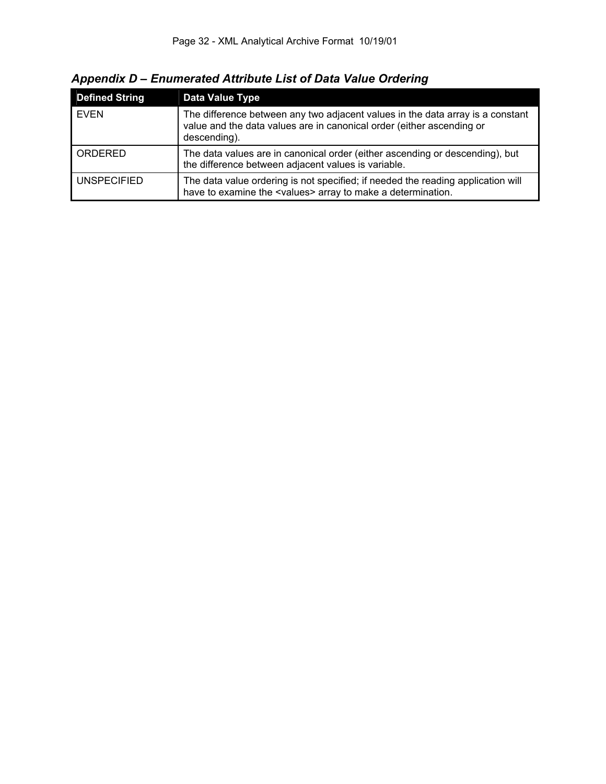| <b>Defined String</b> | Data Value Type                                                                                                                                                         |
|-----------------------|-------------------------------------------------------------------------------------------------------------------------------------------------------------------------|
| <b>EVEN</b>           | The difference between any two adjacent values in the data array is a constant<br>value and the data values are in canonical order (either ascending or<br>descending). |
| ORDERED               | The data values are in canonical order (either ascending or descending), but<br>the difference between adjacent values is variable.                                     |
| I UNSPECIFIED         | The data value ordering is not specified; if needed the reading application will<br>have to examine the <values> array to make a determination.</values>                |

*Appendix D – Enumerated Attribute List of Data Value Ordering*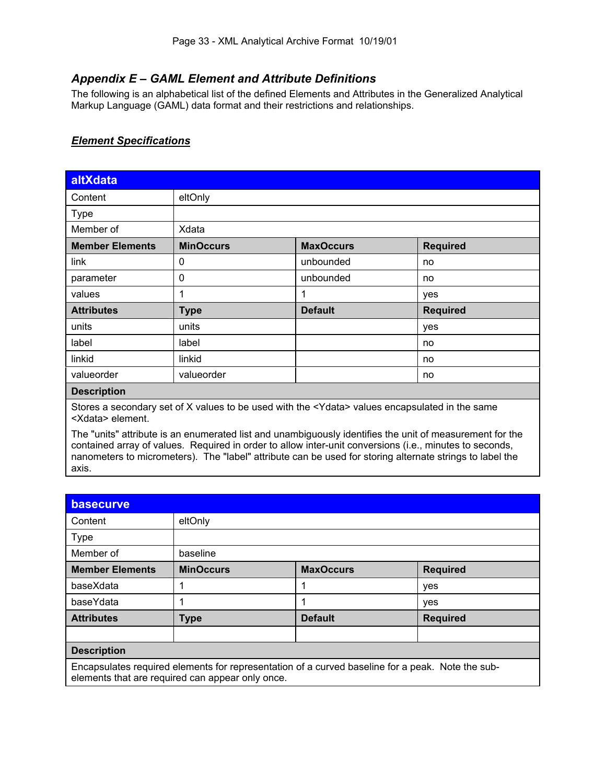# *Appendix E – GAML Element and Attribute Definitions*

The following is an alphabetical list of the defined Elements and Attributes in the Generalized Analytical Markup Language (GAML) data format and their restrictions and relationships.

### *Element Specifications*

| altXdata                                                                                       |                  |                  |                 |  |
|------------------------------------------------------------------------------------------------|------------------|------------------|-----------------|--|
| Content                                                                                        | eltOnly          |                  |                 |  |
| <b>Type</b>                                                                                    |                  |                  |                 |  |
| Member of                                                                                      | Xdata            |                  |                 |  |
| <b>Member Elements</b>                                                                         | <b>MinOccurs</b> | <b>MaxOccurs</b> | <b>Required</b> |  |
| link                                                                                           | 0                | unbounded        | no              |  |
| parameter                                                                                      | 0                | unbounded        | no              |  |
| values                                                                                         |                  | 1                | yes             |  |
| <b>Attributes</b>                                                                              | <b>Type</b>      | <b>Default</b>   | <b>Required</b> |  |
| units                                                                                          | units            |                  | yes             |  |
| label                                                                                          | label            |                  | no              |  |
| linkid                                                                                         | linkid           |                  | no              |  |
| valueorder                                                                                     | valueorder       |                  | no              |  |
| <b>Description</b>                                                                             |                  |                  |                 |  |
| Ctores a secondary ast of V values to be used with the <a></a> conduce anomaulated in the same |                  |                  |                 |  |

Stores a secondary set of X values to be used with the <Ydata> values encapsulated in the same <Xdata> element.

The "units" attribute is an enumerated list and unambiguously identifies the unit of measurement for the contained array of values. Required in order to allow inter-unit conversions (i.e., minutes to seconds, nanometers to micrometers). The "label" attribute can be used for storing alternate strings to label the axis.

| basecurve                                                                                                                                            |                  |                  |                 |  |  |
|------------------------------------------------------------------------------------------------------------------------------------------------------|------------------|------------------|-----------------|--|--|
| Content                                                                                                                                              | eltOnly          |                  |                 |  |  |
| <b>Type</b>                                                                                                                                          |                  |                  |                 |  |  |
| Member of                                                                                                                                            | baseline         |                  |                 |  |  |
| <b>Member Elements</b>                                                                                                                               | <b>MinOccurs</b> | <b>MaxOccurs</b> | <b>Required</b> |  |  |
| baseXdata                                                                                                                                            |                  | 1                | yes             |  |  |
| baseYdata                                                                                                                                            |                  | 1                | yes             |  |  |
| <b>Attributes</b>                                                                                                                                    | <b>Type</b>      | <b>Default</b>   | <b>Required</b> |  |  |
|                                                                                                                                                      |                  |                  |                 |  |  |
| <b>Description</b>                                                                                                                                   |                  |                  |                 |  |  |
| Encapsulates required elements for representation of a curved baseline for a peak. Note the sub-<br>elements that are required can appear only once. |                  |                  |                 |  |  |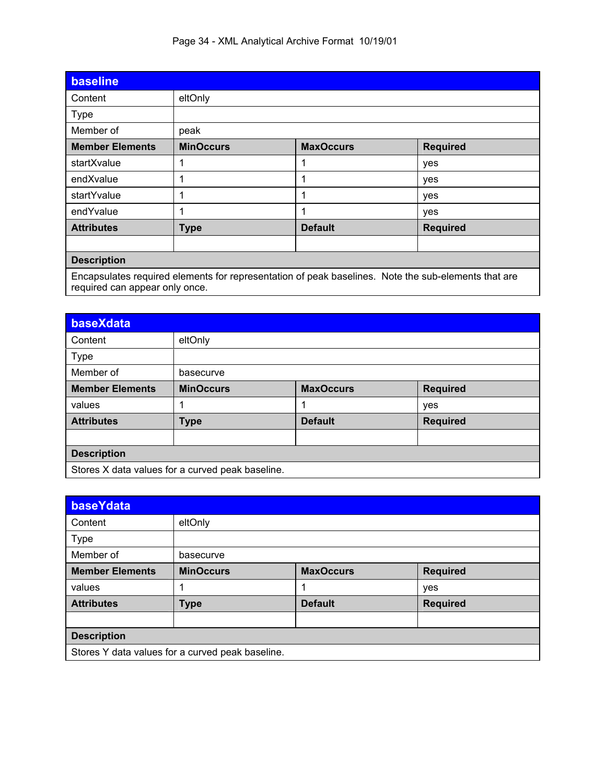|  |  |  |  | Page 34 - XML Analytical Archive Format 10/19/01 |  |
|--|--|--|--|--------------------------------------------------|--|
|--|--|--|--|--------------------------------------------------|--|

| <b>baseline</b>                                                                                                                       |                  |                  |                 |  |
|---------------------------------------------------------------------------------------------------------------------------------------|------------------|------------------|-----------------|--|
| Content                                                                                                                               | eltOnly          |                  |                 |  |
| <b>Type</b>                                                                                                                           |                  |                  |                 |  |
| Member of                                                                                                                             | peak             |                  |                 |  |
| <b>Member Elements</b>                                                                                                                | <b>MinOccurs</b> | <b>MaxOccurs</b> | <b>Required</b> |  |
| startXvalue                                                                                                                           | 1                |                  | yes             |  |
| endXvalue                                                                                                                             | 1                | 1                | yes             |  |
| startYvalue                                                                                                                           | 1                |                  | yes             |  |
| endYvalue                                                                                                                             | 1                | 1                | yes             |  |
| <b>Attributes</b>                                                                                                                     | <b>Type</b>      | <b>Default</b>   | <b>Required</b> |  |
|                                                                                                                                       |                  |                  |                 |  |
| <b>Description</b>                                                                                                                    |                  |                  |                 |  |
| Encapsulates required elements for representation of peak baselines. Note the sub-elements that are<br>required can appear only once. |                  |                  |                 |  |

| baseXdata                                        |                                                  |                  |                 |  |  |
|--------------------------------------------------|--------------------------------------------------|------------------|-----------------|--|--|
| Content                                          | eltOnly                                          |                  |                 |  |  |
| Type                                             |                                                  |                  |                 |  |  |
| Member of                                        | basecurve                                        |                  |                 |  |  |
| <b>Member Elements</b>                           | <b>MinOccurs</b>                                 | <b>MaxOccurs</b> | <b>Required</b> |  |  |
| values                                           |                                                  | 1                | yes             |  |  |
| <b>Attributes</b>                                | <b>Default</b><br><b>Required</b><br><b>Type</b> |                  |                 |  |  |
|                                                  |                                                  |                  |                 |  |  |
| <b>Description</b>                               |                                                  |                  |                 |  |  |
| Stores X data values for a curved peak baseline. |                                                  |                  |                 |  |  |

| baseYdata              |                                                  |                  |                 |  |  |
|------------------------|--------------------------------------------------|------------------|-----------------|--|--|
| Content                | eltOnly                                          |                  |                 |  |  |
| <b>Type</b>            |                                                  |                  |                 |  |  |
| Member of              | basecurve                                        |                  |                 |  |  |
| <b>Member Elements</b> | <b>MinOccurs</b>                                 | <b>MaxOccurs</b> | <b>Required</b> |  |  |
| values                 |                                                  | 1                | yes             |  |  |
| <b>Attributes</b>      | <b>Type</b>                                      | <b>Default</b>   | <b>Required</b> |  |  |
|                        |                                                  |                  |                 |  |  |
| <b>Description</b>     |                                                  |                  |                 |  |  |
|                        | Stores Y data values for a curved peak baseline. |                  |                 |  |  |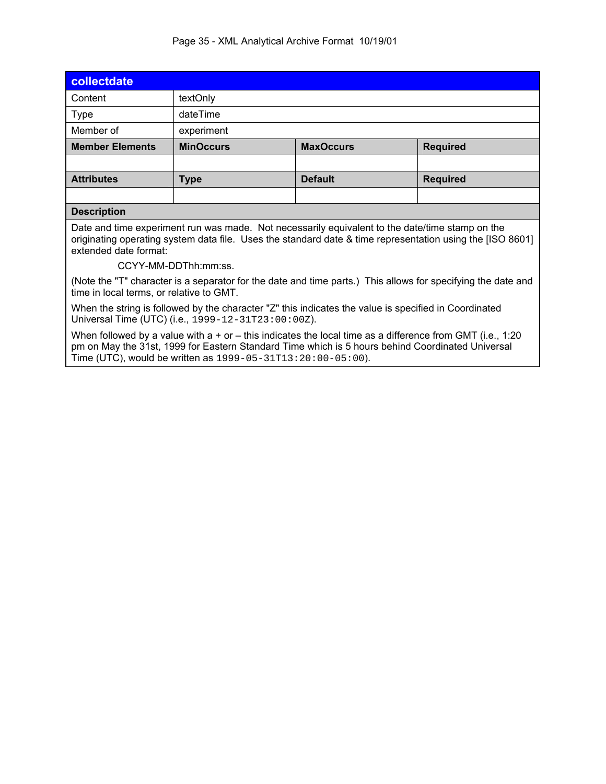#### Page 35 - XML Analytical Archive Format 10/19/01

| collectdate                                                                                                                                                                                                                           |                  |                                     |                 |  |  |
|---------------------------------------------------------------------------------------------------------------------------------------------------------------------------------------------------------------------------------------|------------------|-------------------------------------|-----------------|--|--|
| Content                                                                                                                                                                                                                               | textOnly         |                                     |                 |  |  |
| <b>Type</b>                                                                                                                                                                                                                           | dateTime         |                                     |                 |  |  |
| Member of                                                                                                                                                                                                                             | experiment       |                                     |                 |  |  |
| <b>Member Elements</b>                                                                                                                                                                                                                | <b>MinOccurs</b> | <b>MaxOccurs</b><br><b>Required</b> |                 |  |  |
|                                                                                                                                                                                                                                       |                  |                                     |                 |  |  |
| <b>Attributes</b>                                                                                                                                                                                                                     | <b>Type</b>      | <b>Default</b>                      | <b>Required</b> |  |  |
|                                                                                                                                                                                                                                       |                  |                                     |                 |  |  |
| <b>Description</b>                                                                                                                                                                                                                    |                  |                                     |                 |  |  |
| Date and time experiment run was made. Not necessarily equivalent to the date/time stamp on the<br>originating operating system data file. Uses the standard date & time representation using the [ISO 8601]<br>extended date format: |                  |                                     |                 |  |  |

CCYY-MM-DDThh:mm:ss.

(Note the "T" character is a separator for the date and time parts.) This allows for specifying the date and time in local terms, or relative to GMT.

When the string is followed by the character "Z" this indicates the value is specified in Coordinated Universal Time (UTC) (i.e., 1999-12-31T23:00:00Z).

When followed by a value with a + or – this indicates the local time as a difference from GMT (i.e., 1:20 pm on May the 31st, 1999 for Eastern Standard Time which is 5 hours behind Coordinated Universal Time (UTC), would be written as 1999-05-31T13:20:00-05:00).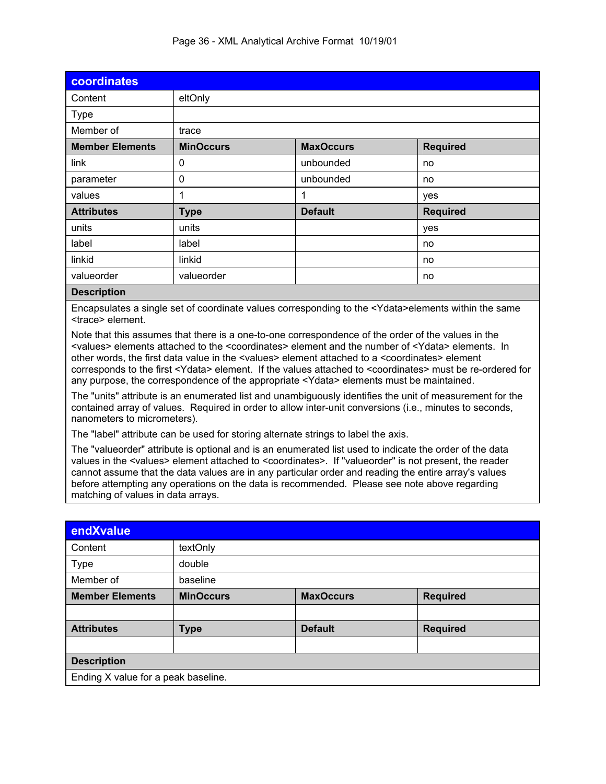| coordinates                                                                                                                                                                                                                                                                                                                                                                                                                                                                                                                                                                                                                                                                                                                                                                                                                                                                                                                                                                                                                                                                                                                                                                                                                                                                                                                                                                                                                                                                                                                                                                                    |                  |                  |                 |  |  |  |
|------------------------------------------------------------------------------------------------------------------------------------------------------------------------------------------------------------------------------------------------------------------------------------------------------------------------------------------------------------------------------------------------------------------------------------------------------------------------------------------------------------------------------------------------------------------------------------------------------------------------------------------------------------------------------------------------------------------------------------------------------------------------------------------------------------------------------------------------------------------------------------------------------------------------------------------------------------------------------------------------------------------------------------------------------------------------------------------------------------------------------------------------------------------------------------------------------------------------------------------------------------------------------------------------------------------------------------------------------------------------------------------------------------------------------------------------------------------------------------------------------------------------------------------------------------------------------------------------|------------------|------------------|-----------------|--|--|--|
| Content                                                                                                                                                                                                                                                                                                                                                                                                                                                                                                                                                                                                                                                                                                                                                                                                                                                                                                                                                                                                                                                                                                                                                                                                                                                                                                                                                                                                                                                                                                                                                                                        | eltOnly          |                  |                 |  |  |  |
| <b>Type</b>                                                                                                                                                                                                                                                                                                                                                                                                                                                                                                                                                                                                                                                                                                                                                                                                                                                                                                                                                                                                                                                                                                                                                                                                                                                                                                                                                                                                                                                                                                                                                                                    |                  |                  |                 |  |  |  |
| Member of                                                                                                                                                                                                                                                                                                                                                                                                                                                                                                                                                                                                                                                                                                                                                                                                                                                                                                                                                                                                                                                                                                                                                                                                                                                                                                                                                                                                                                                                                                                                                                                      | trace            |                  |                 |  |  |  |
| <b>Member Elements</b>                                                                                                                                                                                                                                                                                                                                                                                                                                                                                                                                                                                                                                                                                                                                                                                                                                                                                                                                                                                                                                                                                                                                                                                                                                                                                                                                                                                                                                                                                                                                                                         | <b>MinOccurs</b> | <b>MaxOccurs</b> | <b>Required</b> |  |  |  |
| link                                                                                                                                                                                                                                                                                                                                                                                                                                                                                                                                                                                                                                                                                                                                                                                                                                                                                                                                                                                                                                                                                                                                                                                                                                                                                                                                                                                                                                                                                                                                                                                           | 0                | unbounded        | no              |  |  |  |
| parameter                                                                                                                                                                                                                                                                                                                                                                                                                                                                                                                                                                                                                                                                                                                                                                                                                                                                                                                                                                                                                                                                                                                                                                                                                                                                                                                                                                                                                                                                                                                                                                                      | 0                | unbounded        | no              |  |  |  |
| values                                                                                                                                                                                                                                                                                                                                                                                                                                                                                                                                                                                                                                                                                                                                                                                                                                                                                                                                                                                                                                                                                                                                                                                                                                                                                                                                                                                                                                                                                                                                                                                         | 1                | 1                | yes             |  |  |  |
| <b>Attributes</b>                                                                                                                                                                                                                                                                                                                                                                                                                                                                                                                                                                                                                                                                                                                                                                                                                                                                                                                                                                                                                                                                                                                                                                                                                                                                                                                                                                                                                                                                                                                                                                              | <b>Type</b>      | <b>Default</b>   | <b>Required</b> |  |  |  |
| units                                                                                                                                                                                                                                                                                                                                                                                                                                                                                                                                                                                                                                                                                                                                                                                                                                                                                                                                                                                                                                                                                                                                                                                                                                                                                                                                                                                                                                                                                                                                                                                          | units            |                  | yes             |  |  |  |
| label                                                                                                                                                                                                                                                                                                                                                                                                                                                                                                                                                                                                                                                                                                                                                                                                                                                                                                                                                                                                                                                                                                                                                                                                                                                                                                                                                                                                                                                                                                                                                                                          | label            |                  | no              |  |  |  |
| linkid                                                                                                                                                                                                                                                                                                                                                                                                                                                                                                                                                                                                                                                                                                                                                                                                                                                                                                                                                                                                                                                                                                                                                                                                                                                                                                                                                                                                                                                                                                                                                                                         | linkid           |                  | no              |  |  |  |
| valueorder                                                                                                                                                                                                                                                                                                                                                                                                                                                                                                                                                                                                                                                                                                                                                                                                                                                                                                                                                                                                                                                                                                                                                                                                                                                                                                                                                                                                                                                                                                                                                                                     | valueorder       |                  | no              |  |  |  |
| <b>Description</b>                                                                                                                                                                                                                                                                                                                                                                                                                                                                                                                                                                                                                                                                                                                                                                                                                                                                                                                                                                                                                                                                                                                                                                                                                                                                                                                                                                                                                                                                                                                                                                             |                  |                  |                 |  |  |  |
| Encapsulates a single set of coordinate values corresponding to the <ydata>elements within the same<br/><trace> element.<br/>Note that this assumes that there is a one-to-one correspondence of the order of the values in the<br/><values> elements attached to the <coordinates> element and the number of <ydata> elements. In<br/>other words, the first data value in the <values> element attached to a <coordinates> element<br/>corresponds to the first <ydata> element. If the values attached to <coordinates> must be re-ordered for<br/>any purpose, the correspondence of the appropriate <ydata> elements must be maintained.<br/>The "units" attribute is an enumerated list and unambiguously identifies the unit of measurement for the<br/>contained array of values. Required in order to allow inter-unit conversions (i.e., minutes to seconds,<br/>nanometers to micrometers).<br/>The "label" attribute can be used for storing alternate strings to label the axis.<br/>The "valueorder" attribute is optional and is an enumerated list used to indicate the order of the data<br/>values in the <values> element attached to <coordinates>. If "valueorder" is not present, the reader<br/>cannot assume that the data values are in any particular order and reading the entire array's values<br/>before attempting any operations on the data is recommended. Please see note above regarding<br/>matching of values in data arrays.</coordinates></values></ydata></coordinates></ydata></coordinates></values></ydata></coordinates></values></trace></ydata> |                  |                  |                 |  |  |  |
| endXvalue                                                                                                                                                                                                                                                                                                                                                                                                                                                                                                                                                                                                                                                                                                                                                                                                                                                                                                                                                                                                                                                                                                                                                                                                                                                                                                                                                                                                                                                                                                                                                                                      |                  |                  |                 |  |  |  |
| Content                                                                                                                                                                                                                                                                                                                                                                                                                                                                                                                                                                                                                                                                                                                                                                                                                                                                                                                                                                                                                                                                                                                                                                                                                                                                                                                                                                                                                                                                                                                                                                                        | textOnly         |                  |                 |  |  |  |
| Type                                                                                                                                                                                                                                                                                                                                                                                                                                                                                                                                                                                                                                                                                                                                                                                                                                                                                                                                                                                                                                                                                                                                                                                                                                                                                                                                                                                                                                                                                                                                                                                           | double           |                  |                 |  |  |  |
| Member of                                                                                                                                                                                                                                                                                                                                                                                                                                                                                                                                                                                                                                                                                                                                                                                                                                                                                                                                                                                                                                                                                                                                                                                                                                                                                                                                                                                                                                                                                                                                                                                      | baseline         |                  |                 |  |  |  |
| <b>Member Elements</b>                                                                                                                                                                                                                                                                                                                                                                                                                                                                                                                                                                                                                                                                                                                                                                                                                                                                                                                                                                                                                                                                                                                                                                                                                                                                                                                                                                                                                                                                                                                                                                         | <b>MinOccurs</b> | <b>MaxOccurs</b> | <b>Required</b> |  |  |  |
|                                                                                                                                                                                                                                                                                                                                                                                                                                                                                                                                                                                                                                                                                                                                                                                                                                                                                                                                                                                                                                                                                                                                                                                                                                                                                                                                                                                                                                                                                                                                                                                                |                  |                  |                 |  |  |  |
| <b>Attributes</b>                                                                                                                                                                                                                                                                                                                                                                                                                                                                                                                                                                                                                                                                                                                                                                                                                                                                                                                                                                                                                                                                                                                                                                                                                                                                                                                                                                                                                                                                                                                                                                              | <b>Type</b>      | <b>Default</b>   | <b>Required</b> |  |  |  |
|                                                                                                                                                                                                                                                                                                                                                                                                                                                                                                                                                                                                                                                                                                                                                                                                                                                                                                                                                                                                                                                                                                                                                                                                                                                                                                                                                                                                                                                                                                                                                                                                |                  |                  |                 |  |  |  |
| <b>Description</b>                                                                                                                                                                                                                                                                                                                                                                                                                                                                                                                                                                                                                                                                                                                                                                                                                                                                                                                                                                                                                                                                                                                                                                                                                                                                                                                                                                                                                                                                                                                                                                             |                  |                  |                 |  |  |  |

**Ending X value for a peak baseline.**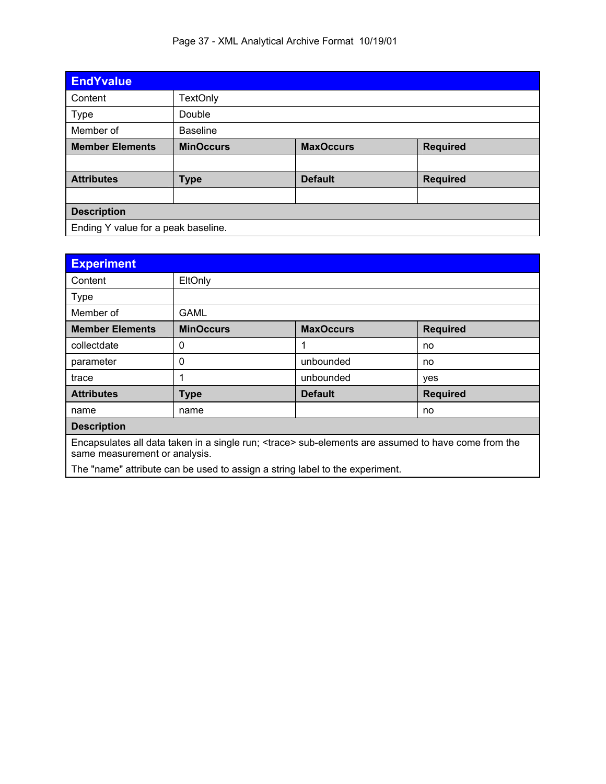| <b>EndYvalue</b>                    |                  |                  |                 |  |
|-------------------------------------|------------------|------------------|-----------------|--|
| Content                             | <b>TextOnly</b>  |                  |                 |  |
| <b>Type</b>                         | Double           |                  |                 |  |
| Member of                           | <b>Baseline</b>  |                  |                 |  |
| <b>Member Elements</b>              | <b>MinOccurs</b> | <b>MaxOccurs</b> | <b>Required</b> |  |
|                                     |                  |                  |                 |  |
| <b>Attributes</b>                   | <b>Type</b>      | <b>Default</b>   | <b>Required</b> |  |
|                                     |                  |                  |                 |  |
| <b>Description</b>                  |                  |                  |                 |  |
| Ending Y value for a peak baseline. |                  |                  |                 |  |

| <b>Experiment</b>                                                                                                                             |                                                                              |                  |                 |  |  |
|-----------------------------------------------------------------------------------------------------------------------------------------------|------------------------------------------------------------------------------|------------------|-----------------|--|--|
| Content                                                                                                                                       | EltOnly                                                                      |                  |                 |  |  |
| <b>Type</b>                                                                                                                                   |                                                                              |                  |                 |  |  |
| Member of                                                                                                                                     | <b>GAML</b>                                                                  |                  |                 |  |  |
| <b>Member Elements</b>                                                                                                                        | <b>MinOccurs</b>                                                             | <b>MaxOccurs</b> | <b>Required</b> |  |  |
| collectdate                                                                                                                                   | 0                                                                            | 1                | no              |  |  |
| parameter                                                                                                                                     | 0                                                                            | unbounded        | no              |  |  |
| trace                                                                                                                                         | 1                                                                            | unbounded        | yes             |  |  |
| <b>Attributes</b>                                                                                                                             | <b>Default</b><br><b>Required</b><br><b>Type</b>                             |                  |                 |  |  |
| name                                                                                                                                          | name                                                                         |                  | no              |  |  |
| <b>Description</b>                                                                                                                            |                                                                              |                  |                 |  |  |
| Encapsulates all data taken in a single run; <trace> sub-elements are assumed to have come from the<br/>same measurement or analysis.</trace> |                                                                              |                  |                 |  |  |
|                                                                                                                                               | The "name" attribute can be used to assign a string label to the experiment. |                  |                 |  |  |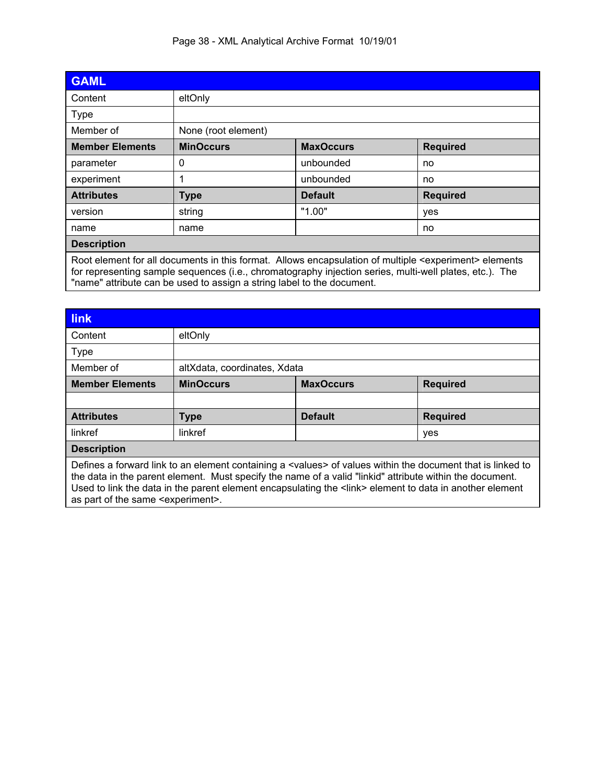|  | Page 38 - XML Analytical Archive Format 10/19/01 |  |
|--|--------------------------------------------------|--|
|  |                                                  |  |

| <b>GAML</b>                                                                                                                                                                                                                                                                                               |                     |                  |                 |  |
|-----------------------------------------------------------------------------------------------------------------------------------------------------------------------------------------------------------------------------------------------------------------------------------------------------------|---------------------|------------------|-----------------|--|
| Content                                                                                                                                                                                                                                                                                                   | eltOnly             |                  |                 |  |
| <b>Type</b>                                                                                                                                                                                                                                                                                               |                     |                  |                 |  |
| Member of                                                                                                                                                                                                                                                                                                 | None (root element) |                  |                 |  |
| <b>Member Elements</b>                                                                                                                                                                                                                                                                                    | <b>MinOccurs</b>    | <b>MaxOccurs</b> | <b>Required</b> |  |
| parameter                                                                                                                                                                                                                                                                                                 | 0                   | unbounded        | no              |  |
| experiment                                                                                                                                                                                                                                                                                                |                     | unbounded        | no              |  |
| <b>Attributes</b>                                                                                                                                                                                                                                                                                         | <b>Type</b>         | <b>Default</b>   | <b>Required</b> |  |
| version                                                                                                                                                                                                                                                                                                   | string              | "1.00"           | yes             |  |
| name                                                                                                                                                                                                                                                                                                      | name                |                  | no              |  |
| <b>Description</b>                                                                                                                                                                                                                                                                                        |                     |                  |                 |  |
| Root element for all documents in this format. Allows encapsulation of multiple <experiment> elements<br/>for representing sample sequences (i.e., chromatography injection series, multi-well plates, etc.). The<br/>"name" attribute can be used to assign a string label to the document.</experiment> |                     |                  |                 |  |

| <b>link</b>                                                                                                                                                                                                                                                                                                                                   |                                                         |  |  |  |  |
|-----------------------------------------------------------------------------------------------------------------------------------------------------------------------------------------------------------------------------------------------------------------------------------------------------------------------------------------------|---------------------------------------------------------|--|--|--|--|
| Content                                                                                                                                                                                                                                                                                                                                       | eltOnly                                                 |  |  |  |  |
| <b>Type</b>                                                                                                                                                                                                                                                                                                                                   |                                                         |  |  |  |  |
| Member of                                                                                                                                                                                                                                                                                                                                     | altXdata, coordinates, Xdata                            |  |  |  |  |
| <b>Member Elements</b>                                                                                                                                                                                                                                                                                                                        | <b>MinOccurs</b><br><b>MaxOccurs</b><br><b>Required</b> |  |  |  |  |
|                                                                                                                                                                                                                                                                                                                                               |                                                         |  |  |  |  |
| <b>Attributes</b>                                                                                                                                                                                                                                                                                                                             | <b>Default</b><br><b>Required</b><br><b>Type</b>        |  |  |  |  |
| linkref                                                                                                                                                                                                                                                                                                                                       | linkref<br>yes                                          |  |  |  |  |
| <b>Description</b>                                                                                                                                                                                                                                                                                                                            |                                                         |  |  |  |  |
| Defines a forward link to an element containing a <values> of values within the document that is linked to<br/>the data in the parent element. Must specify the name of a valid "linkid" attribute within the document.<br/>Used to link the data in the parent element encapsulating the <link/> element to data in another element</values> |                                                         |  |  |  |  |

as part of the same <experiment>.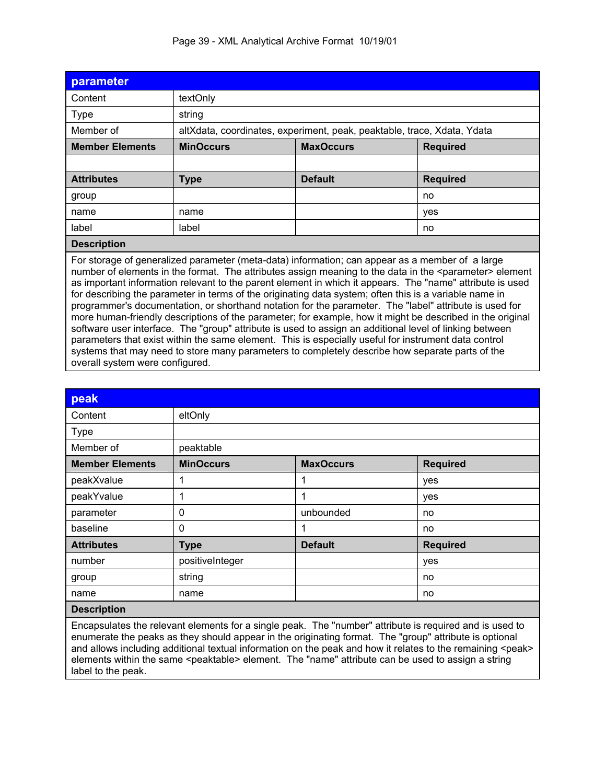| parameter                                                                                                                                                                                                                                                                                                                                                                                                                                                                                                                                                                                                                                                                                                                                                                                                                                                                                                                                                                                                                            |                  |                                                                         |                 |  |  |
|--------------------------------------------------------------------------------------------------------------------------------------------------------------------------------------------------------------------------------------------------------------------------------------------------------------------------------------------------------------------------------------------------------------------------------------------------------------------------------------------------------------------------------------------------------------------------------------------------------------------------------------------------------------------------------------------------------------------------------------------------------------------------------------------------------------------------------------------------------------------------------------------------------------------------------------------------------------------------------------------------------------------------------------|------------------|-------------------------------------------------------------------------|-----------------|--|--|
| Content                                                                                                                                                                                                                                                                                                                                                                                                                                                                                                                                                                                                                                                                                                                                                                                                                                                                                                                                                                                                                              | textOnly         |                                                                         |                 |  |  |
| <b>Type</b>                                                                                                                                                                                                                                                                                                                                                                                                                                                                                                                                                                                                                                                                                                                                                                                                                                                                                                                                                                                                                          | string           |                                                                         |                 |  |  |
| Member of                                                                                                                                                                                                                                                                                                                                                                                                                                                                                                                                                                                                                                                                                                                                                                                                                                                                                                                                                                                                                            |                  | altXdata, coordinates, experiment, peak, peaktable, trace, Xdata, Ydata |                 |  |  |
| <b>Member Elements</b>                                                                                                                                                                                                                                                                                                                                                                                                                                                                                                                                                                                                                                                                                                                                                                                                                                                                                                                                                                                                               | <b>MinOccurs</b> | <b>MaxOccurs</b>                                                        | <b>Required</b> |  |  |
|                                                                                                                                                                                                                                                                                                                                                                                                                                                                                                                                                                                                                                                                                                                                                                                                                                                                                                                                                                                                                                      |                  |                                                                         |                 |  |  |
| <b>Attributes</b>                                                                                                                                                                                                                                                                                                                                                                                                                                                                                                                                                                                                                                                                                                                                                                                                                                                                                                                                                                                                                    | <b>Type</b>      | <b>Default</b><br><b>Required</b>                                       |                 |  |  |
| group                                                                                                                                                                                                                                                                                                                                                                                                                                                                                                                                                                                                                                                                                                                                                                                                                                                                                                                                                                                                                                |                  |                                                                         | no              |  |  |
| name                                                                                                                                                                                                                                                                                                                                                                                                                                                                                                                                                                                                                                                                                                                                                                                                                                                                                                                                                                                                                                 | name             |                                                                         | yes             |  |  |
| label                                                                                                                                                                                                                                                                                                                                                                                                                                                                                                                                                                                                                                                                                                                                                                                                                                                                                                                                                                                                                                | label            |                                                                         | no              |  |  |
| <b>Description</b>                                                                                                                                                                                                                                                                                                                                                                                                                                                                                                                                                                                                                                                                                                                                                                                                                                                                                                                                                                                                                   |                  |                                                                         |                 |  |  |
| For storage of generalized parameter (meta-data) information; can appear as a member of a large<br>number of elements in the format. The attributes assign meaning to the data in the <parameter> element<br/>as important information relevant to the parent element in which it appears. The "name" attribute is used<br/>for describing the parameter in terms of the originating data system; often this is a variable name in<br/>programmer's documentation, or shorthand notation for the parameter. The "label" attribute is used for<br/>more human-friendly descriptions of the parameter; for example, how it might be described in the original<br/>software user interface. The "group" attribute is used to assign an additional level of linking between<br/>parameters that exist within the same element. This is especially useful for instrument data control<br/>systems that may need to store many parameters to completely describe how separate parts of the<br/>overall system were configured.</parameter> |                  |                                                                         |                 |  |  |

| peak                   |                  |                  |                 |
|------------------------|------------------|------------------|-----------------|
| Content                | eltOnly          |                  |                 |
| Type                   |                  |                  |                 |
| Member of              | peaktable        |                  |                 |
| <b>Member Elements</b> | <b>MinOccurs</b> | <b>MaxOccurs</b> | <b>Required</b> |
| peakXvalue             | 1                | 1                | yes             |
| peakYvalue             | 1                | 1                | yes             |
| parameter              | 0                | unbounded        | no              |
| baseline               | 0                | 1                | no              |
| <b>Attributes</b>      | <b>Type</b>      | <b>Default</b>   | <b>Required</b> |
| number                 | positiveInteger  |                  | yes             |
| group                  | string           |                  | no              |
| name                   | name             |                  | no              |
| <b>Description</b>     |                  |                  |                 |

Encapsulates the relevant elements for a single peak. The "number" attribute is required and is used to enumerate the peaks as they should appear in the originating format. The "group" attribute is optional and allows including additional textual information on the peak and how it relates to the remaining <peak> elements within the same <peaktable> element. The "name" attribute can be used to assign a string label to the peak.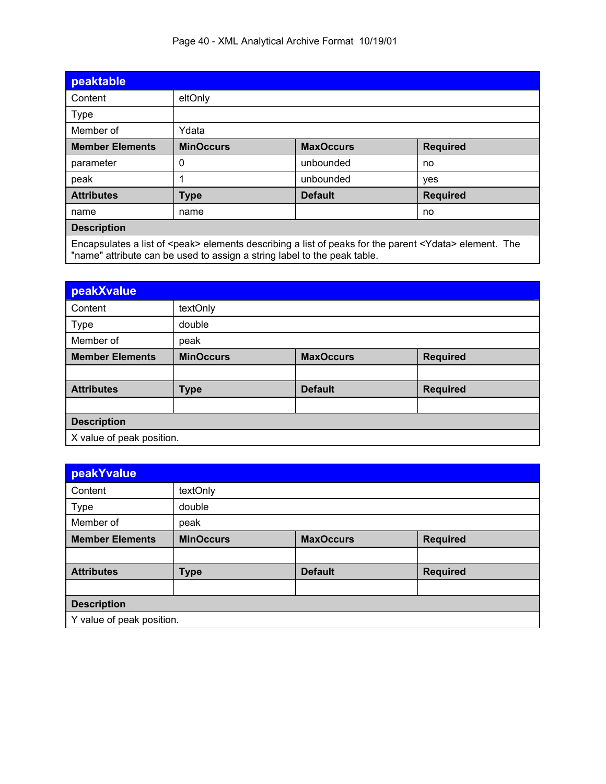| Page 40 - XML Analytical Archive Format 10/19/01 |
|--------------------------------------------------|
|--------------------------------------------------|

| peaktable                                                                                                                                                                                         |                  |                  |                 |  |
|---------------------------------------------------------------------------------------------------------------------------------------------------------------------------------------------------|------------------|------------------|-----------------|--|
| Content                                                                                                                                                                                           | eltOnly          |                  |                 |  |
| <b>Type</b>                                                                                                                                                                                       |                  |                  |                 |  |
| Member of                                                                                                                                                                                         | Ydata            |                  |                 |  |
| <b>Member Elements</b>                                                                                                                                                                            | <b>MinOccurs</b> | <b>MaxOccurs</b> | <b>Required</b> |  |
| parameter                                                                                                                                                                                         | 0                | unbounded        | no              |  |
| peak                                                                                                                                                                                              |                  | unbounded        | yes             |  |
| <b>Attributes</b>                                                                                                                                                                                 | <b>Type</b>      | <b>Default</b>   | <b>Required</b> |  |
| name<br>name<br>no                                                                                                                                                                                |                  |                  |                 |  |
| <b>Description</b>                                                                                                                                                                                |                  |                  |                 |  |
| Encapsulates a list of <peak> elements describing a list of peaks for the parent <ydata> element. The<br/>"name" attribute can be used to assign a string label to the peak table.</ydata></peak> |                  |                  |                 |  |

| peakXvalue                |                  |                  |                 |  |  |
|---------------------------|------------------|------------------|-----------------|--|--|
| Content                   | textOnly         |                  |                 |  |  |
| <b>Type</b>               | double           |                  |                 |  |  |
| Member of                 | peak             |                  |                 |  |  |
| <b>Member Elements</b>    | <b>MinOccurs</b> | <b>MaxOccurs</b> | <b>Required</b> |  |  |
|                           |                  |                  |                 |  |  |
| <b>Attributes</b>         | <b>Type</b>      | <b>Default</b>   | <b>Required</b> |  |  |
|                           |                  |                  |                 |  |  |
| <b>Description</b>        |                  |                  |                 |  |  |
| X value of peak position. |                  |                  |                 |  |  |

| peakYvalue                |                  |                  |                 |  |
|---------------------------|------------------|------------------|-----------------|--|
| Content                   | textOnly         |                  |                 |  |
| <b>Type</b>               | double           |                  |                 |  |
| Member of                 | peak             |                  |                 |  |
| <b>Member Elements</b>    | <b>MinOccurs</b> | <b>MaxOccurs</b> | <b>Required</b> |  |
|                           |                  |                  |                 |  |
| <b>Attributes</b>         | <b>Type</b>      | <b>Default</b>   | <b>Required</b> |  |
|                           |                  |                  |                 |  |
| <b>Description</b>        |                  |                  |                 |  |
| Y value of peak position. |                  |                  |                 |  |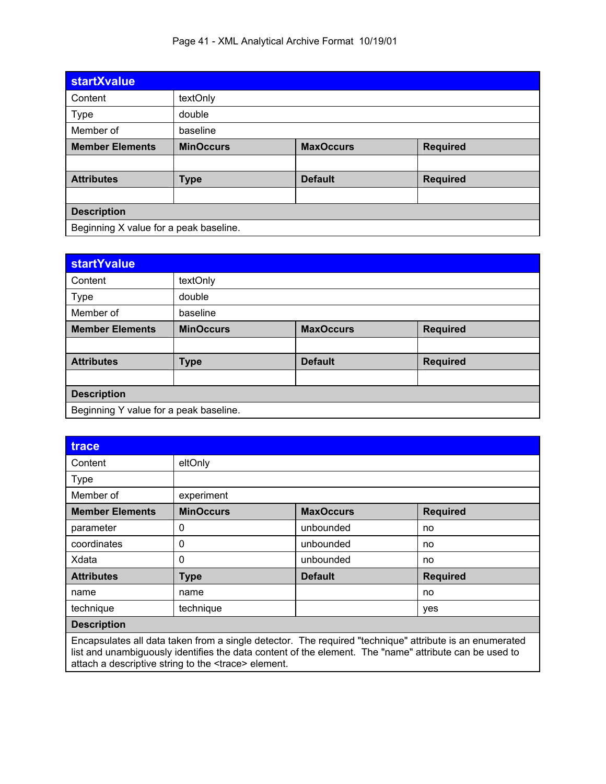| <b>startXvalue</b>                     |                  |                  |                 |  |  |
|----------------------------------------|------------------|------------------|-----------------|--|--|
| Content                                | textOnly         |                  |                 |  |  |
| <b>Type</b>                            | double           |                  |                 |  |  |
| Member of                              | baseline         |                  |                 |  |  |
| <b>Member Elements</b>                 | <b>MinOccurs</b> | <b>MaxOccurs</b> | <b>Required</b> |  |  |
|                                        |                  |                  |                 |  |  |
| <b>Attributes</b>                      | <b>Type</b>      | <b>Default</b>   | <b>Required</b> |  |  |
|                                        |                  |                  |                 |  |  |
| <b>Description</b>                     |                  |                  |                 |  |  |
| Beginning X value for a peak baseline. |                  |                  |                 |  |  |

| <b>startYvalue</b>                     |                                                         |                |                 |  |  |
|----------------------------------------|---------------------------------------------------------|----------------|-----------------|--|--|
| Content                                | textOnly                                                |                |                 |  |  |
| Type                                   | double                                                  |                |                 |  |  |
| Member of                              | baseline                                                |                |                 |  |  |
| <b>Member Elements</b>                 | <b>MinOccurs</b><br><b>MaxOccurs</b><br><b>Required</b> |                |                 |  |  |
|                                        |                                                         |                |                 |  |  |
| <b>Attributes</b>                      | <b>Type</b>                                             | <b>Default</b> | <b>Required</b> |  |  |
|                                        |                                                         |                |                 |  |  |
| <b>Description</b>                     |                                                         |                |                 |  |  |
| Beginning Y value for a peak baseline. |                                                         |                |                 |  |  |

| trace                                                                                                                                                                                                             |                  |                  |                 |  |
|-------------------------------------------------------------------------------------------------------------------------------------------------------------------------------------------------------------------|------------------|------------------|-----------------|--|
| Content                                                                                                                                                                                                           | eltOnly          |                  |                 |  |
| <b>Type</b>                                                                                                                                                                                                       |                  |                  |                 |  |
| Member of                                                                                                                                                                                                         | experiment       |                  |                 |  |
| <b>Member Elements</b>                                                                                                                                                                                            | <b>MinOccurs</b> | <b>MaxOccurs</b> | <b>Required</b> |  |
| parameter                                                                                                                                                                                                         | 0                | unbounded        | no              |  |
| coordinates                                                                                                                                                                                                       | 0                | unbounded        | no              |  |
| Xdata                                                                                                                                                                                                             | 0                | unbounded        | no              |  |
| <b>Attributes</b>                                                                                                                                                                                                 | <b>Type</b>      | <b>Default</b>   | <b>Required</b> |  |
| name                                                                                                                                                                                                              | name             |                  | no              |  |
| technique                                                                                                                                                                                                         | technique        |                  | yes             |  |
| <b>Description</b>                                                                                                                                                                                                |                  |                  |                 |  |
| Encapsulates all data taken from a single detector. The required "technique" attribute is an enumerated<br>liet and unambiguously identifies the data contant of the element. The "name" attribute can be used to |                  |                  |                 |  |

list and unambiguously identifies the data content of the element. The "name" attribute can be used to attach a descriptive string to the <trace> element.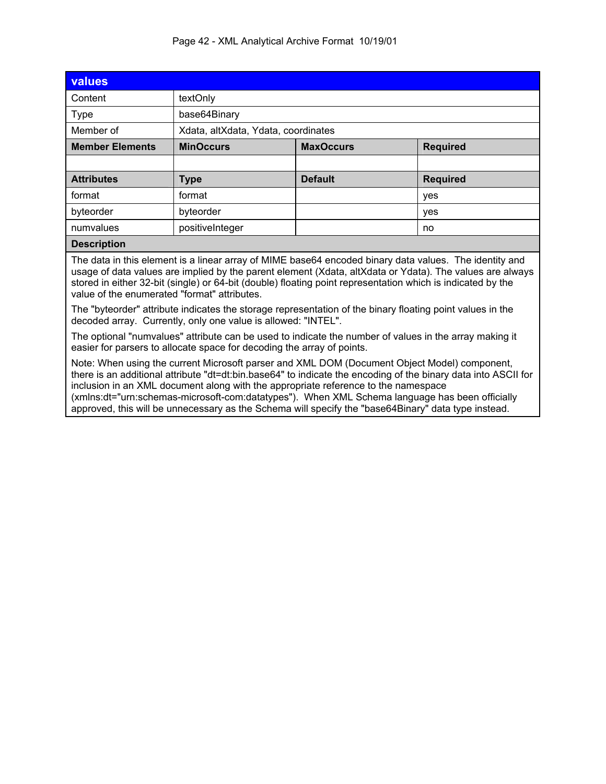|  |  | Page 42 - XML Analytical Archive Format 10/19/01 |  |
|--|--|--------------------------------------------------|--|
|  |  |                                                  |  |

| values                                                                                                                                                                                                                                                                                                                                                                                                                                                                                                        |                       |                                     |                 |  |  |
|---------------------------------------------------------------------------------------------------------------------------------------------------------------------------------------------------------------------------------------------------------------------------------------------------------------------------------------------------------------------------------------------------------------------------------------------------------------------------------------------------------------|-----------------------|-------------------------------------|-----------------|--|--|
| Content                                                                                                                                                                                                                                                                                                                                                                                                                                                                                                       | textOnly              |                                     |                 |  |  |
| <b>Type</b>                                                                                                                                                                                                                                                                                                                                                                                                                                                                                                   | base64Binary          |                                     |                 |  |  |
| Member of                                                                                                                                                                                                                                                                                                                                                                                                                                                                                                     |                       | Xdata, altXdata, Ydata, coordinates |                 |  |  |
| <b>Member Elements</b>                                                                                                                                                                                                                                                                                                                                                                                                                                                                                        | <b>MinOccurs</b>      | <b>Required</b><br><b>MaxOccurs</b> |                 |  |  |
|                                                                                                                                                                                                                                                                                                                                                                                                                                                                                                               |                       |                                     |                 |  |  |
| <b>Attributes</b>                                                                                                                                                                                                                                                                                                                                                                                                                                                                                             | <b>Type</b>           | <b>Default</b>                      | <b>Required</b> |  |  |
| format                                                                                                                                                                                                                                                                                                                                                                                                                                                                                                        | format                | yes                                 |                 |  |  |
| byteorder                                                                                                                                                                                                                                                                                                                                                                                                                                                                                                     | byteorder             |                                     | yes             |  |  |
| numvalues                                                                                                                                                                                                                                                                                                                                                                                                                                                                                                     | positiveInteger<br>no |                                     |                 |  |  |
| <b>Description</b>                                                                                                                                                                                                                                                                                                                                                                                                                                                                                            |                       |                                     |                 |  |  |
| The data in this element is a linear array of MIME base64 encoded binary data values. The identity and<br>usage of data values are implied by the parent element (Xdata, altXdata or Ydata). The values are always<br>stored in either 32-bit (single) or 64-bit (double) floating point representation which is indicated by the<br>value of the enumerated "format" attributes.                                                                                                                             |                       |                                     |                 |  |  |
| The "byteorder" attribute indicates the storage representation of the binary floating point values in the<br>decoded array. Currently, only one value is allowed: "INTEL".                                                                                                                                                                                                                                                                                                                                    |                       |                                     |                 |  |  |
| The optional "numvalues" attribute can be used to indicate the number of values in the array making it<br>easier for parsers to allocate space for decoding the array of points.                                                                                                                                                                                                                                                                                                                              |                       |                                     |                 |  |  |
| Note: When using the current Microsoft parser and XML DOM (Document Object Model) component,<br>there is an additional attribute "dt=dt:bin.base64" to indicate the encoding of the binary data into ASCII for<br>inclusion in an XML document along with the appropriate reference to the namespace<br>(xmlns:dt="urn:schemas-microsoft-com:datatypes"). When XML Schema language has been officially<br>approved, this will be unnecessary as the Schema will specify the "base64Binary" data type instead. |                       |                                     |                 |  |  |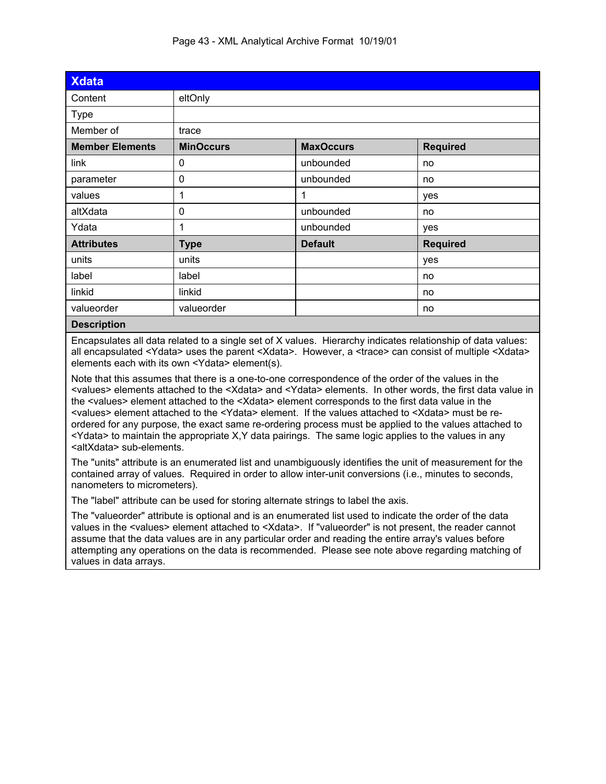| <b>Xdata</b>           |                  |                                     |                 |  |
|------------------------|------------------|-------------------------------------|-----------------|--|
| Content                | eltOnly          |                                     |                 |  |
| Type                   |                  |                                     |                 |  |
| Member of              | trace            |                                     |                 |  |
| <b>Member Elements</b> | <b>MinOccurs</b> | <b>Required</b><br><b>MaxOccurs</b> |                 |  |
| link                   | 0                | unbounded                           | no              |  |
| parameter              | 0                | unbounded                           | no              |  |
| values                 | 1                | 1                                   | yes             |  |
| altXdata               | $\mathbf 0$      | unbounded                           | no              |  |
| Ydata                  | 1                | unbounded                           | yes             |  |
| <b>Attributes</b>      | <b>Type</b>      | <b>Default</b>                      | <b>Required</b> |  |
| units                  | units            |                                     | yes             |  |
| label                  | label            |                                     | no              |  |
| linkid                 | linkid           |                                     | no              |  |
| valueorder             | valueorder       |                                     | no              |  |
| $D = -1$               |                  |                                     |                 |  |

#### **Description**

Encapsulates all data related to a single set of X values. Hierarchy indicates relationship of data values: all encapsulated <Ydata> uses the parent <Xdata>. However, a <trace> can consist of multiple <Xdata> elements each with its own <Ydata> element(s).

Note that this assumes that there is a one-to-one correspondence of the order of the values in the <values> elements attached to the <Xdata> and <Ydata> elements. In other words, the first data value in the <values> element attached to the <Xdata> element corresponds to the first data value in the <values> element attached to the <Ydata> element. If the values attached to <Xdata> must be reordered for any purpose, the exact same re-ordering process must be applied to the values attached to <Ydata> to maintain the appropriate X,Y data pairings. The same logic applies to the values in any <altXdata> sub-elements.

The "units" attribute is an enumerated list and unambiguously identifies the unit of measurement for the contained array of values. Required in order to allow inter-unit conversions (i.e., minutes to seconds, nanometers to micrometers).

The "label" attribute can be used for storing alternate strings to label the axis.

The "valueorder" attribute is optional and is an enumerated list used to indicate the order of the data values in the <values> element attached to <Xdata>. If "valueorder" is not present, the reader cannot assume that the data values are in any particular order and reading the entire array's values before attempting any operations on the data is recommended. Please see note above regarding matching of values in data arrays.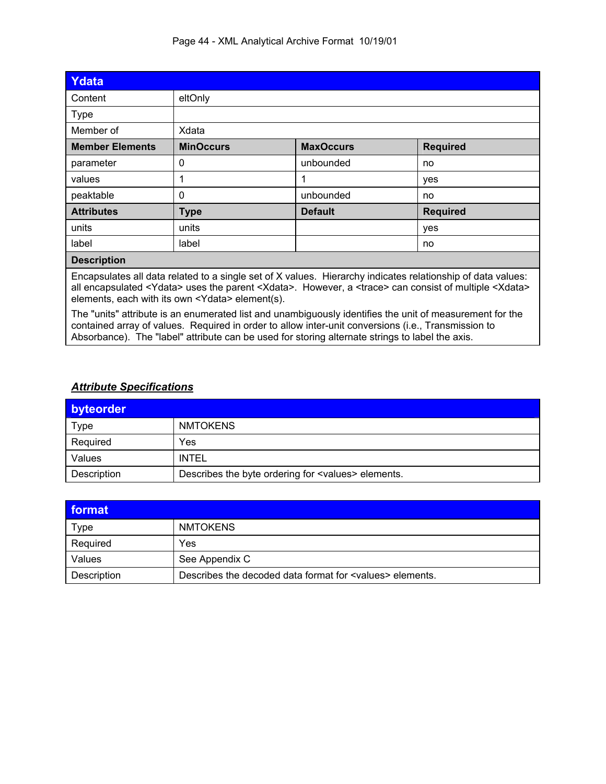| Ydata                  |                                                                                                                                                                                                                                                                                                                 |                  |                 |
|------------------------|-----------------------------------------------------------------------------------------------------------------------------------------------------------------------------------------------------------------------------------------------------------------------------------------------------------------|------------------|-----------------|
| Content                | eltOnly                                                                                                                                                                                                                                                                                                         |                  |                 |
| <b>Type</b>            |                                                                                                                                                                                                                                                                                                                 |                  |                 |
| Member of              | Xdata                                                                                                                                                                                                                                                                                                           |                  |                 |
| <b>Member Elements</b> | <b>MinOccurs</b>                                                                                                                                                                                                                                                                                                | <b>MaxOccurs</b> | <b>Required</b> |
| parameter              | 0                                                                                                                                                                                                                                                                                                               | unbounded        | no              |
| values                 |                                                                                                                                                                                                                                                                                                                 | 1                | yes             |
| peaktable              | 0                                                                                                                                                                                                                                                                                                               | unbounded        | no              |
| <b>Attributes</b>      | <b>Type</b>                                                                                                                                                                                                                                                                                                     | <b>Default</b>   | <b>Required</b> |
| units                  | units                                                                                                                                                                                                                                                                                                           |                  | yes             |
| label                  | label                                                                                                                                                                                                                                                                                                           |                  | no              |
| <b>Description</b>     |                                                                                                                                                                                                                                                                                                                 |                  |                 |
|                        | Encapsulates all data related to a single set of X values. Hierarchy indicates relationship of data values:<br>all encapsulated <ydata> uses the parent <xdata>. However, a <trace> can consist of multiple <xdata><br/>elements, each with its own <ydata> element(s).</ydata></xdata></trace></xdata></ydata> |                  |                 |

The "units" attribute is an enumerated list and unambiguously identifies the unit of measurement for the contained array of values. Required in order to allow inter-unit conversions (i.e., Transmission to Absorbance). The "label" attribute can be used for storing alternate strings to label the axis.

### *Attribute Specifications*

| byteorder   |                                                             |
|-------------|-------------------------------------------------------------|
| <b>Type</b> | <b>NMTOKENS</b>                                             |
| Required    | Yes                                                         |
| Values      | <b>INTEL</b>                                                |
| Description | Describes the byte ordering for <values> elements.</values> |

| format      |                                                                   |
|-------------|-------------------------------------------------------------------|
| <b>Type</b> | <b>NMTOKENS</b>                                                   |
| Required    | Yes                                                               |
| Values      | See Appendix C                                                    |
| Description | Describes the decoded data format for <values> elements.</values> |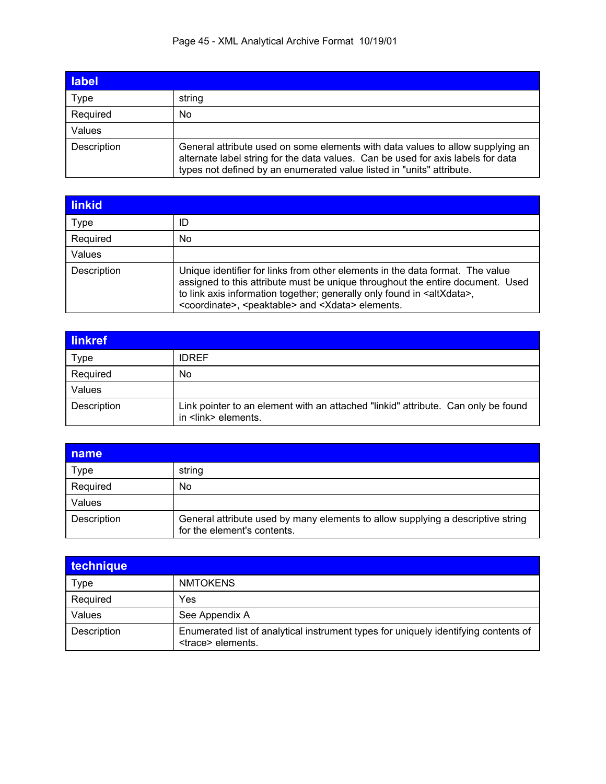# Page 45 - XML Analytical Archive Format 10/19/01

| label       |                                                                                                                                                                                                                                             |
|-------------|---------------------------------------------------------------------------------------------------------------------------------------------------------------------------------------------------------------------------------------------|
| Type        | string                                                                                                                                                                                                                                      |
| Required    | No                                                                                                                                                                                                                                          |
| Values      |                                                                                                                                                                                                                                             |
| Description | General attribute used on some elements with data values to allow supplying an<br>alternate label string for the data values. Can be used for axis labels for data<br>types not defined by an enumerated value listed in "units" attribute. |

| linkid      |                                                                                                                                                                                                                                                                                                                                           |
|-------------|-------------------------------------------------------------------------------------------------------------------------------------------------------------------------------------------------------------------------------------------------------------------------------------------------------------------------------------------|
| Type        | ID                                                                                                                                                                                                                                                                                                                                        |
| Required    | No                                                                                                                                                                                                                                                                                                                                        |
| Values      |                                                                                                                                                                                                                                                                                                                                           |
| Description | Unique identifier for links from other elements in the data format. The value<br>assigned to this attribute must be unique throughout the entire document. Used<br>to link axis information together; generally only found in <altxdata>,<br/><coordinate>, <peaktable> and <xdata> elements.</xdata></peaktable></coordinate></altxdata> |

| <b>linkref</b> |                                                                                                           |
|----------------|-----------------------------------------------------------------------------------------------------------|
| <b>Type</b>    | <b>IDREF</b>                                                                                              |
| Required       | No                                                                                                        |
| Values         |                                                                                                           |
| Description    | Link pointer to an element with an attached "linkid" attribute. Can only be found<br>in <link/> elements. |

| name        |                                                                                                                |
|-------------|----------------------------------------------------------------------------------------------------------------|
| Type        | string                                                                                                         |
| Required    | No                                                                                                             |
| Values      |                                                                                                                |
| Description | General attribute used by many elements to allow supplying a descriptive string<br>for the element's contents. |

| technique   |                                                                                                                  |
|-------------|------------------------------------------------------------------------------------------------------------------|
| Type        | <b>NMTOKENS</b>                                                                                                  |
| Required    | Yes                                                                                                              |
| Values      | See Appendix A                                                                                                   |
| Description | Enumerated list of analytical instrument types for uniquely identifying contents of<br><trace> elements.</trace> |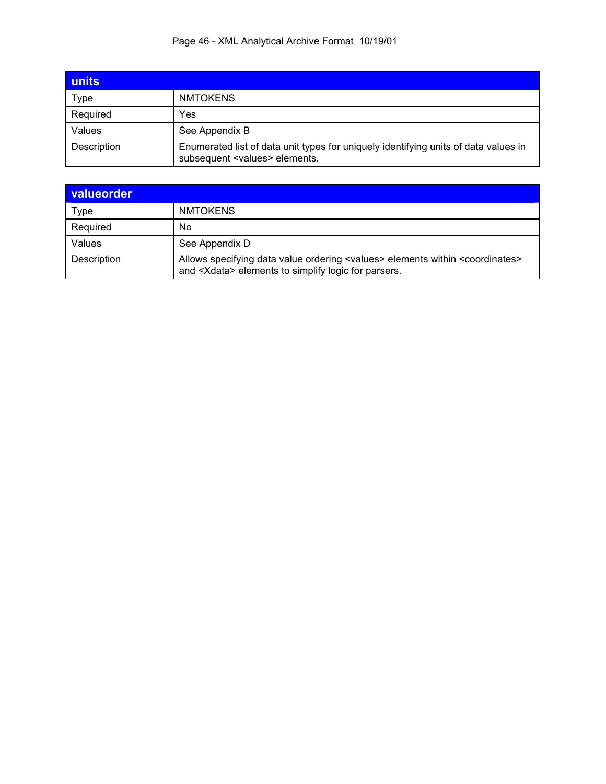# Page 46 - XML Analytical Archive Format 10/19/01

| units       |                                                                                                                               |
|-------------|-------------------------------------------------------------------------------------------------------------------------------|
| Type        | <b>NMTOKENS</b>                                                                                                               |
| Required    | Yes                                                                                                                           |
| Values      | See Appendix B                                                                                                                |
| Description | Enumerated list of data unit types for uniquely identifying units of data values in<br>subsequent <values> elements.</values> |

| valueorder  |                                                                                                                                                                     |
|-------------|---------------------------------------------------------------------------------------------------------------------------------------------------------------------|
| Type        | <b>NMTOKENS</b>                                                                                                                                                     |
| Required    | No                                                                                                                                                                  |
| Values      | See Appendix D                                                                                                                                                      |
| Description | Allows specifying data value ordering <values> elements within <coordinates><br/>and <xdata> elements to simplify logic for parsers.</xdata></coordinates></values> |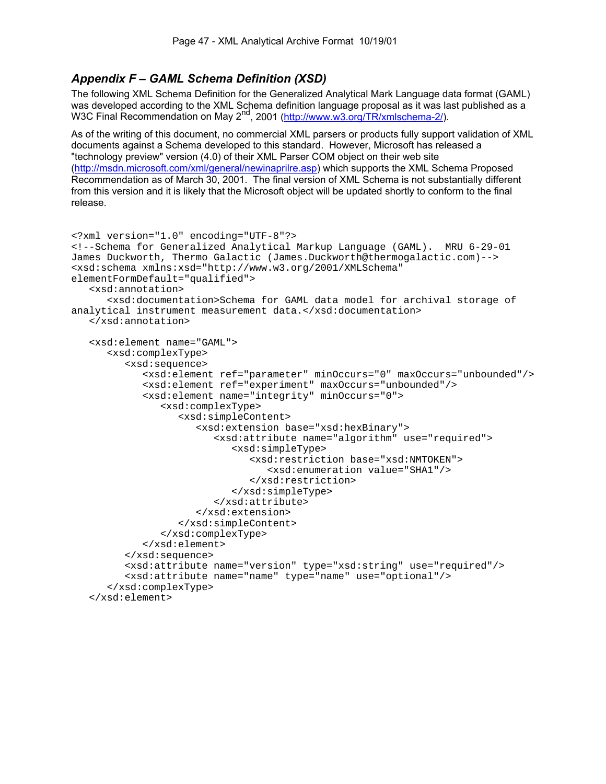# *Appendix F – GAML Schema Definition (XSD)*

The following XML Schema Definition for the Generalized Analytical Mark Language data format (GAML) was developed according to the XML Schema definition language proposal as it was last published as a W3C Final Recommendation on May 2<sup>nd</sup>, 2001 (http://www.w3.org/TR/xmlschema-2/).

As of the writing of this document, no commercial XML parsers or products fully support validation of XML documents against a Schema developed to this standard. However, Microsoft has released a "technology preview" version (4.0) of their XML Parser COM object on their web site (http://msdn.microsoft.com/xml/general/newinaprilre.asp) which supports the XML Schema Proposed Recommendation as of March 30, 2001. The final version of XML Schema is not substantially different from this version and it is likely that the Microsoft object will be updated shortly to conform to the final release.

```
<?xml version="1.0" encoding="UTF-8"?> 
<!--Schema for Generalized Analytical Markup Language (GAML). MRU 6-29-01 
James Duckworth, Thermo Galactic (James.Duckworth@thermogalactic.com)--> 
<xsd:schema xmlns:xsd="http://www.w3.org/2001/XMLSchema" 
elementFormDefault="qualified"> 
    <xsd:annotation> 
       <xsd:documentation>Schema for GAML data model for archival storage of 
analytical instrument measurement data.</xsd:documentation> 
    </xsd:annotation> 
    <xsd:element name="GAML"> 
       <xsd:complexType> 
          <xsd:sequence> 
              <xsd:element ref="parameter" minOccurs="0" maxOccurs="unbounded"/> 
              <xsd:element ref="experiment" maxOccurs="unbounded"/> 
              <xsd:element name="integrity" minOccurs="0"> 
                 <xsd:complexType> 
                    <xsd:simpleContent> 
                       <xsd:extension base="xsd:hexBinary"> 
                          <xsd:attribute name="algorithm" use="required"> 
                              <xsd:simpleType> 
                                 <xsd:restriction base="xsd:NMTOKEN"> 
                                    <xsd:enumeration value="SHA1"/> 
                                 </xsd:restriction> 
                              </xsd:simpleType> 
                          </xsd:attribute> 
                       </xsd:extension> 
                    </xsd:simpleContent> 
                 </xsd:complexType> 
              </xsd:element> 
          </xsd:sequence> 
          <xsd:attribute name="version" type="xsd:string" use="required"/> 
          <xsd:attribute name="name" type="name" use="optional"/> 
       </xsd:complexType> 
    </xsd:element>
```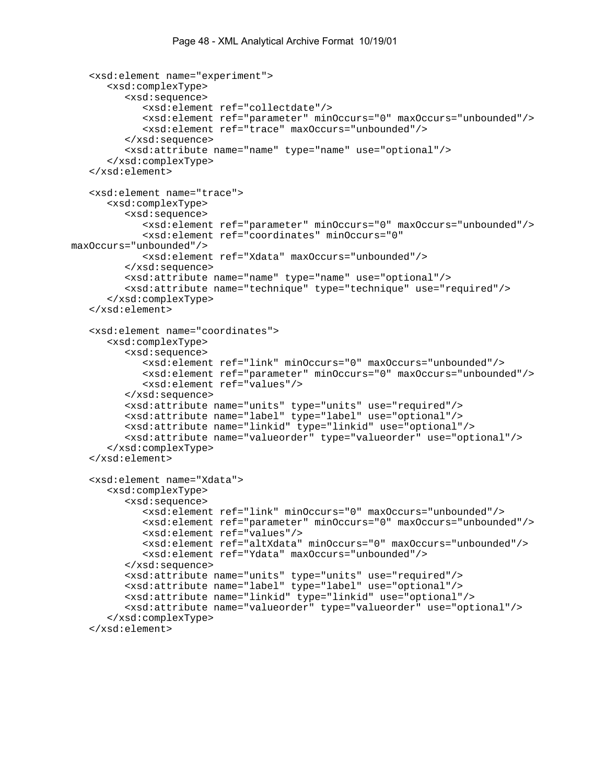```
 <xsd:element name="experiment"> 
       <xsd:complexType> 
          <xsd:sequence> 
              <xsd:element ref="collectdate"/> 
              <xsd:element ref="parameter" minOccurs="0" maxOccurs="unbounded"/> 
              <xsd:element ref="trace" maxOccurs="unbounded"/> 
          </xsd:sequence> 
          <xsd:attribute name="name" type="name" use="optional"/> 
       </xsd:complexType> 
    </xsd:element> 
    <xsd:element name="trace"> 
       <xsd:complexType> 
          <xsd:sequence> 
              <xsd:element ref="parameter" minOccurs="0" maxOccurs="unbounded"/> 
              <xsd:element ref="coordinates" minOccurs="0" 
maxOccurs="unbounded"/> 
              <xsd:element ref="Xdata" maxOccurs="unbounded"/> 
          </xsd:sequence> 
          <xsd:attribute name="name" type="name" use="optional"/> 
          <xsd:attribute name="technique" type="technique" use="required"/> 
       </xsd:complexType> 
    </xsd:element> 
    <xsd:element name="coordinates"> 
       <xsd:complexType> 
          <xsd:sequence> 
              <xsd:element ref="link" minOccurs="0" maxOccurs="unbounded"/> 
              <xsd:element ref="parameter" minOccurs="0" maxOccurs="unbounded"/> 
              <xsd:element ref="values"/> 
          </xsd:sequence> 
          <xsd:attribute name="units" type="units" use="required"/> 
          <xsd:attribute name="label" type="label" use="optional"/> 
          <xsd:attribute name="linkid" type="linkid" use="optional"/> 
          <xsd:attribute name="valueorder" type="valueorder" use="optional"/> 
       </xsd:complexType> 
    </xsd:element> 
    <xsd:element name="Xdata"> 
       <xsd:complexType> 
          <xsd:sequence> 
              <xsd:element ref="link" minOccurs="0" maxOccurs="unbounded"/> 
              <xsd:element ref="parameter" minOccurs="0" maxOccurs="unbounded"/> 
              <xsd:element ref="values"/> 
              <xsd:element ref="altXdata" minOccurs="0" maxOccurs="unbounded"/> 
              <xsd:element ref="Ydata" maxOccurs="unbounded"/> 
          </xsd:sequence> 
          <xsd:attribute name="units" type="units" use="required"/> 
          <xsd:attribute name="label" type="label" use="optional"/> 
          <xsd:attribute name="linkid" type="linkid" use="optional"/> 
          <xsd:attribute name="valueorder" type="valueorder" use="optional"/> 
       </xsd:complexType> 
    </xsd:element>
```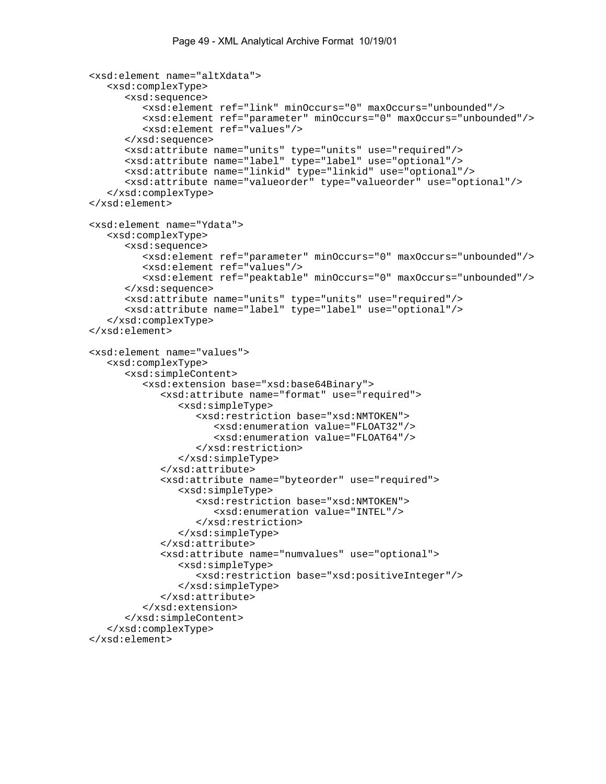```
 <xsd:element name="altXdata"> 
    <xsd:complexType> 
       <xsd:sequence> 
          <xsd:element ref="link" minOccurs="0" maxOccurs="unbounded"/> 
          <xsd:element ref="parameter" minOccurs="0" maxOccurs="unbounded"/> 
          <xsd:element ref="values"/> 
       </xsd:sequence> 
       <xsd:attribute name="units" type="units" use="required"/> 
       <xsd:attribute name="label" type="label" use="optional"/> 
       <xsd:attribute name="linkid" type="linkid" use="optional"/> 
       <xsd:attribute name="valueorder" type="valueorder" use="optional"/> 
    </xsd:complexType> 
 </xsd:element> 
 <xsd:element name="Ydata"> 
    <xsd:complexType> 
       <xsd:sequence> 
          <xsd:element ref="parameter" minOccurs="0" maxOccurs="unbounded"/> 
          <xsd:element ref="values"/> 
          <xsd:element ref="peaktable" minOccurs="0" maxOccurs="unbounded"/> 
       </xsd:sequence> 
       <xsd:attribute name="units" type="units" use="required"/> 
       <xsd:attribute name="label" type="label" use="optional"/> 
    </xsd:complexType> 
 </xsd:element> 
 <xsd:element name="values"> 
    <xsd:complexType> 
       <xsd:simpleContent> 
          <xsd:extension base="xsd:base64Binary"> 
              <xsd:attribute name="format" use="required"> 
                 <xsd:simpleType> 
                    <xsd:restriction base="xsd:NMTOKEN"> 
                       <xsd:enumeration value="FLOAT32"/> 
                       <xsd:enumeration value="FLOAT64"/> 
                    </xsd:restriction> 
                 </xsd:simpleType> 
              </xsd:attribute> 
              <xsd:attribute name="byteorder" use="required"> 
                 <xsd:simpleType> 
                    <xsd:restriction base="xsd:NMTOKEN"> 
                       <xsd:enumeration value="INTEL"/> 
                    </xsd:restriction> 
                 </xsd:simpleType> 
              </xsd:attribute> 
              <xsd:attribute name="numvalues" use="optional"> 
                 <xsd:simpleType> 
                    <xsd:restriction base="xsd:positiveInteger"/> 
                 </xsd:simpleType> 
              </xsd:attribute> 
          </xsd:extension> 
       </xsd:simpleContent> 
    </xsd:complexType> 
 </xsd:element>
```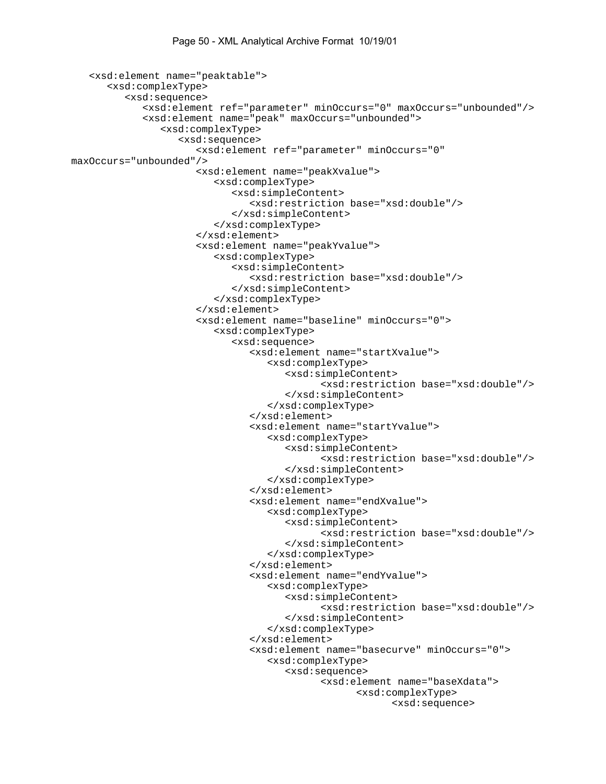```
 <xsd:element name="peaktable"> 
       <xsd:complexType> 
           <xsd:sequence> 
              <xsd:element ref="parameter" minOccurs="0" maxOccurs="unbounded"/> 
              <xsd:element name="peak" maxOccurs="unbounded"> 
                 <xsd:complexType> 
                     <xsd:sequence> 
                        <xsd:element ref="parameter" minOccurs="0" 
maxOccurs="unbounded"/> 
                        <xsd:element name="peakXvalue"> 
                           <xsd:complexType> 
                               <xsd:simpleContent> 
                                  <xsd:restriction base="xsd:double"/> 
                               </xsd:simpleContent> 
                           </xsd:complexType> 
                        </xsd:element> 
                        <xsd:element name="peakYvalue"> 
                           <xsd:complexType> 
                               <xsd:simpleContent> 
                                  <xsd:restriction base="xsd:double"/> 
                               </xsd:simpleContent> 
                           </xsd:complexType> 
                        </xsd:element> 
                        <xsd:element name="baseline" minOccurs="0"> 
                           <xsd:complexType> 
                               <xsd:sequence> 
                                  <xsd:element name="startXvalue"> 
                                      <xsd:complexType> 
                                         <xsd:simpleContent> 
                                                <xsd:restriction base="xsd:double"/> 
                                         </xsd:simpleContent> 
                                      </xsd:complexType> 
                                  </xsd:element> 
                                  <xsd:element name="startYvalue"> 
                                      <xsd:complexType> 
                                         <xsd:simpleContent> 
                                                <xsd:restriction base="xsd:double"/> 
                                         </xsd:simpleContent> 
                                      </xsd:complexType> 
                                  </xsd:element> 
                                  <xsd:element name="endXvalue"> 
                                      <xsd:complexType> 
                                         <xsd:simpleContent> 
                                                <xsd:restriction base="xsd:double"/> 
                                         </xsd:simpleContent> 
                                      </xsd:complexType> 
                                  </xsd:element> 
                                  <xsd:element name="endYvalue"> 
                                      <xsd:complexType> 
                                         <xsd:simpleContent> 
                                                <xsd:restriction base="xsd:double"/> 
                                         </xsd:simpleContent> 
                                     </xsd:complexType> 
                                  </xsd:element> 
                                  <xsd:element name="basecurve" minOccurs="0"> 
                                      <xsd:complexType> 
                                         <xsd:sequence> 
                                                <xsd:element name="baseXdata"> 
                                                      <xsd:complexType> 
                                                             <xsd:sequence>
```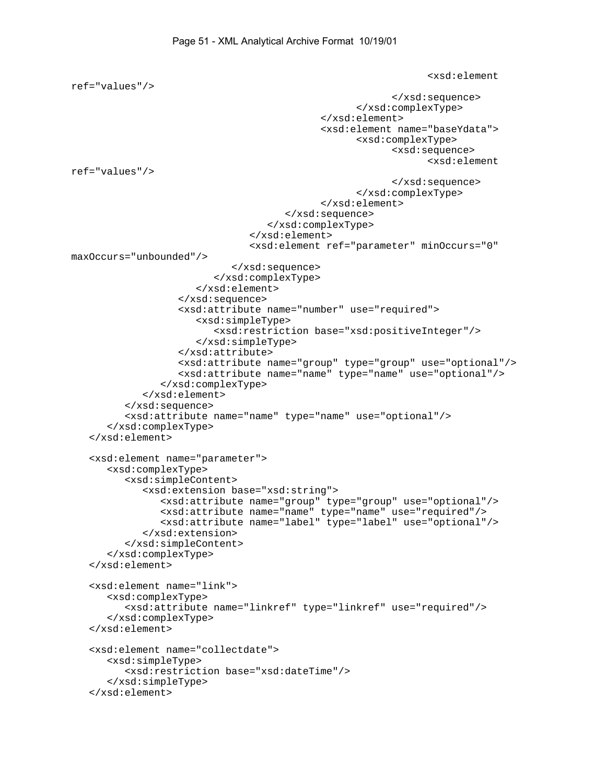```
 <xsd:element 
ref="values"/> 
                                                             </xsd:sequence> 
                                                      </xsd:complexType> 
                                               </xsd:element> 
                                               <xsd:element name="baseYdata"> 
                                                      <xsd:complexType> 
                                                             <xsd:sequence> 
                                                                   <xsd:element 
ref="values"/> 
                                                             </xsd:sequence> 
                                                      </xsd:complexType> 
                                               </xsd:element> 
                                        </xsd:sequence> 
                                     </xsd:complexType> 
                                  </xsd:element> 
                                  <xsd:element ref="parameter" minOccurs="0" 
maxOccurs="unbounded"/> 
                              </xsd:sequence> 
                           </xsd:complexType> 
                        </xsd:element> 
                    </xsd:sequence> 
                    <xsd:attribute name="number" use="required"> 
                        <xsd:simpleType> 
                           <xsd:restriction base="xsd:positiveInteger"/> 
                        </xsd:simpleType> 
                    </xsd:attribute> 
                    <xsd:attribute name="group" type="group" use="optional"/> 
                    <xsd:attribute name="name" type="name" use="optional"/> 
                 </xsd:complexType> 
              </xsd:element> 
           </xsd:sequence> 
           <xsd:attribute name="name" type="name" use="optional"/> 
       </xsd:complexType> 
    </xsd:element> 
    <xsd:element name="parameter"> 
       <xsd:complexType> 
           <xsd:simpleContent> 
              <xsd:extension base="xsd:string"> 
                 <xsd:attribute name="group" type="group" use="optional"/> 
                 <xsd:attribute name="name" type="name" use="required"/> 
                 <xsd:attribute name="label" type="label" use="optional"/> 
              </xsd:extension> 
           </xsd:simpleContent> 
       </xsd:complexType> 
    </xsd:element> 
    <xsd:element name="link"> 
       <xsd:complexType> 
           <xsd:attribute name="linkref" type="linkref" use="required"/> 
       </xsd:complexType> 
    </xsd:element> 
    <xsd:element name="collectdate"> 
       <xsd:simpleType> 
           <xsd:restriction base="xsd:dateTime"/> 
       </xsd:simpleType> 
    </xsd:element>
```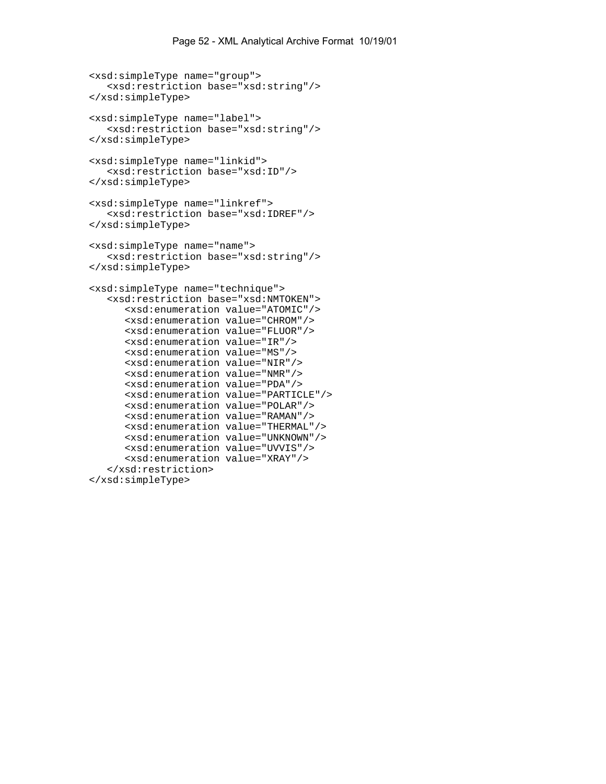```
 <xsd:simpleType name="group"> 
    <xsd:restriction base="xsd:string"/> 
 </xsd:simpleType> 
 <xsd:simpleType name="label"> 
    <xsd:restriction base="xsd:string"/> 
 </xsd:simpleType> 
 <xsd:simpleType name="linkid"> 
    <xsd:restriction base="xsd:ID"/> 
 </xsd:simpleType> 
 <xsd:simpleType name="linkref"> 
    <xsd:restriction base="xsd:IDREF"/> 
 </xsd:simpleType> 
 <xsd:simpleType name="name"> 
    <xsd:restriction base="xsd:string"/> 
 </xsd:simpleType> 
 <xsd:simpleType name="technique"> 
    <xsd:restriction base="xsd:NMTOKEN"> 
       <xsd:enumeration value="ATOMIC"/> 
       <xsd:enumeration value="CHROM"/> 
       <xsd:enumeration value="FLUOR"/> 
       <xsd:enumeration value="IR"/> 
       <xsd:enumeration value="MS"/> 
       <xsd:enumeration value="NIR"/> 
       <xsd:enumeration value="NMR"/> 
       <xsd:enumeration value="PDA"/> 
       <xsd:enumeration value="PARTICLE"/> 
       <xsd:enumeration value="POLAR"/> 
       <xsd:enumeration value="RAMAN"/> 
       <xsd:enumeration value="THERMAL"/> 
       <xsd:enumeration value="UNKNOWN"/> 
       <xsd:enumeration value="UVVIS"/> 
       <xsd:enumeration value="XRAY"/> 
    </xsd:restriction> 
 </xsd:simpleType>
```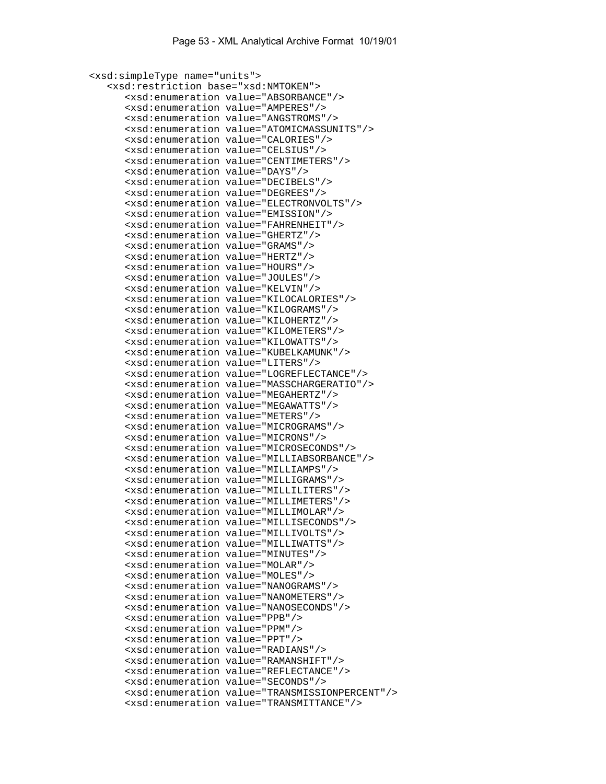```
 <xsd:simpleType name="units"> 
    <xsd:restriction base="xsd:NMTOKEN"> 
       <xsd:enumeration value="ABSORBANCE"/> 
       <xsd:enumeration value="AMPERES"/> 
       <xsd:enumeration value="ANGSTROMS"/> 
       <xsd:enumeration value="ATOMICMASSUNITS"/> 
       <xsd:enumeration value="CALORIES"/> 
       <xsd:enumeration value="CELSIUS"/> 
       <xsd:enumeration value="CENTIMETERS"/> 
       <xsd:enumeration value="DAYS"/> 
       <xsd:enumeration value="DECIBELS"/> 
       <xsd:enumeration value="DEGREES"/> 
       <xsd:enumeration value="ELECTRONVOLTS"/> 
       <xsd:enumeration value="EMISSION"/> 
       <xsd:enumeration value="FAHRENHEIT"/> 
       <xsd:enumeration value="GHERTZ"/> 
       <xsd:enumeration value="GRAMS"/> 
       <xsd:enumeration value="HERTZ"/> 
       <xsd:enumeration value="HOURS"/> 
       <xsd:enumeration value="JOULES"/> 
       <xsd:enumeration value="KELVIN"/> 
       <xsd:enumeration value="KILOCALORIES"/> 
       <xsd:enumeration value="KILOGRAMS"/> 
       <xsd:enumeration value="KILOHERTZ"/> 
       <xsd:enumeration value="KILOMETERS"/> 
       <xsd:enumeration value="KILOWATTS"/> 
       <xsd:enumeration value="KUBELKAMUNK"/> 
       <xsd:enumeration value="LITERS"/> 
       <xsd:enumeration value="LOGREFLECTANCE"/> 
       <xsd:enumeration value="MASSCHARGERATIO"/> 
       <xsd:enumeration value="MEGAHERTZ"/> 
       <xsd:enumeration value="MEGAWATTS"/> 
       <xsd:enumeration value="METERS"/> 
       <xsd:enumeration value="MICROGRAMS"/> 
       <xsd:enumeration value="MICRONS"/> 
       <xsd:enumeration value="MICROSECONDS"/> 
       <xsd:enumeration value="MILLIABSORBANCE"/> 
       <xsd:enumeration value="MILLIAMPS"/> 
       <xsd:enumeration value="MILLIGRAMS"/> 
       <xsd:enumeration value="MILLILITERS"/> 
       <xsd:enumeration value="MILLIMETERS"/> 
       <xsd:enumeration value="MILLIMOLAR"/> 
       <xsd:enumeration value="MILLISECONDS"/> 
       <xsd:enumeration value="MILLIVOLTS"/> 
       <xsd:enumeration value="MILLIWATTS"/> 
       <xsd:enumeration value="MINUTES"/> 
       <xsd:enumeration value="MOLAR"/> 
       <xsd:enumeration value="MOLES"/> 
       <xsd:enumeration value="NANOGRAMS"/> 
       <xsd:enumeration value="NANOMETERS"/> 
       <xsd:enumeration value="NANOSECONDS"/> 
       <xsd:enumeration value="PPB"/> 
       <xsd:enumeration value="PPM"/> 
       <xsd:enumeration value="PPT"/> 
       <xsd:enumeration value="RADIANS"/> 
       <xsd:enumeration value="RAMANSHIFT"/> 
       <xsd:enumeration value="REFLECTANCE"/> 
       <xsd:enumeration value="SECONDS"/> 
       <xsd:enumeration value="TRANSMISSIONPERCENT"/> 
       <xsd:enumeration value="TRANSMITTANCE"/>
```